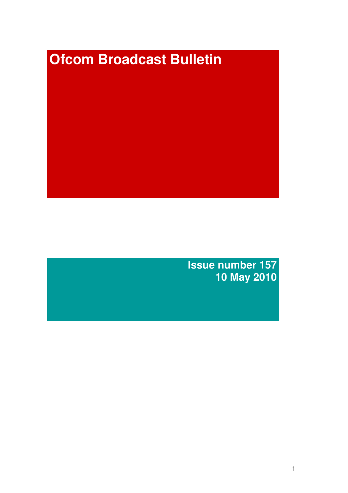# **Ofcom Broadcast Bulletin**

**Issue number 157 10 May 2010**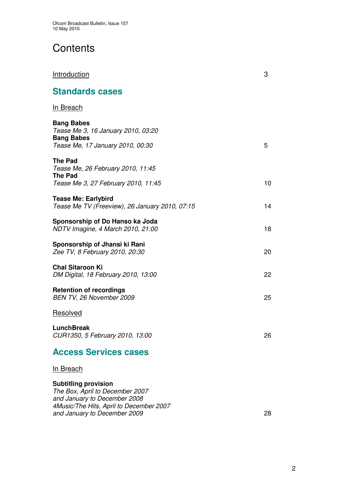# **Contents**

## Introduction 3

# **Standards cases**

## In Breach

| <b>Bang Babes</b><br>Tease Me 3, 16 January 2010, 03:20<br><b>Bang Babes</b>                          |    |
|-------------------------------------------------------------------------------------------------------|----|
| Tease Me, 17 January 2010, 00:30                                                                      | 5  |
| The Pad<br>Tease Me, 26 February 2010, 11:45<br><b>The Pad</b><br>Tease Me 3, 27 February 2010, 11:45 | 10 |
| <b>Tease Me: Earlybird</b><br>Tease Me TV (Freeview), 26 January 2010, 07:15                          | 14 |
| Sponsorship of Do Hanso ka Joda<br>NDTV Imagine, 4 March 2010, 21:00                                  | 18 |
| Sponsorship of Jhansi ki Rani<br>Zee TV, 8 February 2010, 20:30                                       | 20 |
| <b>Chal Sitaroon Ki</b><br>DM Digital, 18 February 2010, 13:00                                        | 22 |
| <b>Retention of recordings</b><br>BEN TV, 26 November 2009                                            | 25 |
| <b>Resolved</b>                                                                                       |    |
| <b>LunchBreak</b><br>CUR1350, 5 February 2010, 13:00                                                  | 26 |

# **Access Services cases**

#### In Breach

### **Subtitling provision**

*The Box, April to December 2007 and January to December 2008 4Music/The Hits, April to December 2007 and January to December 2009* 28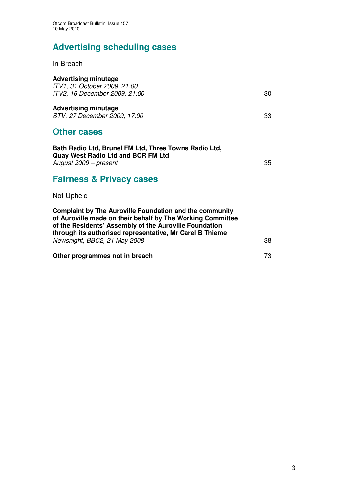# **Advertising scheduling cases**

In Breach

| <b>Advertising minutage</b><br>ITV1, 31 October 2009, 21:00<br>ITV2, 16 December 2009, 21:00                                | 30 |
|-----------------------------------------------------------------------------------------------------------------------------|----|
| <b>Advertising minutage</b><br>STV, 27 December 2009, 17:00                                                                 | 33 |
| <b>Other cases</b>                                                                                                          |    |
| Bath Radio Ltd, Brunel FM Ltd, Three Towns Radio Ltd,<br><b>Quay West Radio Ltd and BCR FM Ltd</b><br>August 2009 – present | 35 |
| Egirnado 8. Drivaov agono                                                                                                   |    |

## **Fairness & Privacy cases**

## Not Upheld

| <b>Complaint by The Auroville Foundation and the community</b><br>of Auroville made on their behalf by The Working Committee<br>of the Residents' Assembly of the Auroville Foundation<br>through its authorised representative, Mr Carel B Thieme |    |
|----------------------------------------------------------------------------------------------------------------------------------------------------------------------------------------------------------------------------------------------------|----|
| Newsnight, BBC2, 21 May 2008                                                                                                                                                                                                                       | 38 |
| Other programmes not in breach                                                                                                                                                                                                                     | 73 |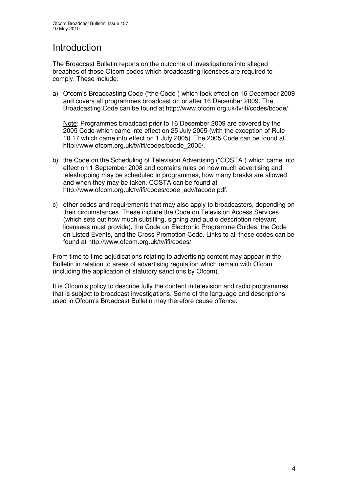# Introduction

The Broadcast Bulletin reports on the outcome of investigations into alleged breaches of those Ofcom codes which broadcasting licensees are required to comply. These include:

a) Ofcom's Broadcasting Code ("the Code") which took effect on 16 December 2009 and covers all programmes broadcast on or after 16 December 2009. The Broadcasting Code can be found at http://www.ofcom.org.uk/tv/ifi/codes/bcode/.

Note: Programmes broadcast prior to 16 December 2009 are covered by the 2005 Code which came into effect on 25 July 2005 (with the exception of Rule 10.17 which came into effect on 1 July 2005). The 2005 Code can be found at http://www.ofcom.org.uk/tv/ifi/codes/bcode\_2005/.

- b) the Code on the Scheduling of Television Advertising ("COSTA") which came into effect on 1 September 2008 and contains rules on how much advertising and teleshopping may be scheduled in programmes, how many breaks are allowed and when they may be taken. COSTA can be found at http://www.ofcom.org.uk/tv/ifi/codes/code\_adv/tacode.pdf.
- c) other codes and requirements that may also apply to broadcasters, depending on their circumstances. These include the Code on Television Access Services (which sets out how much subtitling, signing and audio description relevant licensees must provide), the Code on Electronic Programme Guides, the Code on Listed Events, and the Cross Promotion Code. Links to all these codes can be found at http://www.ofcom.org.uk/tv/ifi/codes/

From time to time adjudications relating to advertising content may appear in the Bulletin in relation to areas of advertising regulation which remain with Ofcom (including the application of statutory sanctions by Ofcom).

It is Ofcom's policy to describe fully the content in television and radio programmes that is subject to broadcast investigations. Some of the language and descriptions used in Ofcom's Broadcast Bulletin may therefore cause offence.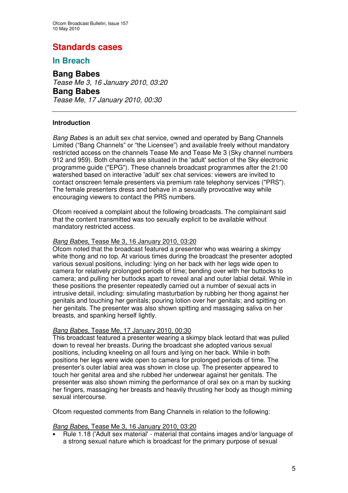# **Standards cases**

## **In Breach**

**Bang Babes** *Tease Me 3, 16 January 2010, 03:20* **Bang Babes** *Tease Me, 17 January 2010, 00:30*

#### **Introduction**

*Bang Babes* is an adult sex chat service, owned and operated by Bang Channels Limited ("Bang Channels" or "the Licensee") and available freely without mandatory restricted access on the channels Tease Me and Tease Me 3 (Sky channel numbers 912 and 959). Both channels are situated in the 'adult'section of the Sky electronic programme guide ("EPG"). These channels broadcast programmes after the 21:00 watershed based on interactive 'adult' sex chat services: viewers are invited to contact onscreen female presenters via premium rate telephony services ("PRS"). The female presenters dress and behave in a sexually provocative way while encouraging viewers to contact the PRS numbers.

Ofcom received a complaint about the following broadcasts. The complainant said that the content transmitted was too sexually explicit to be available without mandatory restricted access.

#### *Bang Babes*, Tease Me 3, 16 January 2010, 03:20

Ofcom noted that the broadcast featured a presenter who was wearing a skimpy white thong and no top. At various times during the broadcast the presenter adopted various sexual positions, including: lying on her back with her legs wide open to camera for relatively prolonged periods of time; bending over with her buttocks to camera; and pulling her buttocks apart to reveal anal and outer labial detail. While in these positions the presenter repeatedly carried out a number of sexual acts in intrusive detail, including: simulating masturbation by rubbing her thong against her genitals and touching her genitals; pouring lotion over her genitals; and spitting on her genitals. The presenter was also shown spitting and massaging saliva on her breasts, and spanking herself lightly.

#### *Bang Babes*, Tease Me, 17 January 2010, 00:30

This broadcast featured a presenter wearing a skimpy black leotard that was pulled down to reveal her breasts. During the broadcast she adopted various sexual positions, including kneeling on all fours and lying on her back. While in both positions her legs were wide open to camera for prolonged periods of time. The presenter's outer labial area was shown in close up. The presenter appeared to touch her genital area and she rubbed her underwear against her genitals. The presenter was also shown miming the performance of oral sex on a man by sucking her fingers, massaging her breasts and heavily thrusting her body as though miming sexual intercourse.

Ofcom requested comments from Bang Channels in relation to the following:

#### *Bang Babes*, Tease Me 3, 16 January 2010, 03:20

• Rule 1.18 ('Adult sex material'- material that contains images and/or language of a strong sexual nature which is broadcast for the primary purpose of sexual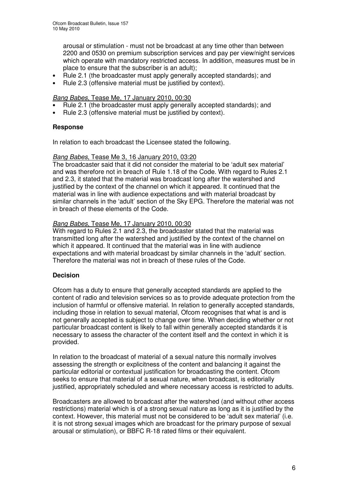arousal or stimulation - must not be broadcast at any time other than between 2200 and 0530 on premium subscription services and pay per view/night services which operate with mandatory restricted access. In addition, measures must be in place to ensure that the subscriber is an adult);

- Rule 2.1 (the broadcaster must apply generally accepted standards); and
- Rule 2.3 (offensive material must be justified by context).

#### *Bang Babes*, Tease Me, 17 January 2010, 00:30

- Rule 2.1 (the broadcaster must apply generally accepted standards); and
- Rule 2.3 (offensive material must be justified by context).

#### **Response**

In relation to each broadcast the Licensee stated the following.

#### *Bang Babes*, Tease Me 3, 16 January 2010, 03:20

The broadcaster said that it did not consider the material to be 'adult sex material' and was therefore not in breach of Rule 1.18 of the Code. With regard to Rules 2.1 and 2.3, it stated that the material was broadcast long after the watershed and justified by the context of the channel on which it appeared. It continued that the material was in line with audience expectations and with material broadcast by similar channels in the 'adult' section of the Sky EPG. Therefore the material was not in breach of these elements of the Code.

#### *Bang Babes*, Tease Me, 17 January 2010, 00:30

With regard to Rules 2.1 and 2.3, the broadcaster stated that the material was transmitted long after the watershed and justified by the context of the channel on which it appeared. It continued that the material was in line with audience expectations and with material broadcast by similar channels in the 'adult' section. Therefore the material was not in breach of these rules of the Code.

#### **Decision**

Ofcom has a duty to ensure that generally accepted standards are applied to the content of radio and television services so as to provide adequate protection from the inclusion of harmful or offensive material. In relation to generally accepted standards, including those in relation to sexual material, Ofcom recognises that what is and is not generally accepted is subject to change over time. When deciding whether or not particular broadcast content is likely to fall within generally accepted standards it is necessary to assess the character of the content itself and the context in which it is provided.

In relation to the broadcast of material of a sexual nature this normally involves assessing the strength or explicitness of the content and balancing it against the particular editorial or contextual justification for broadcasting the content. Ofcom seeks to ensure that material of a sexual nature, when broadcast, is editorially justified, appropriately scheduled and where necessary access is restricted to adults.

Broadcasters are allowed to broadcast after the watershed (and without other access restrictions) material which is of a strong sexual nature as long as it is justified by the context. However, this material must not be considered to be 'adult sex material' (i.e. it is not strong sexual images which are broadcast for the primary purpose of sexual arousal or stimulation), or BBFC R-18 rated films or their equivalent.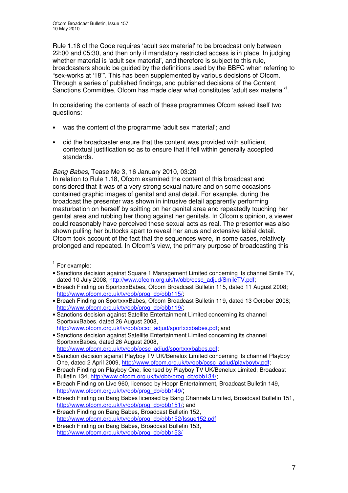Rule 1.18 of the Code requires 'adult sex material' to be broadcast only between 22:00 and 05:30, and then only if mandatory restricted access is in place. In judging whether material is 'adult sex material', and therefore is subject to this rule, broadcasters should be guided by the definitions used by the BBFC when referring to "sex-works at '18'". This has been supplemented by various decisions of Ofcom. Through a series of published findings, and published decisions of the Content Sanctions Committee, Ofcom has made clear what constitutes 'adult sex material'<sup>1</sup>.

In considering the contents of each of these programmes Ofcom asked itself two questions:

- was the content of the programme 'adult sex material'; and
- did the broadcaster ensure that the content was provided with sufficient contextual justification so as to ensure that it fell within generally accepted standards.

#### *Bang Babes,* Tease Me 3, 16 January 2010, 03:20

In relation to Rule 1.18, Ofcom examined the content of this broadcast and considered that it was of a very strong sexual nature and on some occasions contained graphic images of genital and anal detail. For example, during the broadcast the presenter was shown in intrusive detail apparently performing masturbation on herself by spitting on her genital area and repeatedly touching her genital area and rubbing her thong against her genitals. In Ofcom's opinion, a viewer could reasonably have perceived these sexual acts as real. The presenter was also shown pulling her buttocks apart to reveal her anus and extensive labial detail. Ofcom took account of the fact that the sequences were, in some cases, relatively prolonged and repeated. In Ofcom's view, the primary purpose of broadcasting this

- Sanctions decision against Satellite Entertainment Limited concerning its channel SportxxxBabes, dated 26 August 2008, http://www.ofcom.org.uk/tv/obb/ocsc\_adjud/sportxxxbabes.pdf; and
- Sanctions decision against Satellite Entertainment Limited concerning its channel SportxxxBabes, dated 26 August 2008, http://www.ofcom.org.uk/tv/obb/ocsc\_adjud/sportxxxbabes.pdf;

 $1$  For example:

<sup>•</sup> Sanctions decision against Square 1 Management Limited concerning its channel Smile TV, dated 10 July 2008, http://www.ofcom.org.uk/tv/obb/ocsc\_adjud/SmileTV.pdf;

<sup>•</sup> Breach Finding on SportxxxBabes, Ofcom Broadcast Bulletin 115, dated 11 August 2008; http://www.ofcom.org.uk/tv/obb/prog\_cb/obb115/;

<sup>•</sup> Breach Finding on SportxxxBabes, Ofcom Broadcast Bulletin 119, dated 13 October 2008; http://www.ofcom.org.uk/tv/obb/prog\_cb/obb119/;

<sup>•</sup> Sanction decision against Playboy TV UK/Benelux Limited concerning its channel Playboy One, dated 2 April 2009, http://www.ofcom.org.uk/tv/obb/ocsc\_adjud/playboytv.pdf;

<sup>•</sup> Breach Finding on Playboy One, licensed by Playboy TV UK/Benelux Limited, Broadcast Bulletin 134, http://www.ofcom.org.uk/ty/obb/prog\_cb/obb134/;

<sup>•</sup> Breach Finding on Live 960, licensed by Hoppr Entertainment, Broadcast Bulletin 149, http://www.ofcom.org.uk/tv/obb/prog\_cb/obb149/;

<sup>•</sup> Breach Finding on Bang Babes licensed by Bang Channels Limited, Broadcast Bulletin 151, http://www.ofcom.org.uk/tv/obb/prog\_cb/obb151/; and

<sup>•</sup> Breach Finding on Bang Babes, Broadcast Bulletin 152, http://www.ofcom.org.uk/tv/obb/prog\_cb/obb152/Issue152.pdf

<sup>•</sup> Breach Finding on Bang Babes, Broadcast Bulletin 153, http://www.ofcom.org.uk/tv/obb/prog\_cb/obb153/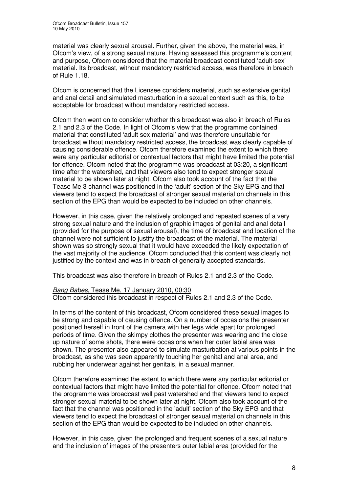material was clearly sexual arousal. Further, given the above, the material was, in Ofcom's view, of a strong sexual nature. Having assessed this programme's content and purpose, Ofcom considered that the material broadcast constituted 'adult-sex' material. Its broadcast, without mandatory restricted access, was therefore in breach of Rule 1.18.

Ofcom is concerned that the Licensee considers material, such as extensive genital and anal detail and simulated masturbation in a sexual context such as this, to be acceptable for broadcast without mandatory restricted access.

Ofcom then went on to consider whether this broadcast was also in breach of Rules 2.1 and 2.3 of the Code. In light of Ofcom's view that the programme contained material that constituted 'adult sex material' and was therefore unsuitable for broadcast without mandatory restricted access, the broadcast was clearly capable of causing considerable offence. Ofcom therefore examined the extent to which there were any particular editorial or contextual factors that might have limited the potential for offence. Ofcom noted that the programme was broadcast at 03:20, a significant time after the watershed, and that viewers also tend to expect stronger sexual material to be shown later at night. Ofcom also took account of the fact that the Tease Me 3 channel was positioned in the 'adult' section of the Sky EPG and that viewers tend to expect the broadcast of stronger sexual material on channels in this section of the EPG than would be expected to be included on other channels.

However, in this case, given the relatively prolonged and repeated scenes of a very strong sexual nature and the inclusion of graphic images of genital and anal detail (provided for the purpose of sexual arousal), the time of broadcast and location of the channel were not sufficient to justify the broadcast of the material. The material shown was so strongly sexual that it would have exceeded the likely expectation of the vast majority of the audience. Ofcom concluded that this content was clearly not justified by the context and was in breach of generally accepted standards.

This broadcast was also therefore in breach of Rules 2.1 and 2.3 of the Code.

#### *Bang Babes*, Tease Me, 17 January 2010, 00:30

Ofcom considered this broadcast in respect of Rules 2.1 and 2.3 of the Code.

In terms of the content of this broadcast, Ofcom considered these sexual images to be strong and capable of causing offence. On a number of occasions the presenter positioned herself in front of the camera with her legs wide apart for prolonged periods of time. Given the skimpy clothes the presenter was wearing and the close up nature of some shots, there were occasions when her outer labial area was shown. The presenter also appeared to simulate masturbation at various points in the broadcast, as she was seen apparently touching her genital and anal area, and rubbing her underwear against her genitals, in a sexual manner.

Ofcom therefore examined the extent to which there were any particular editorial or contextual factors that might have limited the potential for offence. Ofcom noted that the programme was broadcast well past watershed and that viewers tend to expect stronger sexual material to be shown later at night. Ofcom also took account of the fact that the channel was positioned in the 'adult'section of the Sky EPG and that viewers tend to expect the broadcast of stronger sexual material on channels in this section of the EPG than would be expected to be included on other channels.

However, in this case, given the prolonged and frequent scenes of a sexual nature and the inclusion of images of the presenters outer labial area (provided for the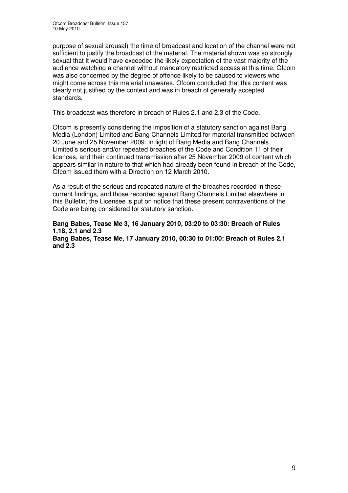purpose of sexual arousal) the time of broadcast and location of the channel were not sufficient to justify the broadcast of the material. The material shown was so strongly sexual that it would have exceeded the likely expectation of the vast majority of the audience watching a channel without mandatory restricted access at this time. Ofcom was also concerned by the degree of offence likely to be caused to viewers who might come across this material unawares. Ofcom concluded that this content was clearly not justified by the context and was in breach of generally accepted standards.

This broadcast was therefore in breach of Rules 2.1 and 2.3 of the Code.

Ofcom is presently considering the imposition of a statutory sanction against Bang Media (London) Limited and Bang Channels Limited for material transmitted between 20 June and 25 November 2009. In light of Bang Media and Bang Channels Limited's serious and/or repeated breaches of the Code and Condition 11 of their licences, and their continued transmission after 25 November 2009 of content which appears similar in nature to that which had already been found in breach of the Code, Ofcom issued them with a Direction on 12 March 2010.

As a result of the serious and repeated nature of the breaches recorded in these current findings, and those recorded against Bang Channels Limited elsewhere in this Bulletin, the Licensee is put on notice that these present contraventions of the Code are being considered for statutory sanction.

**Bang Babes, Tease Me 3, 16 January 2010, 03:20 to 03:30: Breach of Rules 1.18, 2.1 and 2.3 Bang Babes, Tease Me, 17 January 2010, 00:30 to 01:00: Breach of Rules 2.1 and 2.3**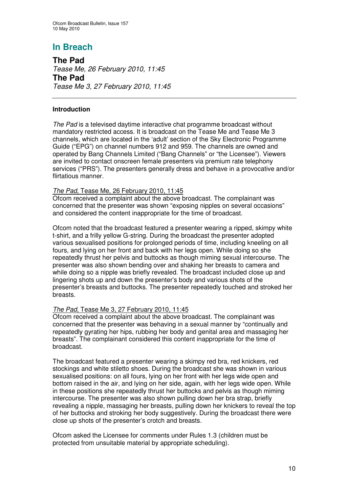**The Pad** *Tease Me, 26 February 2010, 11:45* **The Pad** *Tease Me 3, 27 February 2010, 11:45*

#### **Introduction**

*The Pad* is a televised daytime interactive chat programme broadcast without mandatory restricted access. It is broadcast on the Tease Me and Tease Me 3 channels, which are located in the 'adult' section of the Sky Electronic Programme Guide ("EPG") on channel numbers 912 and 959. The channels are owned and operated by Bang Channels Limited ("Bang Channels" or "the Licensee"). Viewers are invited to contact onscreen female presenters via premium rate telephony services ("PRS"). The presenters generally dress and behave in a provocative and/or flirtatious manner.

#### *The Pad*, Tease Me, 26 February 2010, 11:45

Ofcom received a complaint about the above broadcast. The complainant was concerned that the presenter was shown "exposing nipples on several occasions" and considered the content inappropriate for the time of broadcast.

Ofcom noted that the broadcast featured a presenter wearing a ripped, skimpy white t-shirt, and a frilly yellow G-string. During the broadcast the presenter adopted various sexualised positions for prolonged periods of time, including kneeling on all fours, and lying on her front and back with her legs open. While doing so she repeatedly thrust her pelvis and buttocks as though miming sexual intercourse. The presenter was also shown bending over and shaking her breasts to camera and while doing so a nipple was briefly revealed. The broadcast included close up and lingering shots up and down the presenter's body and various shots of the presenter's breasts and buttocks. The presenter repeatedly touched and stroked her breasts.

#### *The Pad*, Tease Me 3, 27 February 2010, 11:45

Ofcom received a complaint about the above broadcast. The complainant was concerned that the presenter was behaving in a sexual manner by "continually and repeatedly gyrating her hips, rubbing her body and genital area and massaging her breasts". The complainant considered this content inappropriate for the time of broadcast.

The broadcast featured a presenter wearing a skimpy red bra, red knickers, red stockings and white stiletto shoes. During the broadcast she was shown in various sexualised positions: on all fours, lying on her front with her legs wide open and bottom raised in the air, and lying on her side, again, with her legs wide open. While in these positions she repeatedly thrust her buttocks and pelvis as though miming intercourse. The presenter was also shown pulling down her bra strap, briefly revealing a nipple, massaging her breasts, pulling down her knickers to reveal the top of her buttocks and stroking her body suggestively. During the broadcast there were close up shots of the presenter's crotch and breasts.

Ofcom asked the Licensee for comments under Rules 1.3 (children must be protected from unsuitable material by appropriate scheduling).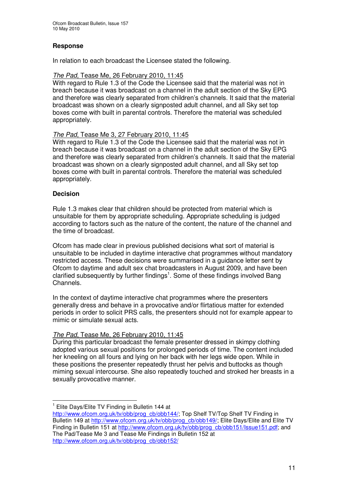#### **Response**

In relation to each broadcast the Licensee stated the following.

#### *The Pad*, Tease Me, 26 February 2010, 11:45

With regard to Rule 1.3 of the Code the Licensee said that the material was not in breach because it was broadcast on a channel in the adult section of the Sky EPG and therefore was clearly separated from children's channels. It said that the material broadcast was shown on a clearly signposted adult channel, and all Sky set top boxes come with built in parental controls. Therefore the material was scheduled appropriately.

#### *The Pad*, Tease Me 3, 27 February 2010, 11:45

With regard to Rule 1.3 of the Code the Licensee said that the material was not in breach because it was broadcast on a channel in the adult section of the Sky EPG and therefore was clearly separated from children's channels. It said that the material broadcast was shown on a clearly signposted adult channel, and all Sky set top boxes come with built in parental controls. Therefore the material was scheduled appropriately.

#### **Decision**

Rule 1.3 makes clear that children should be protected from material which is unsuitable for them by appropriate scheduling. Appropriate scheduling is judged according to factors such as the nature of the content, the nature of the channel and the time of broadcast.

Ofcom has made clear in previous published decisions what sort of material is unsuitable to be included in daytime interactive chat programmes without mandatory restricted access. These decisions were summarised in a guidance letter sent by Ofcom to daytime and adult sex chat broadcasters in August 2009, and have been clarified subsequently by further findings<sup>1</sup>. Some of these findings involved Bang Channels.

In the context of daytime interactive chat programmes where the presenters generally dress and behave in a provocative and/or flirtatious matter for extended periods in order to solicit PRS calls, the presenters should not for example appear to mimic or simulate sexual acts.

#### *The Pad*, Tease Me, 26 February 2010, 11:45

During this particular broadcast the female presenter dressed in skimpy clothing adopted various sexual positions for prolonged periods of time. The content included her kneeling on all fours and lying on her back with her legs wide open. While in these positions the presenter repeatedly thrust her pelvis and buttocks as though miming sexual intercourse. She also repeatedly touched and stroked her breasts in a sexually provocative manner.

<sup>&</sup>lt;sup>1</sup> Elite Days/Elite TV Finding in Bulletin 144 at

http://www.ofcom.org.uk/tv/obb/prog\_cb/obb144/; Top Shelf TV/Top Shelf TV Finding in Bulletin 149 at http://www.ofcom.org.uk/tv/obb/prog\_cb/obb149/; Elite Days/Elite and Elite TV Finding in Bulletin 151 at http://www.ofcom.org.uk/tv/obb/prog\_cb/obb151/Issue151.pdf; and The Pad/Tease Me 3 and Tease Me Findings in Bulletin 152 at http://www.ofcom.org.uk/tv/obb/prog\_cb/obb152/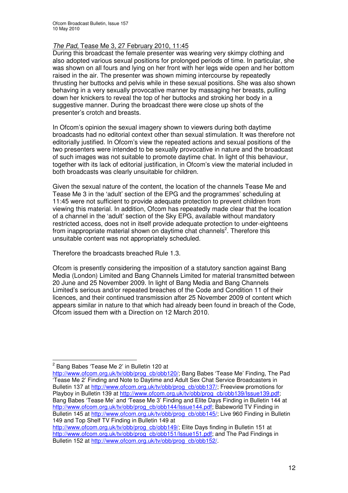#### *The Pad*, Tease Me 3, 27 February 2010, 11:45

During this broadcast the female presenter was wearing very skimpy clothing and also adopted various sexual positions for prolonged periods of time. In particular, she was shown on all fours and lying on her front with her legs wide open and her bottom raised in the air. The presenter was shown miming intercourse by repeatedly thrusting her buttocks and pelvis while in these sexual positions. She was also shown behaving in a very sexually provocative manner by massaging her breasts, pulling down her knickers to reveal the top of her buttocks and stroking her body in a suggestive manner. During the broadcast there were close up shots of the presenter's crotch and breasts.

In Ofcom's opinion the sexual imagery shown to viewers during both daytime broadcasts had no editorial context other than sexual stimulation. It was therefore not editorially justified. In Ofcom's view the repeated actions and sexual positions of the two presenters were intended to be sexually provocative in nature and the broadcast of such images was not suitable to promote daytime chat. In light of this behaviour, together with its lack of editorial justification, in Ofcom's view the material included in both broadcasts was clearly unsuitable for children.

Given the sexual nature of the content, the location of the channels Tease Me and Tease Me 3 in the 'adult' section of the EPG and the programmes' scheduling at 11:45 were not sufficient to provide adequate protection to prevent children from viewing this material. In addition, Ofcom has repeatedly made clear that the location of a channel in the 'adult' section of the Sky EPG, available without mandatory restricted access, does not in itself provide adequate protection to under-eighteens from inappropriate material shown on daytime chat channels<sup>2</sup>. Therefore this unsuitable content was not appropriately scheduled.

Therefore the broadcasts breached Rule 1.3.

Ofcom is presently considering the imposition of a statutory sanction against Bang Media (London) Limited and Bang Channels Limited for material transmitted between 20 June and 25 November 2009. In light of Bang Media and Bang Channels Limited's serious and/or repeated breaches of the Code and Condition 11 of their licences, and their continued transmission after 25 November 2009 of content which appears similar in nature to that which had already been found in breach of the Code, Ofcom issued them with a Direction on 12 March 2010.

<sup>&</sup>lt;sup>2</sup> Bang Babes 'Tease Me 2' in Bulletin 120 at

http://www.ofcom.org.uk/tv/obb/prog\_cb/obb120/; Bang Babes 'Tease Me' Finding, The Pad 'Tease Me 2' Finding and Note to Daytime and Adult Sex Chat Service Broadcasters in Bulletin 137 at http://www.ofcom.org.uk/tv/obb/prog\_cb/obb137/; Freeview promotions for Playboy in Bulletin 139 at http://www.ofcom.org.uk/tv/obb/prog\_cb/obb139/Issue139.pdf; Bang Babes 'Tease Me' and 'Tease Me 3' Finding and Elite Days Finding in Bulletin 144 at http://www.ofcom.org.uk/tv/obb/prog\_cb/obb144/Issue144.pdf; Babeworld TV Finding in Bulletin 145 at http://www.ofcom.org.uk/tv/obb/prog\_cb/obb145/; Live 960 Finding in Bulletin 149 and Top Shelf TV Finding in Bulletin 149 at

http://www.ofcom.org.uk/tv/obb/prog\_cb/obb149/; Elite Days finding in Bulletin 151 at http://www.ofcom.org.uk/tv/obb/prog\_cb/obb151/Issue151.pdf; and The Pad Findings in Bulletin 152 at http://www.ofcom.org.uk/tv/obb/prog\_cb/obb152/.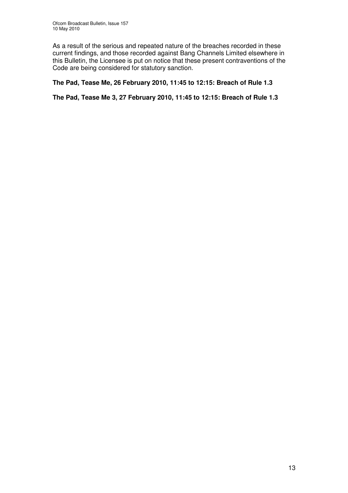As a result of the serious and repeated nature of the breaches recorded in these current findings, and those recorded against Bang Channels Limited elsewhere in this Bulletin, the Licensee is put on notice that these present contraventions of the Code are being considered for statutory sanction.

#### **The Pad, Tease Me, 26 February 2010, 11:45 to 12:15: Breach of Rule 1.3**

**The Pad, Tease Me 3, 27 February 2010, 11:45 to 12:15: Breach of Rule 1.3**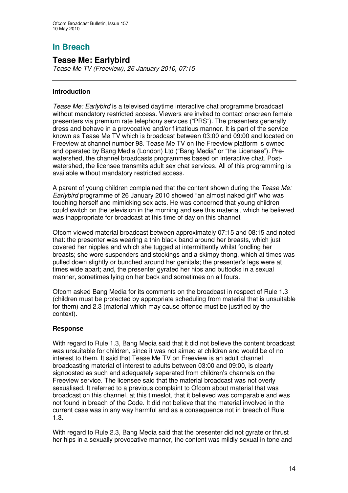## **Tease Me: Earlybird**

*Tease Me TV (Freeview), 26 January 2010, 07:15*

#### **Introduction**

*Tease Me: Earlybird* is a televised daytime interactive chat programme broadcast without mandatory restricted access. Viewers are invited to contact onscreen female presenters via premium rate telephony services ("PRS"). The presenters generally dress and behave in a provocative and/or flirtatious manner. It is part of the service known as Tease Me TV which is broadcast between 03:00 and 09:00 and located on Freeview at channel number 98. Tease Me TV on the Freeview platform is owned and operated by Bang Media (London) Ltd ("Bang Media" or "the Licensee"). Prewatershed, the channel broadcasts programmes based on interactive chat. Postwatershed, the licensee transmits adult sex chat services. All of this programming is available without mandatory restricted access.

A parent of young children complained that the content shown during the *Tease Me: Earlybird* programme of 26 January 2010 showed "an almost naked girl" who was touching herself and mimicking sex acts. He was concerned that young children could switch on the television in the morning and see this material, which he believed was inappropriate for broadcast at this time of day on this channel.

Ofcom viewed material broadcast between approximately 07:15 and 08:15 and noted that: the presenter was wearing a thin black band around her breasts, which just covered her nipples and which she tugged at intermittently whilst fondling her breasts; she wore suspenders and stockings and a skimpy thong, which at times was pulled down slightly or bunched around her genitals; the presenter's legs were at times wide apart; and, the presenter gyrated her hips and buttocks in a sexual manner, sometimes lying on her back and sometimes on all fours.

Ofcom asked Bang Media for its comments on the broadcast in respect of Rule 1.3 (children must be protected by appropriate scheduling from material that is unsuitable for them) and 2.3 (material which may cause offence must be justified by the context).

#### **Response**

With regard to Rule 1.3, Bang Media said that it did not believe the content broadcast was unsuitable for children, since it was not aimed at children and would be of no interest to them. It said that Tease Me TV on Freeview is an adult channel broadcasting material of interest to adults between 03:00 and 09:00, is clearly signposted as such and adequately separated from children's channels on the Freeview service. The licensee said that the material broadcast was not overly sexualised. It referred to a previous complaint to Ofcom about material that was broadcast on this channel, at this timeslot, that it believed was comparable and was not found in breach of the Code. It did not believe that the material involved in the current case was in any way harmful and as a consequence not in breach of Rule 1.3.

With regard to Rule 2.3, Bang Media said that the presenter did not gyrate or thrust her hips in a sexually provocative manner, the content was mildly sexual in tone and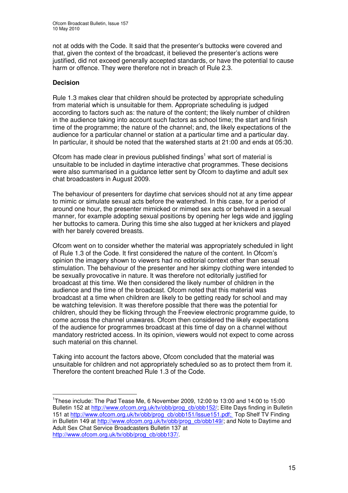not at odds with the Code. It said that the presenter's buttocks were covered and that, given the context of the broadcast, it believed the presenter's actions were justified, did not exceed generally accepted standards, or have the potential to cause harm or offence. They were therefore not in breach of Rule 2.3.

#### **Decision**

Rule 1.3 makes clear that children should be protected by appropriate scheduling from material which is unsuitable for them. Appropriate scheduling is judged according to factors such as: the nature of the content; the likely number of children in the audience taking into account such factors as school time; the start and finish time of the programme; the nature of the channel; and, the likely expectations of the audience for a particular channel or station at a particular time and a particular day. In particular, it should be noted that the watershed starts at 21:00 and ends at 05:30.

Ofcom has made clear in previous published findings<sup>1</sup> what sort of material is unsuitable to be included in daytime interactive chat programmes. These decisions were also summarised in a guidance letter sent by Ofcom to daytime and adult sex chat broadcasters in August 2009.

The behaviour of presenters for daytime chat services should not at any time appear to mimic or simulate sexual acts before the watershed. In this case, for a period of around one hour, the presenter mimicked or mimed sex acts or behaved in a sexual manner, for example adopting sexual positions by opening her legs wide and jiggling her buttocks to camera. During this time she also tugged at her knickers and played with her barely covered breasts.

Ofcom went on to consider whether the material was appropriately scheduled in light of Rule 1.3 of the Code. It first considered the nature of the content. In Ofcom's opinion the imagery shown to viewers had no editorial context other than sexual stimulation. The behaviour of the presenter and her skimpy clothing were intended to be sexually provocative in nature. It was therefore not editorially justified for broadcast at this time. We then considered the likely number of children in the audience and the time of the broadcast. Ofcom noted that this material was broadcast at a time when children are likely to be getting ready for school and may be watching television. It was therefore possible that there was the potential for children, should they be flicking through the Freeview electronic programme guide, to come across the channel unawares. Ofcom then considered the likely expectations of the audience for programmes broadcast at this time of day on a channel without mandatory restricted access. In its opinion, viewers would not expect to come across such material on this channel.

Taking into account the factors above, Ofcom concluded that the material was unsuitable for children and not appropriately scheduled so as to protect them from it. Therefore the content breached Rule 1.3 of the Code.

<sup>1</sup> These include: The Pad Tease Me, 6 November 2009, 12:00 to 13:00 and 14:00 to 15:00 Bulletin 152 at http://www.ofcom.org.uk/tv/obb/prog\_cb/obb152/; Elite Days finding in Bulletin 151 at http://www.ofcom.org.uk/tv/obb/prog\_cb/obb151/Issue151.pdf; Top Shelf TV Finding in Bulletin 149 at http://www.ofcom.org.uk/tv/obb/prog\_cb/obb149/; and Note to Daytime and Adult Sex Chat Service Broadcasters Bulletin 137 at http://www.ofcom.org.uk/tv/obb/prog\_cb/obb137/.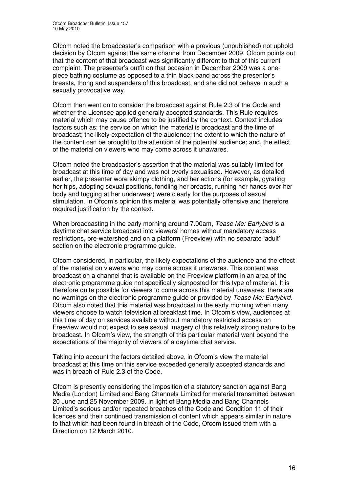Ofcom noted the broadcaster's comparison with a previous (unpublished) not uphold decision by Ofcom against the same channel from December 2009. Ofcom points out that the content of that broadcast was significantly different to that of this current complaint. The presenter's outfit on that occasion in December 2009 was a onepiece bathing costume as opposed to a thin black band across the presenter's breasts, thong and suspenders of this broadcast, and she did not behave in such a sexually provocative way.

Ofcom then went on to consider the broadcast against Rule 2.3 of the Code and whether the Licensee applied generally accepted standards. This Rule requires material which may cause offence to be justified by the context. Context includes factors such as: the service on which the material is broadcast and the time of broadcast; the likely expectation of the audience; the extent to which the nature of the content can be brought to the attention of the potential audience; and, the effect of the material on viewers who may come across it unawares.

Ofcom noted the broadcaster's assertion that the material was suitably limited for broadcast at this time of day and was not overly sexualised. However, as detailed earlier, the presenter wore skimpy clothing, and her actions (for example, gyrating her hips, adopting sexual positions, fondling her breasts, running her hands over her body and tugging at her underwear) were clearly for the purposes of sexual stimulation. In Ofcom's opinion this material was potentially offensive and therefore required justification by the context.

When broadcasting in the early morning around 7.00am, *Tease Me: Earlybird* is a daytime chat service broadcast into viewers' homes without mandatory access restrictions, pre-watershed and on a platform (Freeview) with no separate 'adult' section on the electronic programme guide.

Ofcom considered, in particular, the likely expectations of the audience and the effect of the material on viewers who may come across it unawares. This content was broadcast on a channel that is available on the Freeview platform in an area of the electronic programme guide not specifically signposted for this type of material. It is therefore quite possible for viewers to come across this material unawares: there are no warnings on the electronic programme guide or provided by *Tease Me: Earlybird*. Ofcom also noted that this material was broadcast in the early morning when many viewers choose to watch television at breakfast time. In Ofcom's view, audiences at this time of day on services available without mandatory restricted access on Freeview would not expect to see sexual imagery of this relatively strong nature to be broadcast. In Ofcom's view, the strength of this particular material went beyond the expectations of the majority of viewers of a daytime chat service.

Taking into account the factors detailed above, in Ofcom's view the material broadcast at this time on this service exceeded generally accepted standards and was in breach of Rule 2.3 of the Code.

Ofcom is presently considering the imposition of a statutory sanction against Bang Media (London) Limited and Bang Channels Limited for material transmitted between 20 June and 25 November 2009. In light of Bang Media and Bang Channels Limited's serious and/or repeated breaches of the Code and Condition 11 of their licences and their continued transmission of content which appears similar in nature to that which had been found in breach of the Code, Ofcom issued them with a Direction on 12 March 2010.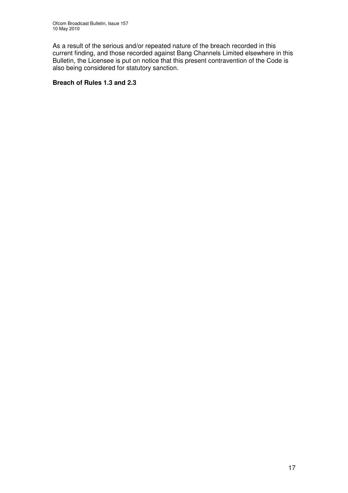As a result of the serious and/or repeated nature of the breach recorded in this current finding, and those recorded against Bang Channels Limited elsewhere in this Bulletin, the Licensee is put on notice that this present contravention of the Code is also being considered for statutory sanction.

#### **Breach of Rules 1.3 and 2.3**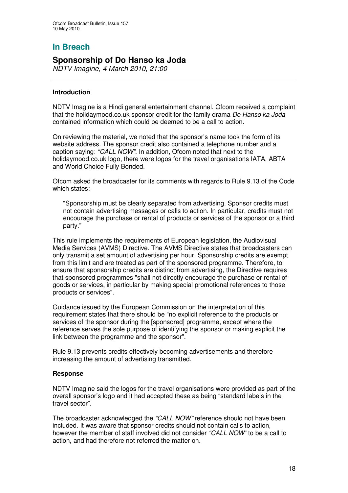# **Sponsorship of Do Hanso ka Joda**

*NDTV Imagine, 4 March 2010, 21:00*

#### **Introduction**

NDTV Imagine is a Hindi general entertainment channel. Ofcom received a complaint that the holidaymood.co.uk sponsor credit for the family drama *Do Hanso ka Joda* contained information which could be deemed to be a call to action.

On reviewing the material, we noted that the sponsor's name took the form of its website address. The sponsor credit also contained a telephone number and a caption saying: *"CALL NOW".* In addition, Ofcom noted that next to the holidaymood.co.uk logo, there were logos for the travel organisations IATA, ABTA and World Choice Fully Bonded.

Ofcom asked the broadcaster for its comments with regards to Rule 9.13 of the Code which states:

"Sponsorship must be clearly separated from advertising. Sponsor credits must not contain advertising messages or calls to action. In particular, credits must not encourage the purchase or rental of products or services of the sponsor or a third party."

This rule implements the requirements of European legislation, the Audiovisual Media Services (AVMS) Directive. The AVMS Directive states that broadcasters can only transmit a set amount of advertising per hour. Sponsorship credits are exempt from this limit and are treated as part of the sponsored programme. Therefore, to ensure that sponsorship credits are distinct from advertising, the Directive requires that sponsored programmes "shall not directly encourage the purchase or rental of goods or services, in particular by making special promotional references to those products or services".

Guidance issued by the European Commission on the interpretation of this requirement states that there should be "no explicit reference to the products or services of the sponsor during the [sponsored] programme, except where the reference serves the sole purpose of identifying the sponsor or making explicit the link between the programme and the sponsor".

Rule 9.13 prevents credits effectively becoming advertisements and therefore increasing the amount of advertising transmitted.

#### **Response**

NDTV Imagine said the logos for the travel organisations were provided as part of the overall sponsor's logo and it had accepted these as being "standard labels in the travel sector".

The broadcaster acknowledged the *"CALL NOW"* reference should not have been included. It was aware that sponsor credits should not contain calls to action, however the member of staff involved did not consider *"CALL NOW"* to be a call to action, and had therefore not referred the matter on.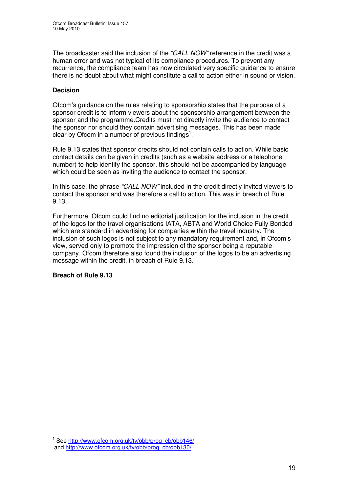The broadcaster said the inclusion of the *"CALL NOW"* reference in the credit was a human error and was not typical of its compliance procedures. To prevent any recurrence, the compliance team has now circulated very specific guidance to ensure there is no doubt about what might constitute a call to action either in sound or vision.

#### **Decision**

Ofcom's guidance on the rules relating to sponsorship states that the purpose of a sponsor credit is to inform viewers about the sponsorship arrangement between the sponsor and the programme.Credits must not directly invite the audience to contact the sponsor nor should they contain advertising messages. This has been made clear by Ofcom in a number of previous findings<sup>1</sup>.

Rule 9.13 states that sponsor credits should not contain calls to action. While basic contact details can be given in credits (such as a website address or a telephone number) to help identify the sponsor, this should not be accompanied by language which could be seen as inviting the audience to contact the sponsor.

In this case, the phrase *"CALL NOW"* included in the credit directly invited viewers to contact the sponsor and was therefore a call to action. This was in breach of Rule 9.13.

Furthermore, Ofcom could find no editorial justification for the inclusion in the credit of the logos for the travel organisations IATA, ABTA and World Choice Fully Bonded which are standard in advertising for companies within the travel industry. The inclusion of such logos is not subject to any mandatory requirement and, in Ofcom's view, served only to promote the impression of the sponsor being a reputable company. Ofcom therefore also found the inclusion of the logos to be an advertising message within the credit, in breach of Rule 9.13.

#### **Breach of Rule 9.13**

<sup>&</sup>lt;sup>1</sup> See http://www.ofcom.org.uk/tv/obb/prog\_cb/obb146/ and http://www.ofcom.org.uk/tv/obb/prog\_cb/obb130/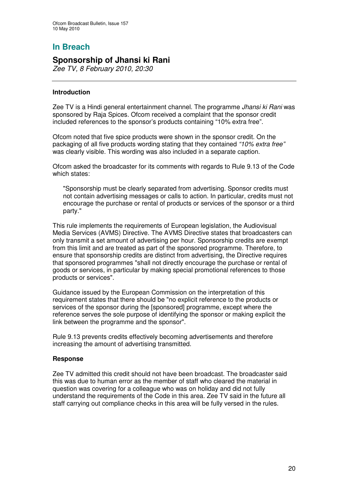## **Sponsorship of Jhansi ki Rani**

*Zee TV, 8 February 2010, 20:30*

#### **Introduction**

Zee TV is a Hindi general entertainment channel. The programme *Jhansi ki Rani* was sponsored by Raja Spices. Ofcom received a complaint that the sponsor credit included references to the sponsor's products containing "10% extra free".

Ofcom noted that five spice products were shown in the sponsor credit. On the packaging of all five products wording stating that they contained *"10% extra free"* was clearly visible. This wording was also included in a separate caption.

Ofcom asked the broadcaster for its comments with regards to Rule 9.13 of the Code which states:

"Sponsorship must be clearly separated from advertising. Sponsor credits must not contain advertising messages or calls to action. In particular, credits must not encourage the purchase or rental of products or services of the sponsor or a third party."

This rule implements the requirements of European legislation, the Audiovisual Media Services (AVMS) Directive. The AVMS Directive states that broadcasters can only transmit a set amount of advertising per hour. Sponsorship credits are exempt from this limit and are treated as part of the sponsored programme. Therefore, to ensure that sponsorship credits are distinct from advertising, the Directive requires that sponsored programmes "shall not directly encourage the purchase or rental of goods or services, in particular by making special promotional references to those products or services".

Guidance issued by the European Commission on the interpretation of this requirement states that there should be "no explicit reference to the products or services of the sponsor during the [sponsored] programme, except where the reference serves the sole purpose of identifying the sponsor or making explicit the link between the programme and the sponsor".

Rule 9.13 prevents credits effectively becoming advertisements and therefore increasing the amount of advertising transmitted.

#### **Response**

Zee TV admitted this credit should not have been broadcast. The broadcaster said this was due to human error as the member of staff who cleared the material in question was covering for a colleague who was on holiday and did not fully understand the requirements of the Code in this area. Zee TV said in the future all staff carrying out compliance checks in this area will be fully versed in the rules.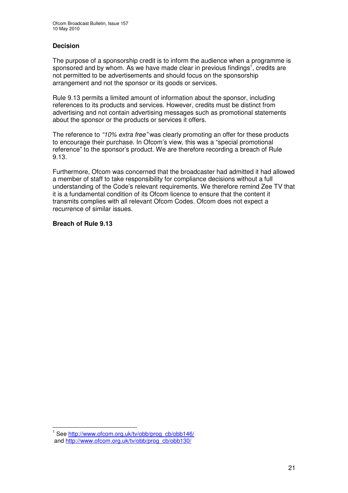#### **Decision**

The purpose of a sponsorship credit is to inform the audience when a programme is sponsored and by whom. As we have made clear in previous findings<sup>1</sup>, credits are not permitted to be advertisements and should focus on the sponsorship arrangement and not the sponsor or its goods or services.

Rule 9.13 permits a limited amount of information about the sponsor, including references to its products and services. However, credits must be distinct from advertising and not contain advertising messages such as promotional statements about the sponsor or the products or services it offers.

The reference to *"10% extra free"* was clearly promoting an offer for these products to encourage their purchase. In Ofcom's view, this was a "special promotional reference" to the sponsor's product. We are therefore recording a breach of Rule 9.13.

Furthermore, Ofcom was concerned that the broadcaster had admitted it had allowed a member of staff to take responsibility for compliance decisions without a full understanding of the Code's relevant requirements. We therefore remind Zee TV that it is a fundamental condition of its Ofcom licence to ensure that the content it transmits complies with all relevant Ofcom Codes. Ofcom does not expect a recurrence of similar issues.

#### **Breach of Rule 9.13**

<sup>1</sup> See http://www.ofcom.org.uk/tv/obb/prog\_cb/obb146/ and http://www.ofcom.org.uk/tv/obb/prog\_cb/obb130/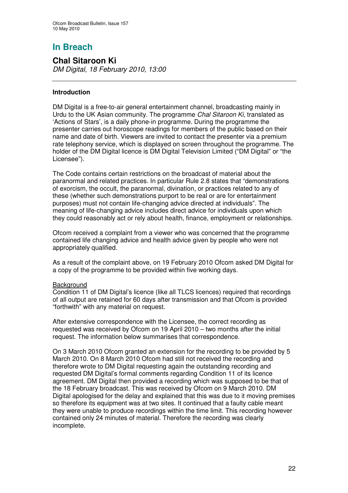#### **Chal Sitaroon Ki** *DM Digital, 18 February 2010, 13:00*

#### **Introduction**

DM Digital is a free-to-air general entertainment channel, broadcasting mainly in Urdu to the UK Asian community. The programme *Chal Sitaroon Ki*, translated as 'Actions of Stars', is a daily phone-in programme. During the programme the presenter carries out horoscope readings for members of the public based on their name and date of birth. Viewers are invited to contact the presenter via a premium rate telephony service, which is displayed on screen throughout the programme. The holder of the DM Digital licence is DM Digital Television Limited ("DM Digital" or "the Licensee").

The Code contains certain restrictions on the broadcast of material about the paranormal and related practices. In particular Rule 2.8 states that "demonstrations of exorcism, the occult, the paranormal, divination, or practices related to any of these (whether such demonstrations purport to be real or are for entertainment purposes) must not contain life-changing advice directed at individuals". The meaning of life-changing advice includes direct advice for individuals upon which they could reasonably act or rely about health, finance, employment or relationships.

Ofcom received a complaint from a viewer who was concerned that the programme contained life changing advice and health advice given by people who were not appropriately qualified.

As a result of the complaint above, on 19 February 2010 Ofcom asked DM Digital for a copy of the programme to be provided within five working days.

#### **Background**

Condition 11 of DM Digital's licence (like all TLCS licences) required that recordings of all output are retained for 60 days after transmission and that Ofcom is provided "forthwith" with any material on request.

After extensive correspondence with the Licensee, the correct recording as requested was received by Ofcom on 19 April 2010 – two months after the initial request. The information below summarises that correspondence.

On 3 March 2010 Ofcom granted an extension for the recording to be provided by 5 March 2010. On 8 March 2010 Ofcom had still not received the recording and therefore wrote to DM Digital requesting again the outstanding recording and requested DM Digital's formal comments regarding Condition 11 of its licence agreement. DM Digital then provided a recording which was supposed to be that of the 18 February broadcast. This was received by Ofcom on 9 March 2010. DM Digital apologised for the delay and explained that this was due to it moving premises so therefore its equipment was at two sites. It continued that a faulty cable meant they were unable to produce recordings within the time limit. This recording however contained only 24 minutes of material. Therefore the recording was clearly incomplete.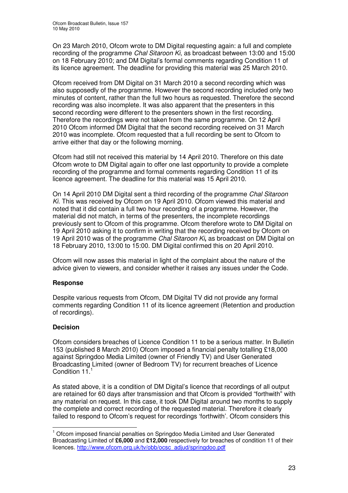On 23 March 2010, Ofcom wrote to DM Digital requesting again: a full and complete recording of the programme *Chal Sitaroon Ki*, as broadcast between 13:00 and 15:00 on 18 February 2010; and DM Digital's formal comments regarding Condition 11 of its licence agreement. The deadline for providing this material was 25 March 2010.

Ofcom received from DM Digital on 31 March 2010 a second recording which was also supposedly of the programme. However the second recording included only two minutes of content, rather than the full two hours as requested. Therefore the second recording was also incomplete. It was also apparent that the presenters in this second recording were different to the presenters shown in the first recording. Therefore the recordings were not taken from the same programme. On 12 April 2010 Ofcom informed DM Digital that the second recording received on 31 March 2010 was incomplete. Ofcom requested that a full recording be sent to Ofcom to arrive either that day or the following morning.

Ofcom had still not received this material by 14 April 2010. Therefore on this date Ofcom wrote to DM Digital again to offer one last opportunity to provide a complete recording of the programme and formal comments regarding Condition 11 of its licence agreement. The deadline for this material was 15 April 2010.

On 14 April 2010 DM Digital sent a third recording of the programme *Chal Sitaroon Ki.* This was received by Ofcom on 19 April 2010. Ofcom viewed this material and noted that it did contain a full two hour recording of a programme. However, the material did not match, in terms of the presenters, the incomplete recordings previously sent to Ofcom of this programme. Ofcom therefore wrote to DM Digital on 19 April 2010 asking it to confirm in writing that the recording received by Ofcom on 19 April 2010 was of the programme *Chal Sitaroon Ki***,** as broadcast on DM Digital on 18 February 2010, 13:00 to 15:00. DM Digital confirmed this on 20 April 2010.

Ofcom will now asses this material in light of the complaint about the nature of the advice given to viewers, and consider whether it raises any issues under the Code.

#### **Response**

Despite various requests from Ofcom, DM Digital TV did not provide any formal comments regarding Condition 11 of its licence agreement (Retention and production of recordings).

#### **Decision**

Ofcom considers breaches of Licence Condition 11 to be a serious matter. In Bulletin 153 (published 8 March 2010) Ofcom imposed a financial penalty totalling £18,000 against Springdoo Media Limited (owner of Friendly TV) and User Generated Broadcasting Limited (owner of Bedroom TV) for recurrent breaches of Licence Condition 11.<sup>1</sup>

As stated above, it is a condition of DM Digital's licence that recordings of all output are retained for 60 days after transmission and that Ofcom is provided "forthwith" with any material on request. In this case, it took DM Digital around two months to supply the complete and correct recording of the requested material. Therefore it clearly failed to respond to Ofcom's request for recordings 'forthwith'. Ofcom considers this

 $1$  Ofcom imposed financial penalties on Springdoo Media Limited and User Generated Broadcasting Limited of **£6,000** and **£12,000** respectively for breaches of condition 11 of their licences. http://www.ofcom.org.uk/tv/obb/ocsc\_adjud/springdoo.pdf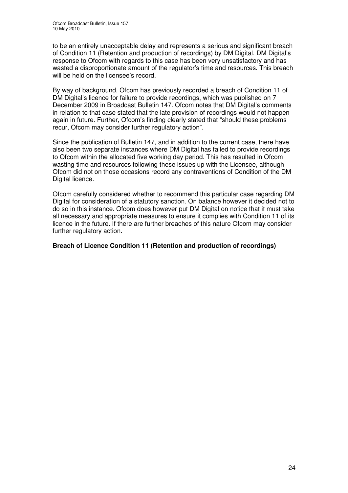to be an entirely unacceptable delay and represents a serious and significant breach of Condition 11 (Retention and production of recordings) by DM Digital. DM Digital's response to Ofcom with regards to this case has been very unsatisfactory and has wasted a disproportionate amount of the regulator's time and resources. This breach will be held on the licensee's record.

By way of background, Ofcom has previously recorded a breach of Condition 11 of DM Digital's licence for failure to provide recordings, which was published on 7 December 2009 in Broadcast Bulletin 147. Ofcom notes that DM Digital's comments in relation to that case stated that the late provision of recordings would not happen again in future. Further, Ofcom's finding clearly stated that "should these problems recur, Ofcom may consider further regulatory action".

Since the publication of Bulletin 147, and in addition to the current case, there have also been two separate instances where DM Digital has failed to provide recordings to Ofcom within the allocated five working day period. This has resulted in Ofcom wasting time and resources following these issues up with the Licensee, although Ofcom did not on those occasions record any contraventions of Condition of the DM Digital licence.

Ofcom carefully considered whether to recommend this particular case regarding DM Digital for consideration of a statutory sanction. On balance however it decided not to do so in this instance. Ofcom does however put DM Digital on notice that it must take all necessary and appropriate measures to ensure it complies with Condition 11 of its licence in the future. If there are further breaches of this nature Ofcom may consider further regulatory action.

#### **Breach of Licence Condition 11 (Retention and production of recordings)**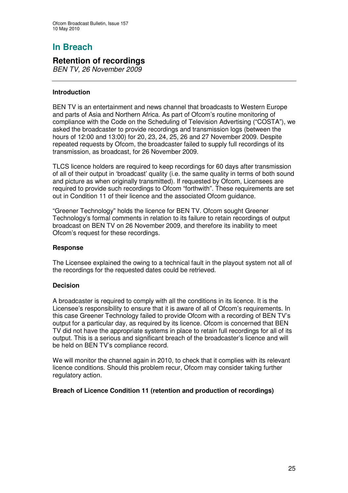## **Retention of recordings**

*BEN TV, 26 November 2009*

#### **Introduction**

BEN TV is an entertainment and news channel that broadcasts to Western Europe and parts of Asia and Northern Africa. As part of Ofcom's routine monitoring of compliance with the Code on the Scheduling of Television Advertising ("COSTA"), we asked the broadcaster to provide recordings and transmission logs (between the hours of 12:00 and 13:00) for 20, 23, 24, 25, 26 and 27 November 2009. Despite repeated requests by Ofcom, the broadcaster failed to supply full recordings of its transmission, as broadcast, for 26 November 2009.

TLCS licence holders are required to keep recordings for 60 days after transmission of all of their output in 'broadcast' quality (i.e. the same quality in terms of both sound and picture as when originally transmitted). If requested by Ofcom, Licensees are required to provide such recordings to Ofcom "forthwith". These requirements are set out in Condition 11 of their licence and the associated Ofcom guidance.

"Greener Technology" holds the licence for BEN TV. Ofcom sought Greener Technology's formal comments in relation to its failure to retain recordings of output broadcast on BEN TV on 26 November 2009, and therefore its inability to meet Ofcom's request for these recordings.

#### **Response**

The Licensee explained the owing to a technical fault in the playout system not all of the recordings for the requested dates could be retrieved.

#### **Decision**

A broadcaster is required to comply with all the conditions in its licence. It is the Licensee's responsibility to ensure that it is aware of all of Ofcom's requirements. In this case Greener Technology failed to provide Ofcom with a recording of BEN TV's output for a particular day, as required by its licence. Ofcom is concerned that BEN TV did not have the appropriate systems in place to retain full recordings for all of its output. This is a serious and significant breach of the broadcaster's licence and will be held on BEN TV's compliance record.

We will monitor the channel again in 2010, to check that it complies with its relevant licence conditions. Should this problem recur, Ofcom may consider taking further regulatory action.

#### **Breach of Licence Condition 11 (retention and production of recordings)**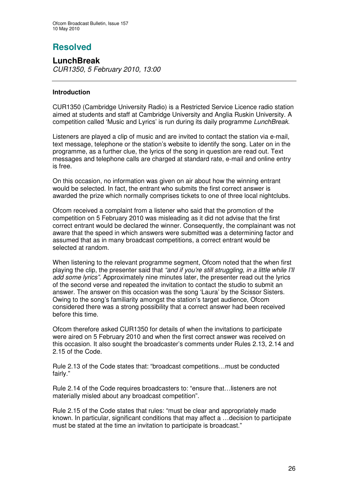# **Resolved**

**LunchBreak** *CUR1350, 5 February 2010, 13:00*

#### **Introduction**

CUR1350 (Cambridge University Radio) is a Restricted Service Licence radio station aimed at students and staff at Cambridge University and Anglia Ruskin University. A competition called 'Music and Lyrics' is run during its daily programme *LunchBreak*.

Listeners are played a clip of music and are invited to contact the station via e-mail, text message, telephone or the station's website to identify the song. Later on in the programme, as a further clue, the lyrics of the song in question are read out. Text messages and telephone calls are charged at standard rate, e-mail and online entry is free.

On this occasion, no information was given on air about how the winning entrant would be selected. In fact, the entrant who submits the first correct answer is awarded the prize which normally comprises tickets to one of three local nightclubs.

Ofcom received a complaint from a listener who said that the promotion of the competition on 5 February 2010 was misleading as it did not advise that the first correct entrant would be declared the winner. Consequently, the complainant was not aware that the speed in which answers were submitted was a determining factor and assumed that as in many broadcast competitions, a correct entrant would be selected at random.

When listening to the relevant programme segment, Ofcom noted that the when first playing the clip, the presenter said that *"and if you're still struggling, in a little while I'll add some lyrics"*. Approximately nine minutes later, the presenter read out the lyrics of the second verse and repeated the invitation to contact the studio to submit an answer. The answer on this occasion was the song 'Laura' by the Scissor Sisters. Owing to the song's familiarity amongst the station's target audience, Ofcom considered there was a strong possibility that a correct answer had been received before this time.

Ofcom therefore asked CUR1350 for details of when the invitations to participate were aired on 5 February 2010 and when the first correct answer was received on this occasion. It also sought the broadcaster's comments under Rules 2.13, 2.14 and 2.15 of the Code.

Rule 2.13 of the Code states that: "broadcast competitions…must be conducted fairly."

Rule 2.14 of the Code requires broadcasters to: "ensure that…listeners are not materially misled about any broadcast competition".

Rule 2.15 of the Code states that rules: "must be clear and appropriately made known. In particular, significant conditions that may affect a …decision to participate must be stated at the time an invitation to participate is broadcast."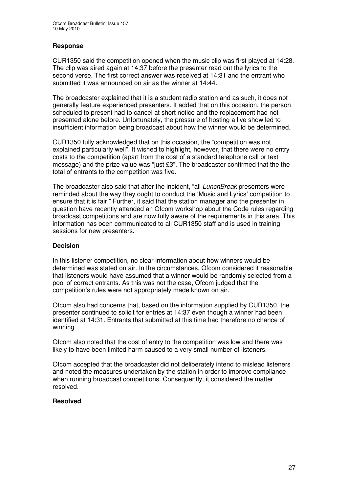#### **Response**

CUR1350 said the competition opened when the music clip was first played at 14:28. The clip was aired again at 14:37 before the presenter read out the lyrics to the second verse. The first correct answer was received at 14:31 and the entrant who submitted it was announced on air as the winner at 14:44.

The broadcaster explained that it is a student radio station and as such, it does not generally feature experienced presenters. It added that on this occasion, the person scheduled to present had to cancel at short notice and the replacement had not presented alone before. Unfortunately, the pressure of hosting a live show led to insufficient information being broadcast about how the winner would be determined.

CUR1350 fully acknowledged that on this occasion, the "competition was not explained particularly well". It wished to highlight, however, that there were no entry costs to the competition (apart from the cost of a standard telephone call or text message) and the prize value was "just £3". The broadcaster confirmed that the the total of entrants to the competition was five.

The broadcaster also said that after the incident, "all *LunchBreak* presenters were reminded about the way they ought to conduct the 'Music and Lyrics' competition to ensure that it is fair." Further, it said that the station manager and the presenter in question have recently attended an Ofcom workshop about the Code rules regarding broadcast competitions and are now fully aware of the requirements in this area. This information has been communicated to all CUR1350 staff and is used in training sessions for new presenters.

#### **Decision**

In this listener competition, no clear information about how winners would be determined was stated on air. In the circumstances, Ofcom considered it reasonable that listeners would have assumed that a winner would be randomly selected from a pool of correct entrants. As this was not the case, Ofcom judged that the competition's rules were not appropriately made known on air.

Ofcom also had concerns that, based on the information supplied by CUR1350, the presenter continued to solicit for entries at 14:37 even though a winner had been identified at 14:31. Entrants that submitted at this time had therefore no chance of winning.

Ofcom also noted that the cost of entry to the competition was low and there was likely to have been limited harm caused to a very small number of listeners.

Ofcom accepted that the broadcaster did not deliberately intend to mislead listeners and noted the measures undertaken by the station in order to improve compliance when running broadcast competitions. Consequently, it considered the matter resolved.

#### **Resolved**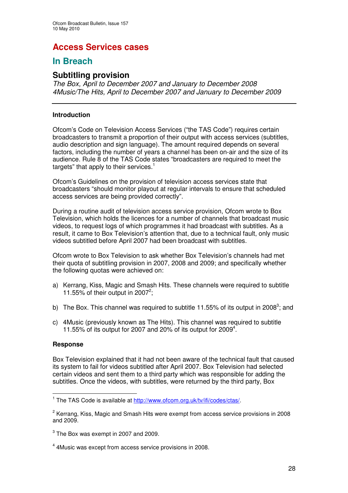# **Access Services cases**

## **In Breach**

## **Subtitling provision**

*The Box, April to December 2007 and January to December 2008 4Music/The Hits, April to December 2007 and January to December 2009*

#### **Introduction**

Ofcom's Code on Television Access Services ("the TAS Code") requires certain broadcasters to transmit a proportion of their output with access services (subtitles, audio description and sign language). The amount required depends on several factors, including the number of years a channel has been on-air and the size of its audience. Rule 8 of the TAS Code states "broadcasters are required to meet the targets" that apply to their services.<sup>1</sup>

Ofcom's Guidelines on the provision of television access services state that broadcasters "should monitor playout at regular intervals to ensure that scheduled access services are being provided correctly".

During a routine audit of television access service provision, Ofcom wrote to Box Television, which holds the licences for a number of channels that broadcast music videos, to request logs of which programmes it had broadcast with subtitles. As a result, it came to Box Television's attention that, due to a technical fault, only music videos subtitled before April 2007 had been broadcast with subtitles.

Ofcom wrote to Box Television to ask whether Box Television's channels had met their quota of subtitling provision in 2007, 2008 and 2009; and specifically whether the following quotas were achieved on:

- a) Kerrang, Kiss, Magic and Smash Hits. These channels were required to subtitle 11.55% of their output in 2007<sup>2</sup>;
- b) The Box. This channel was required to subtitle 11.55% of its output in 2008<sup>3</sup>; and
- c) 4Music (previously known as The Hits). This channel was required to subtitle 11.55% of its output for 2007 and 20% of its output for 2009 4 .

#### **Response**

Box Television explained that it had not been aware of the technical fault that caused its system to fail for videos subtitled after April 2007. Box Television had selected certain videos and sent them to a third party which was responsible for adding the subtitles. Once the videos, with subtitles, were returned by the third party, Box

<sup>&</sup>lt;sup>1</sup> The TAS Code is available at http://www.ofcom.org.uk/tv/ifi/codes/ctas/.

<sup>&</sup>lt;sup>2</sup> Kerrang, Kiss, Magic and Smash Hits were exempt from access service provisions in 2008 and 2009.

 $^3$  The Box was exempt in 2007 and 2009.

<sup>&</sup>lt;sup>4</sup> 4Music was except from access service provisions in 2008.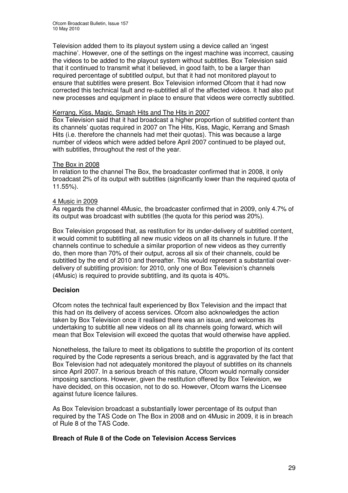Television added them to its playout system using a device called an 'ingest machine'. However, one of the settings on the ingest machine was incorrect, causing the videos to be added to the playout system without subtitles. Box Television said that it continued to transmit what it believed, in good faith, to be a larger than required percentage of subtitled output, but that it had not monitored playout to ensure that subtitles were present. Box Television informed Ofcom that it had now corrected this technical fault and re-subtitled all of the affected videos. It had also put new processes and equipment in place to ensure that videos were correctly subtitled.

#### Kerrang, Kiss, Magic, Smash Hits and The Hits in 2007

Box Television said that it had broadcast a higher proportion of subtitled content than its channels' quotas required in 2007 on The Hits, Kiss, Magic, Kerrang and Smash Hits (i.e. therefore the channels had met their quotas). This was because a large number of videos which were added before April 2007 continued to be played out, with subtitles, throughout the rest of the year.

#### The Box in 2008

In relation to the channel The Box, the broadcaster confirmed that in 2008, it only broadcast 2% of its output with subtitles (significantly lower than the required quota of 11.55%).

#### 4 Music in 2009

As regards the channel 4Music, the broadcaster confirmed that in 2009, only 4.7% of its output was broadcast with subtitles (the quota for this period was 20%).

Box Television proposed that, as restitution for its under-delivery of subtitled content, it would commit to subtitling all new music videos on all its channels in future. If the channels continue to schedule a similar proportion of new videos as they currently do, then more than 70% of their output, across all six of their channels, could be subtitled by the end of 2010 and thereafter. This would represent a substantial overdelivery of subtitling provision: for 2010, only one of Box Television's channels (4Music) is required to provide subtitling, and its quota is 40%.

#### **Decision**

Ofcom notes the technical fault experienced by Box Television and the impact that this had on its delivery of access services. Ofcom also acknowledges the action taken by Box Television once it realised there was an issue, and welcomes its undertaking to subtitle all new videos on all its channels going forward, which will mean that Box Television will exceed the quotas that would otherwise have applied.

Nonetheless, the failure to meet its obligations to subtitle the proportion of its content required by the Code represents a serious breach, and is aggravated by the fact that Box Television had not adequately monitored the playout of subtitles on its channels since April 2007. In a serious breach of this nature, Ofcom would normally consider imposing sanctions. However, given the restitution offered by Box Television, we have decided, on this occasion, not to do so. However, Ofcom warns the Licensee against future licence failures.

As Box Television broadcast a substantially lower percentage of its output than required by the TAS Code on The Box in 2008 and on 4Music in 2009, it is in breach of Rule 8 of the TAS Code.

#### **Breach of Rule 8 of the Code on Television Access Services**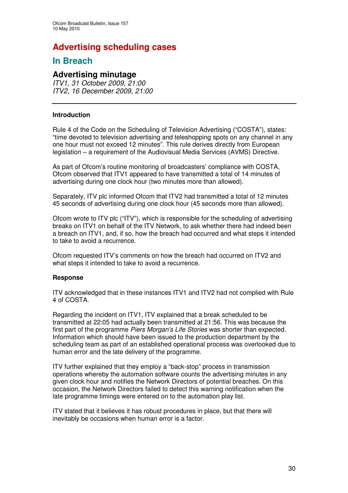# **Advertising scheduling cases**

## **In Breach**

## **Advertising minutage**

*ITV1, 31 October 2009, 21:00 ITV2, 16 December 2009, 21:00*

#### **Introduction**

Rule 4 of the Code on the Scheduling of Television Advertising ("COSTA"), states: "time devoted to television advertising and teleshopping spots on any channel in any one hour must not exceed 12 minutes". This rule derives directly from European legislation – a requirement of the Audiovisual Media Services (AVMS) Directive.

As part of Ofcom's routine monitoring of broadcasters' compliance with COSTA, Ofcom observed that ITV1 appeared to have transmitted a total of 14 minutes of advertising during one clock hour (two minutes more than allowed).

Separately, ITV plc informed Ofcom that ITV2 had transmitted a total of 12 minutes 45 seconds of advertising during one clock hour (45 seconds more than allowed).

Ofcom wrote to ITV plc ("ITV"), which is responsible for the scheduling of advertising breaks on ITV1 on behalf of the ITV Network, to ask whether there had indeed been a breach on ITV1, and, if so, how the breach had occurred and what steps it intended to take to avoid a recurrence.

Ofcom requested ITV's comments on how the breach had occurred on ITV2 and what steps it intended to take to avoid a recurrence.

#### **Response**

ITV acknowledged that in these instances ITV1 and ITV2 had not complied with Rule 4 of COSTA.

Regarding the incident on ITV1, ITV explained that a break scheduled to be transmitted at 22:05 had actually been transmitted at 21:56. This was because the first part of the programme *Piers Morgan's Life Stories* was shorter than expected. Information which should have been issued to the production department by the scheduling team as part of an established operational process was overlooked due to human error and the late delivery of the programme.

ITV further explained that they employ a "back-stop" process in transmission operations whereby the automation software counts the advertising minutes in any given clock hour and notifies the Network Directors of potential breaches. On this occasion, the Network Directors failed to detect this warning notification when the late programme timings were entered on to the automation play list.

ITV stated that it believes it has robust procedures in place, but that there will inevitably be occasions when human error is a factor.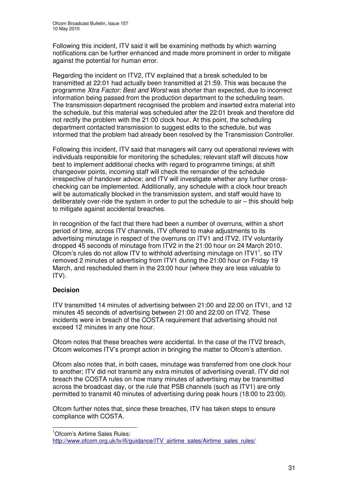Following this incident, ITV said it will be examining methods by which warning notifications can be further enhanced and made more prominent in order to mitigate against the potential for human error.

Regarding the incident on ITV2, ITV explained that a break scheduled to be transmitted at 22:01 had actually been transmitted at 21:59. This was because the programme *Xtra Factor: Best and Worst* was shorter than expected, due to incorrect information being passed from the production department to the scheduling team. The transmission department recognised the problem and inserted extra material into the schedule, but this material was scheduled after the 22:01 break and therefore did not rectify the problem with the 21:00 clock hour. At this point, the scheduling department contacted transmission to suggest edits to the schedule, but was informed that the problem had already been resolved by the Transmission Controller.

Following this incident, ITV said that managers will carry out operational reviews with individuals responsible for monitoring the schedules; relevant staff will discuss how best to implement additional checks with regard to programme timings; at shift changeover points, incoming staff will check the remainder of the schedule irrespective of handover advice; and ITV will investigate whether any further crosschecking can be implemented. Additionally, any schedule with a clock hour breach will be automatically blocked in the transmission system, and staff would have to deliberately over-ride the system in order to put the schedule to air – this should help to mitigate against accidental breaches.

In recognition of the fact that there had been a number of overruns, within a short period of time, across ITV channels, ITV offered to make adjustments to its advertising minutage in respect of the overruns on ITV1 and ITV2. ITV voluntarily dropped 45 seconds of minutage from ITV2 in the 21:00 hour on 24 March 2010. Ofcom's rules do not allow ITV to withhold advertising minutage on ITV1<sup>1</sup>, so ITV removed 2 minutes of advertising from ITV1 during the 21:00 hour on Friday 19 March, and rescheduled them in the 23:00 hour (where they are less valuable to ITV).

#### **Decision**

ITV transmitted 14 minutes of advertising between 21:00 and 22:00 on ITV1, and 12 minutes 45 seconds of advertising between 21:00 and 22:00 on ITV2. These incidents were in breach of the COSTA requirement that advertising should not exceed 12 minutes in any one hour.

Ofcom notes that these breaches were accidental. In the case of the ITV2 breach, Ofcom welcomes ITV's prompt action in bringing the matter to Ofcom's attention.

Ofcom also notes that, in both cases, minutage was transferred from one clock hour to another; ITV did not transmit any extra minutes of advertising overall. ITV did not breach the COSTA rules on how many minutes of advertising may be transmitted across the broadcast day, or the rule that PSB channels (such as ITV1) are only permitted to transmit 40 minutes of advertising during peak hours (18:00 to 23:00).

Ofcom further notes that, since these breaches, ITV has taken steps to ensure compliance with COSTA.

<sup>&</sup>lt;sup>1</sup>Ofcom's Airtime Sales Rules:

http://www.ofcom.org.uk/tv/ifi/guidance/ITV\_airtime\_sales/Airtime\_sales\_rules/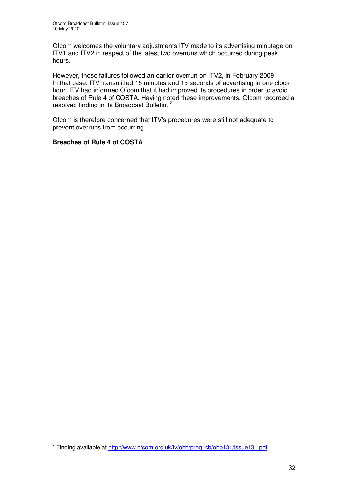Ofcom welcomes the voluntary adjustments ITV made to its advertising minutage on ITV1 and ITV2 in respect of the latest two overruns which occurred during peak hours.

However, these failures followed an earlier overrun on ITV2, in February 2009 In that case, ITV transmitted 15 minutes and 15 seconds of advertising in one clock hour. ITV had informed Ofcom that it had improved its procedures in order to avoid breaches of Rule 4 of COSTA. Having noted these improvements, Ofcom recorded a resolved finding in its Broadcast Bulletin.<sup>2</sup>

Ofcom is therefore concerned that ITV's procedures were still not adequate to prevent overruns from occurring.

#### **Breaches of Rule 4 of COSTA**

<sup>&</sup>lt;sup>2</sup> Finding available at http://www.ofcom.org.uk/tv/obb/prog\_cb/obb131/issue131.pdf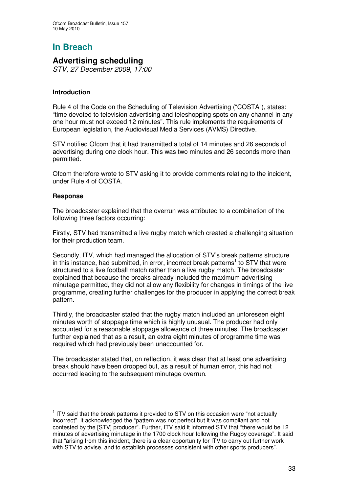## **Advertising scheduling**

*STV, 27 December 2009, 17:00*

#### **Introduction**

Rule 4 of the Code on the Scheduling of Television Advertising ("COSTA"), states: "time devoted to television advertising and teleshopping spots on any channel in any one hour must not exceed 12 minutes". This rule implements the requirements of European legislation, the Audiovisual Media Services (AVMS) Directive.

STV notified Ofcom that it had transmitted a total of 14 minutes and 26 seconds of advertising during one clock hour. This was two minutes and 26 seconds more than permitted.

Ofcom therefore wrote to STV asking it to provide comments relating to the incident, under Rule 4 of COSTA.

#### **Response**

The broadcaster explained that the overrun was attributed to a combination of the following three factors occurring:

Firstly, STV had transmitted a live rugby match which created a challenging situation for their production team.

Secondly, ITV, which had managed the allocation of STV's break patterns structure in this instance, had submitted, in error, incorrect break patterns<sup>1</sup> to STV that were structured to a live football match rather than a live rugby match. The broadcaster explained that because the breaks already included the maximum advertising minutage permitted, they did not allow any flexibility for changes in timings of the live programme, creating further challenges for the producer in applying the correct break pattern.

Thirdly, the broadcaster stated that the rugby match included an unforeseen eight minutes worth of stoppage time which is highly unusual. The producer had only accounted for a reasonable stoppage allowance of three minutes. The broadcaster further explained that as a result, an extra eight minutes of programme time was required which had previously been unaccounted for.

The broadcaster stated that, on reflection, it was clear that at least one advertising break should have been dropped but, as a result of human error, this had not occurred leading to the subsequent minutage overrun.

<sup>&</sup>lt;sup>1</sup> ITV said that the break patterns it provided to STV on this occasion were "not actually incorrect". It acknowledged the "pattern was not perfect but it was compliant and not contested by the [STV] producer". Further, ITV said it informed STV that "there would be 12 minutes of advertising minutage in the 1700 clock hour following the Rugby coverage". It said that "arising from this incident, there is a clear opportunity for ITV to carry out further work with STV to advise, and to establish processes consistent with other sports producers".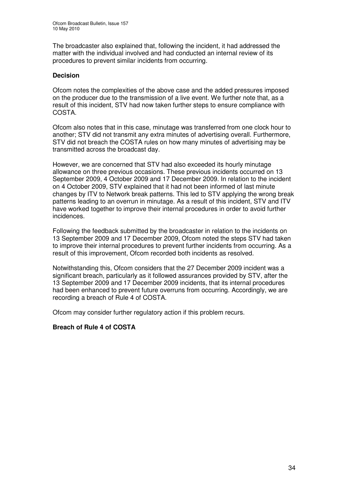The broadcaster also explained that, following the incident, it had addressed the matter with the individual involved and had conducted an internal review of its procedures to prevent similar incidents from occurring.

#### **Decision**

Ofcom notes the complexities of the above case and the added pressures imposed on the producer due to the transmission of a live event. We further note that, as a result of this incident, STV had now taken further steps to ensure compliance with COSTA.

Ofcom also notes that in this case, minutage was transferred from one clock hour to another; STV did not transmit any extra minutes of advertising overall. Furthermore, STV did not breach the COSTA rules on how many minutes of advertising may be transmitted across the broadcast day.

However, we are concerned that STV had also exceeded its hourly minutage allowance on three previous occasions. These previous incidents occurred on 13 September 2009, 4 October 2009 and 17 December 2009. In relation to the incident on 4 October 2009, STV explained that it had not been informed of last minute changes by ITV to Network break patterns. This led to STV applying the wrong break patterns leading to an overrun in minutage. As a result of this incident, STV and ITV have worked together to improve their internal procedures in order to avoid further incidences.

Following the feedback submitted by the broadcaster in relation to the incidents on 13 September 2009 and 17 December 2009, Ofcom noted the steps STV had taken to improve their internal procedures to prevent further incidents from occurring. As a result of this improvement, Ofcom recorded both incidents as resolved.

Notwithstanding this, Ofcom considers that the 27 December 2009 incident was a significant breach, particularly as it followed assurances provided by STV, after the 13 September 2009 and 17 December 2009 incidents, that its internal procedures had been enhanced to prevent future overruns from occurring. Accordingly, we are recording a breach of Rule 4 of COSTA.

Ofcom may consider further regulatory action if this problem recurs.

#### **Breach of Rule 4 of COSTA**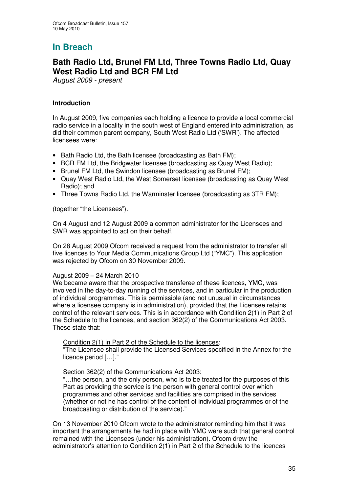## **Bath Radio Ltd, Brunel FM Ltd, Three Towns Radio Ltd, Quay West Radio Ltd and BCR FM Ltd**

*August 2009 - present*

#### **Introduction**

In August 2009, five companies each holding a licence to provide a local commercial radio service in a locality in the south west of England entered into administration, as did their common parent company, South West Radio Ltd ('SWR'). The affected licensees were:

- Bath Radio Ltd, the Bath licensee (broadcasting as Bath FM);
- BCR FM Ltd, the Bridgwater licensee (broadcasting as Quay West Radio);
- Brunel FM Ltd, the Swindon licensee (broadcasting as Brunel FM);
- Quay West Radio Ltd, the West Somerset licensee (broadcasting as Quay West Radio); and
- Three Towns Radio Ltd, the Warminster licensee (broadcasting as 3TR FM);

(together "the Licensees").

On 4 August and 12 August 2009 a common administrator for the Licensees and SWR was appointed to act on their behalf.

On 28 August 2009 Ofcom received a request from the administrator to transfer all five licences to Your Media Communications Group Ltd ("YMC"). This application was rejected by Ofcom on 30 November 2009.

#### August 2009 – 24 March 2010

We became aware that the prospective transferee of these licences, YMC, was involved in the day-to-day running of the services, and in particular in the production of individual programmes. This is permissible (and not unusual in circumstances where a licensee company is in administration), provided that the Licensee retains control of the relevant services. This is in accordance with Condition 2(1) in Part 2 of the Schedule to the licences, and section 362(2) of the Communications Act 2003. These state that:

Condition 2(1) in Part 2 of the Schedule to the licences:

"The Licensee shall provide the Licensed Services specified in the Annex for the licence period […]."

#### Section 362(2) of the Communications Act 2003:

"…the person, and the only person, who is to be treated for the purposes of this Part as providing the service is the person with general control over which programmes and other services and facilities are comprised in the services (whether or not he has control of the content of individual programmes or of the broadcasting or distribution of the service)."

On 13 November 2010 Ofcom wrote to the administrator reminding him that it was important the arrangements he had in place with YMC were such that general control remained with the Licensees (under his administration). Ofcom drew the administrator's attention to Condition 2(1) in Part 2 of the Schedule to the licences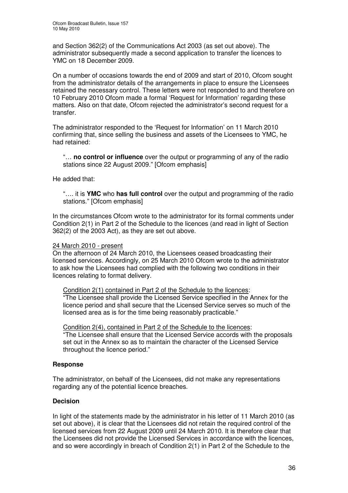and Section 362(2) of the Communications Act 2003 (as set out above). The administrator subsequently made a second application to transfer the licences to YMC on 18 December 2009.

On a number of occasions towards the end of 2009 and start of 2010, Ofcom sought from the administrator details of the arrangements in place to ensure the Licensees retained the necessary control. These letters were not responded to and therefore on 10 February 2010 Ofcom made a formal 'Request for Information' regarding these matters. Also on that date, Ofcom rejected the administrator's second request for a transfer.

The administrator responded to the 'Request for Information' on 11 March 2010 confirming that, since selling the business and assets of the Licensees to YMC, he had retained:

"… **no control or influence** over the output or programming of any of the radio stations since 22 August 2009." [Ofcom emphasis]

He added that:

"…. it is **YMC** who **has full control** over the output and programming of the radio stations." [Ofcom emphasis]

In the circumstances Ofcom wrote to the administrator for its formal comments under Condition 2(1) in Part 2 of the Schedule to the licences (and read in light of Section 362(2) of the 2003 Act), as they are set out above.

24 March 2010 - present

On the afternoon of 24 March 2010, the Licensees ceased broadcasting their licensed services. Accordingly, on 25 March 2010 Ofcom wrote to the administrator to ask how the Licensees had complied with the following two conditions in their licences relating to format delivery.

Condition 2(1) contained in Part 2 of the Schedule to the licences:

"The Licensee shall provide the Licensed Service specified in the Annex for the licence period and shall secure that the Licensed Service serves so much of the licensed area as is for the time being reasonably practicable."

Condition 2(4), contained in Part 2 of the Schedule to the licences: "The Licensee shall ensure that the Licensed Service accords with the proposals

set out in the Annex so as to maintain the character of the Licensed Service throughout the licence period."

#### **Response**

The administrator, on behalf of the Licensees, did not make any representations regarding any of the potential licence breaches.

#### **Decision**

In light of the statements made by the administrator in his letter of 11 March 2010 (as set out above), it is clear that the Licensees did not retain the required control of the licensed services from 22 August 2009 until 24 March 2010. It is therefore clear that the Licensees did not provide the Licensed Services in accordance with the licences, and so were accordingly in breach of Condition 2(1) in Part 2 of the Schedule to the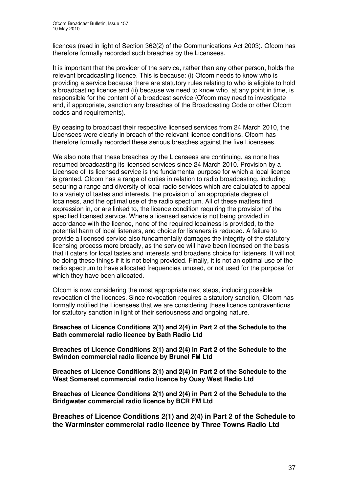licences (read in light of Section 362(2) of the Communications Act 2003). Ofcom has therefore formally recorded such breaches by the Licensees.

It is important that the provider of the service, rather than any other person, holds the relevant broadcasting licence. This is because: (i) Ofcom needs to know who is providing a service because there are statutory rules relating to who is eligible to hold a broadcasting licence and (ii) because we need to know who, at any point in time, is responsible for the content of a broadcast service (Ofcom may need to investigate and, if appropriate, sanction any breaches of the Broadcasting Code or other Ofcom codes and requirements).

By ceasing to broadcast their respective licensed services from 24 March 2010, the Licensees were clearly in breach of the relevant licence conditions. Ofcom has therefore formally recorded these serious breaches against the five Licensees.

We also note that these breaches by the Licensees are continuing, as none has resumed broadcasting its licensed services since 24 March 2010. Provision by a Licensee of its licensed service is the fundamental purpose for which a local licence is granted. Ofcom has a range of duties in relation to radio broadcasting, including securing a range and diversity of local radio services which are calculated to appeal to a variety of tastes and interests, the provision of an appropriate degree of localness, and the optimal use of the radio spectrum. All of these matters find expression in, or are linked to, the licence condition requiring the provision of the specified licensed service. Where a licensed service is not being provided in accordance with the licence, none of the required localness is provided, to the potential harm of local listeners, and choice for listeners is reduced. A failure to provide a licensed service also fundamentally damages the integrity of the statutory licensing process more broadly, as the service will have been licensed on the basis that it caters for local tastes and interests and broadens choice for listeners. It will not be doing these things if it is not being provided. Finally, it is not an optimal use of the radio spectrum to have allocated frequencies unused, or not used for the purpose for which they have been allocated.

Ofcom is now considering the most appropriate next steps, including possible revocation of the licences. Since revocation requires a statutory sanction, Ofcom has formally notified the Licensees that we are considering these licence contraventions for statutory sanction in light of their seriousness and ongoing nature.

**Breaches of Licence Conditions 2(1) and 2(4) in Part 2 of the Schedule to the Bath commercial radio licence by Bath Radio Ltd**

**Breaches of Licence Conditions 2(1) and 2(4) in Part 2 of the Schedule to the Swindon commercial radio licence by Brunel FM Ltd**

**Breaches of Licence Conditions 2(1) and 2(4) in Part 2 of the Schedule to the West Somerset commercial radio licence by Quay West Radio Ltd**

**Breaches of Licence Conditions 2(1) and 2(4) in Part 2 of the Schedule to the Bridgwater commercial radio licence by BCR FM Ltd**

**Breaches of Licence Conditions 2(1) and 2(4) in Part 2 of the Schedule to the Warminster commercial radio licence by Three Towns Radio Ltd**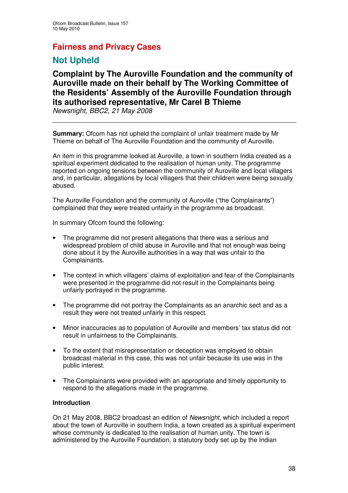## **Fairness and Privacy Cases**

## **Not Upheld**

# **Complaint by The Auroville Foundation and the community of Auroville made on their behalf by The Working Committee of the Residents' Assembly of the Auroville Foundation through its authorised representative, Mr Carel B Thieme**

*Newsnight, BBC2, 21 May 2008*

**Summary:** Ofcom has not upheld the complaint of unfair treatment made by Mr Thieme on behalf of The Auroville Foundation and the community of Auroville.

An item in this programme looked at Auroville, a town in southern India created as a spiritual experiment dedicated to the realisation of human unity. The programme reported on ongoing tensions between the community of Auroville and local villagers and, in particular, allegations by local villagers that their children were being sexually abused.

The Auroville Foundation and the community of Auroville ("the Complainants") complained that they were treated unfairly in the programme as broadcast.

In summary Ofcom found the following:

- The programme did not present allegations that there was a serious and widespread problem of child abuse in Auroville and that not enough was being done about it by the Auroville authorities in a way that was unfair to the Complainants.
- The context in which villagers' claims of exploitation and fear of the Complainants were presented in the programme did not result in the Complainants being unfairly portrayed in the programme.
- The programme did not portray the Complainants as an anarchic sect and as a result they were not treated unfairly in this respect.
- Minor inaccuracies as to population of Auroville and members' tax status did not result in unfairness to the Complainants.
- To the extent that misrepresentation or deception was employed to obtain broadcast material in this case, this was not unfair because its use was in the public interest.
- The Complainants were provided with an appropriate and timely opportunity to respond to the allegations made in the programme.

## **Introduction**

On 21 May 2008, BBC2 broadcast an edition of *Newsnight*, which included a report about the town of Auroville in southern India, a town created as a spiritual experiment whose community is dedicated to the realisation of human unity. The town is administered by the Auroville Foundation, a statutory body set up by the Indian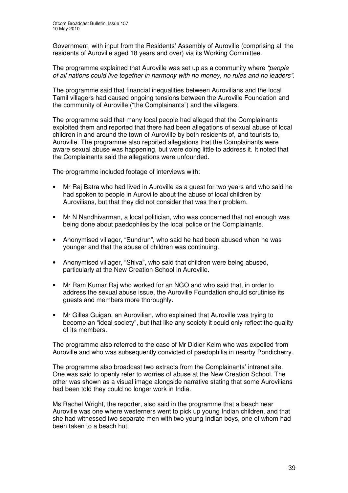Government, with input from the Residents' Assembly of Auroville (comprising all the residents of Auroville aged 18 years and over) via its Working Committee.

The programme explained that Auroville was set up as a community where *"people of all nations could live together in harmony with no money, no rules and no leaders"*.

The programme said that financial inequalities between Aurovilians and the local Tamil villagers had caused ongoing tensions between the Auroville Foundation and the community of Auroville ("the Complainants") and the villagers.

The programme said that many local people had alleged that the Complainants exploited them and reported that there had been allegations of sexual abuse of local children in and around the town of Auroville by both residents of, and tourists to, Auroville. The programme also reported allegations that the Complainants were aware sexual abuse was happening, but were doing little to address it. It noted that the Complainants said the allegations were unfounded.

The programme included footage of interviews with:

- Mr Raj Batra who had lived in Auroville as a guest for two years and who said he had spoken to people in Auroville about the abuse of local children by Aurovilians, but that they did not consider that was their problem.
- Mr N Nandhivarman, a local politician, who was concerned that not enough was being done about paedophiles by the local police or the Complainants.
- Anonymised villager, "Sundrun", who said he had been abused when he was younger and that the abuse of children was continuing.
- Anonymised villager, "Shiva", who said that children were being abused, particularly at the New Creation School in Auroville.
- Mr Ram Kumar Raj who worked for an NGO and who said that, in order to address the sexual abuse issue, the Auroville Foundation should scrutinise its guests and members more thoroughly.
- Mr Gilles Guigan, an Aurovilian, who explained that Auroville was trying to become an "ideal society", but that like any society it could only reflect the quality of its members.

The programme also referred to the case of Mr Didier Keim who was expelled from Auroville and who was subsequently convicted of paedophilia in nearby Pondicherry.

The programme also broadcast two extracts from the Complainants' intranet site. One was said to openly refer to worries of abuse at the New Creation School. The other was shown as a visual image alongside narrative stating that some Aurovilians had been told they could no longer work in India.

Ms Rachel Wright, the reporter, also said in the programme that a beach near Auroville was one where westerners went to pick up young Indian children, and that she had witnessed two separate men with two young Indian boys, one of whom had been taken to a beach hut.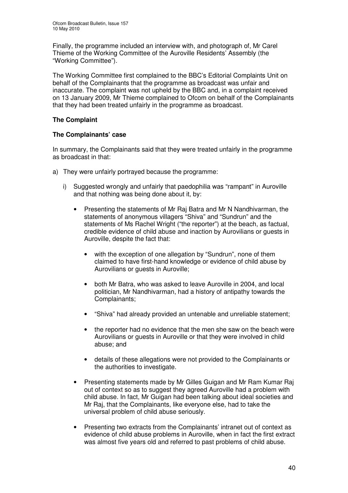Finally, the programme included an interview with, and photograph of, Mr Carel Thieme of the Working Committee of the Auroville Residents' Assembly (the "Working Committee").

The Working Committee first complained to the BBC's Editorial Complaints Unit on behalf of the Complainants that the programme as broadcast was unfair and inaccurate. The complaint was not upheld by the BBC and, in a complaint received on 13 January 2009, Mr Thieme complained to Ofcom on behalf of the Complainants that they had been treated unfairly in the programme as broadcast.

## **The Complaint**

## **The Complainants' case**

In summary, the Complainants said that they were treated unfairly in the programme as broadcast in that:

- a) They were unfairly portrayed because the programme:
	- i) Suggested wrongly and unfairly that paedophilia was "rampant" in Auroville and that nothing was being done about it, by:
		- Presenting the statements of Mr Raj Batra and Mr N Nandhivarman, the statements of anonymous villagers "Shiva" and "Sundrun" and the statements of Ms Rachel Wright ("the reporter") at the beach, as factual, credible evidence of child abuse and inaction by Aurovilians or guests in Auroville, despite the fact that:
			- with the exception of one allegation by "Sundrun", none of them claimed to have first-hand knowledge or evidence of child abuse by Aurovilians or guests in Auroville;
			- both Mr Batra, who was asked to leave Auroville in 2004, and local politician, Mr Nandhivarman, had a history of antipathy towards the Complainants;
			- "Shiva" had already provided an untenable and unreliable statement;
			- the reporter had no evidence that the men she saw on the beach were Aurovilians or guests in Auroville or that they were involved in child abuse; and
			- details of these allegations were not provided to the Complainants or the authorities to investigate.
		- Presenting statements made by Mr Gilles Guigan and Mr Ram Kumar Raj out of context so as to suggest they agreed Auroville had a problem with child abuse. In fact, Mr Guigan had been talking about ideal societies and Mr Raj, that the Complainants, like everyone else, had to take the universal problem of child abuse seriously.
		- Presenting two extracts from the Complainants' intranet out of context as evidence of child abuse problems in Auroville, when in fact the first extract was almost five years old and referred to past problems of child abuse.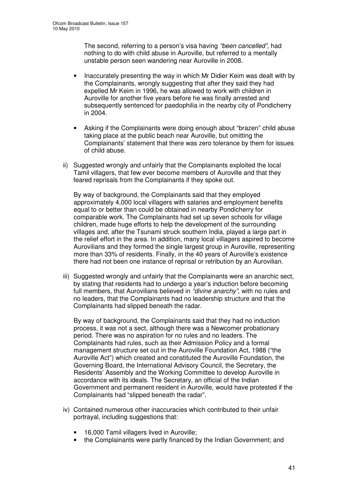The second, referring to a person's visa having *"been cancelled"*, had nothing to do with child abuse in Auroville, but referred to a mentally unstable person seen wandering near Auroville in 2008.

- Inaccurately presenting the way in which Mr Didier Keim was dealt with by the Complainants, wrongly suggesting that after they said they had expelled Mr Keim in 1996, he was allowed to work with children in Auroville for another five years before he was finally arrested and subsequently sentenced for paedophilia in the nearby city of Pondicherry in 2004.
- Asking if the Complainants were doing enough about "brazen" child abuse taking place at the public beach near Auroville, but omitting the Complainants' statement that there was zero tolerance by them for issues of child abuse.
- ii) Suggested wrongly and unfairly that the Complainants exploited the local Tamil villagers, that few ever become members of Auroville and that they feared reprisals from the Complainants if they spoke out.

By way of background, the Complainants said that they employed approximately 4,000 local villagers with salaries and employment benefits equal to or better than could be obtained in nearby Pondicherry for comparable work. The Complainants had set up seven schools for village children, made huge efforts to help the development of the surrounding villages and, after the Tsunami struck southern India, played a large part in the relief effort in the area. In addition, many local villagers aspired to become Aurovilians and they formed the single largest group in Auroville, representing more than 33% of residents. Finally, in the 40 years of Auroville's existence there had not been one instance of reprisal or retribution by an Aurovilian.

iii) Suggested wrongly and unfairly that the Complainants were an anarchic sect, by stating that residents had to undergo a year's induction before becoming full members, that Aurovilians believed in *"divine anarchy"*, with no rules and no leaders, that the Complainants had no leadership structure and that the Complainants had slipped beneath the radar.

By way of background, the Complainants said that they had no induction process, it was not a sect, although there was a Newcomer probationary period. There was no aspiration for no rules and no leaders. The Complainants had rules, such as their Admission Policy and a formal management structure set out in the Auroville Foundation Act, 1988 ("the Auroville Act") which created and constituted the Auroville Foundation, the Governing Board, the International Advisory Council, the Secretary, the Residents' Assembly and the Working Committee to develop Auroville in accordance with its ideals. The Secretary, an official of the Indian Government and permanent resident in Auroville, would have protested if the Complainants had "slipped beneath the radar".

- iv) Contained numerous other inaccuracies which contributed to their unfair portrayal, including suggestions that:
	- 16,000 Tamil villagers lived in Auroville;
	- the Complainants were partly financed by the Indian Government; and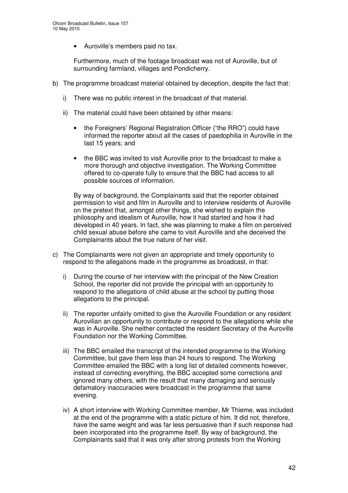• Auroville's members paid no tax.

Furthermore, much of the footage broadcast was not of Auroville, but of surrounding farmland, villages and Pondicherry.

- b) The programme broadcast material obtained by deception, despite the fact that:
	- i) There was no public interest in the broadcast of that material.
	- ii) The material could have been obtained by other means:
		- the Foreigners' Regional Registration Officer ("the RRO") could have informed the reporter about all the cases of paedophilia in Auroville in the last 15 years; and
		- the BBC was invited to visit Auroville prior to the broadcast to make a more thorough and objective investigation. The Working Committee offered to co-operate fully to ensure that the BBC had access to all possible sources of information.

By way of background, the Complainants said that the reporter obtained permission to visit and film in Auroville and to interview residents of Auroville on the pretext that, amongst other things, she wished to explain the philosophy and idealism of Auroville, how it had started and how it had developed in 40 years. In fact, she was planning to make a film on perceived child sexual abuse before she came to visit Auroville and she deceived the Complainants about the true nature of her visit.

- c) The Complainants were not given an appropriate and timely opportunity to respond to the allegations made in the programme as broadcast, in that:
	- i) During the course of her interview with the principal of the New Creation School, the reporter did not provide the principal with an opportunity to respond to the allegations of child abuse at the school by putting those allegations to the principal.
	- ii) The reporter unfairly omitted to give the Auroville Foundation or any resident Aurovilian an opportunity to contribute or respond to the allegations while she was in Auroville. She neither contacted the resident Secretary of the Auroville Foundation nor the Working Committee.
	- iii) The BBC emailed the transcript of the intended programme to the Working Committee, but gave them less than 24 hours to respond. The Working Committee emailed the BBC with a long list of detailed comments however, instead of correcting everything, the BBC accepted some corrections and ignored many others, with the result that many damaging and seriously defamatory inaccuracies were broadcast in the programme that same evening.
	- iv) A short interview with Working Committee member, Mr Thieme, was included at the end of the programme with a static picture of him. It did not, therefore, have the same weight and was far less persuasive than if such response had been incorporated into the programme itself. By way of background, the Complainants said that it was only after strong protests from the Working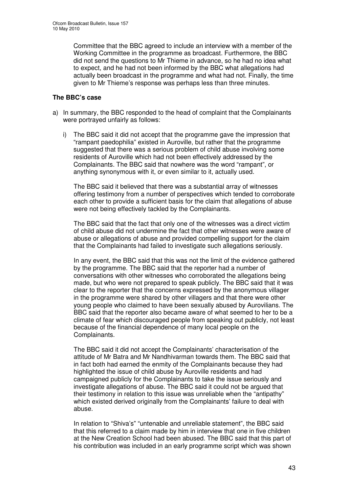Committee that the BBC agreed to include an interview with a member of the Working Committee in the programme as broadcast. Furthermore, the BBC did not send the questions to Mr Thieme in advance, so he had no idea what to expect, and he had not been informed by the BBC what allegations had actually been broadcast in the programme and what had not. Finally, the time given to Mr Thieme's response was perhaps less than three minutes.

## **The BBC's case**

- a) In summary, the BBC responded to the head of complaint that the Complainants were portrayed unfairly as follows:
	- i) The BBC said it did not accept that the programme gave the impression that "rampant paedophilia" existed in Auroville, but rather that the programme suggested that there was a serious problem of child abuse involving some residents of Auroville which had not been effectively addressed by the Complainants. The BBC said that nowhere was the word "rampant", or anything synonymous with it, or even similar to it, actually used.

The BBC said it believed that there was a substantial array of witnesses offering testimony from a number of perspectives which tended to corroborate each other to provide a sufficient basis for the claim that allegations of abuse were not being effectively tackled by the Complainants.

The BBC said that the fact that only one of the witnesses was a direct victim of child abuse did not undermine the fact that other witnesses were aware of abuse or allegations of abuse and provided compelling support for the claim that the Complainants had failed to investigate such allegations seriously.

In any event, the BBC said that this was not the limit of the evidence gathered by the programme. The BBC said that the reporter had a number of conversations with other witnesses who corroborated the allegations being made, but who were not prepared to speak publicly. The BBC said that it was clear to the reporter that the concerns expressed by the anonymous villager in the programme were shared by other villagers and that there were other young people who claimed to have been sexually abused by Aurovilians. The BBC said that the reporter also became aware of what seemed to her to be a climate of fear which discouraged people from speaking out publicly, not least because of the financial dependence of many local people on the Complainants.

The BBC said it did not accept the Complainants' characterisation of the attitude of Mr Batra and Mr Nandhivarman towards them. The BBC said that in fact both had earned the enmity of the Complainants because they had highlighted the issue of child abuse by Auroville residents and had campaigned publicly for the Complainants to take the issue seriously and investigate allegations of abuse. The BBC said it could not be argued that their testimony in relation to this issue was unreliable when the "antipathy" which existed derived originally from the Complainants' failure to deal with abuse.

In relation to "Shiva's" "untenable and unreliable statement", the BBC said that this referred to a claim made by him in interview that one in five children at the New Creation School had been abused. The BBC said that this part of his contribution was included in an early programme script which was shown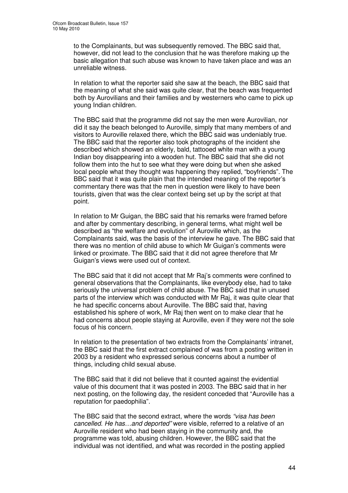to the Complainants, but was subsequently removed. The BBC said that, however, did not lead to the conclusion that he was therefore making up the basic allegation that such abuse was known to have taken place and was an unreliable witness.

In relation to what the reporter said she saw at the beach, the BBC said that the meaning of what she said was quite clear, that the beach was frequented both by Aurovilians and their families and by westerners who came to pick up young Indian children.

The BBC said that the programme did not say the men were Aurovilian, nor did it say the beach belonged to Auroville, simply that many members of and visitors to Auroville relaxed there, which the BBC said was undeniably true. The BBC said that the reporter also took photographs of the incident she described which showed an elderly, bald, tattooed white man with a young Indian boy disappearing into a wooden hut. The BBC said that she did not follow them into the hut to see what they were doing but when she asked local people what they thought was happening they replied, "boyfriends". The BBC said that it was quite plain that the intended meaning of the reporter's commentary there was that the men in question were likely to have been tourists, given that was the clear context being set up by the script at that point.

In relation to Mr Guigan, the BBC said that his remarks were framed before and after by commentary describing, in general terms, what might well be described as "the welfare and evolution" of Auroville which, as the Complainants said, was the basis of the interview he gave. The BBC said that there was no mention of child abuse to which Mr Guigan's comments were linked or proximate. The BBC said that it did not agree therefore that Mr Guigan's views were used out of context.

The BBC said that it did not accept that Mr Raj's comments were confined to general observations that the Complainants, like everybody else, had to take seriously the universal problem of child abuse. The BBC said that in unused parts of the interview which was conducted with Mr Raj, it was quite clear that he had specific concerns about Auroville. The BBC said that, having established his sphere of work, Mr Raj then went on to make clear that he had concerns about people staying at Auroville, even if they were not the sole focus of his concern.

In relation to the presentation of two extracts from the Complainants' intranet, the BBC said that the first extract complained of was from a posting written in 2003 by a resident who expressed serious concerns about a number of things, including child sexual abuse.

The BBC said that it did not believe that it counted against the evidential value of this document that it was posted in 2003. The BBC said that in her next posting, on the following day, the resident conceded that "Auroville has a reputation for paedophilia".

The BBC said that the second extract, where the words *"visa has been cancelled. He has…and deported"* were visible, referred to a relative of an Auroville resident who had been staying in the community and, the programme was told, abusing children. However, the BBC said that the individual was not identified, and what was recorded in the posting applied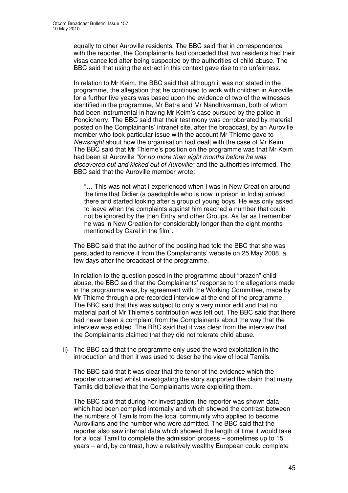equally to other Auroville residents. The BBC said that in correspondence with the reporter, the Complainants had conceded that two residents had their visas cancelled after being suspected by the authorities of child abuse. The BBC said that using the extract in this context gave rise to no unfairness.

In relation to Mr Keim, the BBC said that although it was not stated in the programme, the allegation that he continued to work with children in Auroville for a further five years was based upon the evidence of two of the witnesses identified in the programme, Mr Batra and Mr Nandhivarman, both of whom had been instrumental in having Mr Keim's case pursued by the police in Pondicherry. The BBC said that their testimony was corroborated by material posted on the Complainants' intranet site, after the broadcast, by an Auroville member who took particular issue with the account Mr Thieme gave to *Newsnight* about how the organisation had dealt with the case of Mr Keim. The BBC said that Mr Thieme's position on the programme was that Mr Keim had been at Auroville *"for no more than eight months before he was discovered out and kicked out of Auroville"* and the authorities informed. The BBC said that the Auroville member wrote:

"… This was not what I experienced when I was in New Creation around the time that Didier (a paedophile who is now in prison in India) arrived there and started looking after a group of young boys. He was only asked to leave when the complaints against him reached a number that could not be ignored by the then Entry and other Groups. As far as I remember he was in New Creation for considerably longer than the eight months mentioned by Carel in the film".

The BBC said that the author of the posting had told the BBC that she was persuaded to remove it from the Complainants' website on 25 May 2008, a few days after the broadcast of the programme.

In relation to the question posed in the programme about "brazen" child abuse, the BBC said that the Complainants' response to the allegations made in the programme was, by agreement with the Working Committee, made by Mr Thieme through a pre-recorded interview at the end of the programme. The BBC said that this was subject to only a very minor edit and that no material part of Mr Thieme's contribution was left out. The BBC said that there had never been a complaint from the Complainants about the way that the interview was edited. The BBC said that it was clear from the interview that the Complainants claimed that they did not tolerate child abuse.

ii) The BBC said that the programme only used the word exploitation in the introduction and then it was used to describe the view of local Tamils.

The BBC said that it was clear that the tenor of the evidence which the reporter obtained whilst investigating the story supported the claim that many Tamils did believe that the Complainants were exploiting them.

The BBC said that during her investigation, the reporter was shown data which had been compiled internally and which showed the contrast between the numbers of Tamils from the local community who applied to become Aurovilians and the number who were admitted. The BBC said that the reporter also saw internal data which showed the length of time it would take for a local Tamil to complete the admission process – sometimes up to 15 years – and, by contrast, how a relatively wealthy European could complete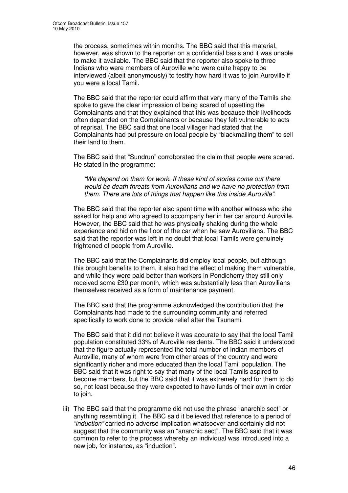the process, sometimes within months. The BBC said that this material, however, was shown to the reporter on a confidential basis and it was unable to make it available. The BBC said that the reporter also spoke to three Indians who were members of Auroville who were quite happy to be interviewed (albeit anonymously) to testify how hard it was to join Auroville if you were a local Tamil.

The BBC said that the reporter could affirm that very many of the Tamils she spoke to gave the clear impression of being scared of upsetting the Complainants and that they explained that this was because their livelihoods often depended on the Complainants or because they felt vulnerable to acts of reprisal. The BBC said that one local villager had stated that the Complainants had put pressure on local people by "blackmailing them" to sell their land to them.

The BBC said that "Sundrun" corroborated the claim that people were scared. He stated in the programme:

*"We depend on them for work. If these kind of stories come out there would be death threats from Aurovilians and we have no protection from them. There are lots of things that happen like this inside Auroville".*

The BBC said that the reporter also spent time with another witness who she asked for help and who agreed to accompany her in her car around Auroville. However, the BBC said that he was physically shaking during the whole experience and hid on the floor of the car when he saw Aurovilians. The BBC said that the reporter was left in no doubt that local Tamils were genuinely frightened of people from Auroville.

The BBC said that the Complainants did employ local people, but although this brought benefits to them, it also had the effect of making them vulnerable, and while they were paid better than workers in Pondicherry they still only received some £30 per month, which was substantially less than Aurovilians themselves received as a form of maintenance payment.

The BBC said that the programme acknowledged the contribution that the Complainants had made to the surrounding community and referred specifically to work done to provide relief after the Tsunami.

The BBC said that it did not believe it was accurate to say that the local Tamil population constituted 33% of Auroville residents. The BBC said it understood that the figure actually represented the total number of Indian members of Auroville, many of whom were from other areas of the country and were significantly richer and more educated than the local Tamil population. The BBC said that it was right to say that many of the local Tamils aspired to become members, but the BBC said that it was extremely hard for them to do so, not least because they were expected to have funds of their own in order to join.

iii) The BBC said that the programme did not use the phrase "anarchic sect" or anything resembling it. The BBC said it believed that reference to a period of *"induction"* carried no adverse implication whatsoever and certainly did not suggest that the community was an "anarchic sect". The BBC said that it was common to refer to the process whereby an individual was introduced into a new job, for instance, as "induction".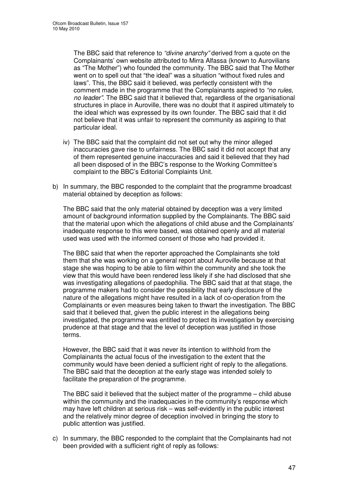The BBC said that reference to *"divine anarchy"* derived from a quote on the Complainants' own website attributed to Mirra Alfassa (known to Aurovilians as "The Mother") who founded the community. The BBC said that The Mother went on to spell out that "the ideal" was a situation "without fixed rules and laws". This, the BBC said it believed, was perfectly consistent with the comment made in the programme that the Complainants aspired to *"no rules, no leader"*. The BBC said that it believed that, regardless of the organisational structures in place in Auroville, there was no doubt that it aspired ultimately to the ideal which was expressed by its own founder. The BBC said that it did not believe that it was unfair to represent the community as aspiring to that particular ideal.

- iv) The BBC said that the complaint did not set out why the minor alleged inaccuracies gave rise to unfairness. The BBC said it did not accept that any of them represented genuine inaccuracies and said it believed that they had all been disposed of in the BBC's response to the Working Committee's complaint to the BBC's Editorial Complaints Unit.
- b) In summary, the BBC responded to the complaint that the programme broadcast material obtained by deception as follows:

The BBC said that the only material obtained by deception was a very limited amount of background information supplied by the Complainants. The BBC said that the material upon which the allegations of child abuse and the Complainants' inadequate response to this were based, was obtained openly and all material used was used with the informed consent of those who had provided it.

The BBC said that when the reporter approached the Complainants she told them that she was working on a general report about Auroville because at that stage she was hoping to be able to film within the community and she took the view that this would have been rendered less likely if she had disclosed that she was investigating allegations of paedophilia. The BBC said that at that stage, the programme makers had to consider the possibility that early disclosure of the nature of the allegations might have resulted in a lack of co-operation from the Complainants or even measures being taken to thwart the investigation. The BBC said that it believed that, given the public interest in the allegations being investigated, the programme was entitled to protect its investigation by exercising prudence at that stage and that the level of deception was justified in those terms.

However, the BBC said that it was never its intention to withhold from the Complainants the actual focus of the investigation to the extent that the community would have been denied a sufficient right of reply to the allegations. The BBC said that the deception at the early stage was intended solely to facilitate the preparation of the programme.

The BBC said it believed that the subject matter of the programme – child abuse within the community and the inadequacies in the community's response which may have left children at serious risk – was self-evidently in the public interest and the relatively minor degree of deception involved in bringing the story to public attention was justified.

c) In summary, the BBC responded to the complaint that the Complainants had not been provided with a sufficient right of reply as follows: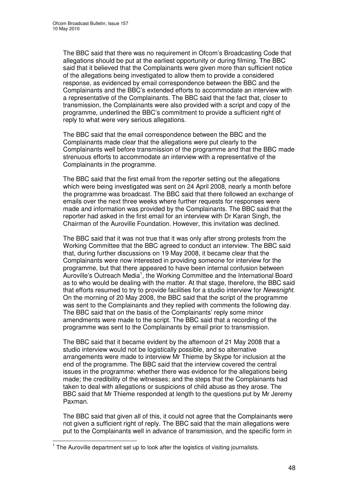The BBC said that there was no requirement in Ofcom's Broadcasting Code that allegations should be put at the earliest opportunity or during filming. The BBC said that it believed that the Complainants were given more than sufficient notice of the allegations being investigated to allow them to provide a considered response, as evidenced by email correspondence between the BBC and the Complainants and the BBC's extended efforts to accommodate an interview with a representative of the Complainants. The BBC said that the fact that, closer to transmission, the Complainants were also provided with a script and copy of the programme, underlined the BBC's commitment to provide a sufficient right of reply to what were very serious allegations.

The BBC said that the email correspondence between the BBC and the Complainants made clear that the allegations were put clearly to the Complainants well before transmission of the programme and that the BBC made strenuous efforts to accommodate an interview with a representative of the Complainants in the programme.

The BBC said that the first email from the reporter setting out the allegations which were being investigated was sent on 24 April 2008, nearly a month before the programme was broadcast. The BBC said that there followed an exchange of emails over the next three weeks where further requests for responses were made and information was provided by the Complainants. The BBC said that the reporter had asked in the first email for an interview with Dr Karan Singh, the Chairman of the Auroville Foundation. However, this invitation was declined.

The BBC said that it was not true that it was only after strong protests from the Working Committee that the BBC agreed to conduct an interview. The BBC said that, during further discussions on 19 May 2008, it became clear that the Complainants were now interested in providing someone for interview for the programme, but that there appeared to have been internal confusion between Auroville's Outreach Media<sup>1</sup>, the Working Committee and the International Board as to who would be dealing with the matter. At that stage, therefore, the BBC said that efforts resumed to try to provide facilities for a studio interview for *Newsnight*. On the morning of 20 May 2008, the BBC said that the script of the programme was sent to the Complainants and they replied with comments the following day. The BBC said that on the basis of the Complainants' reply some minor amendments were made to the script. The BBC said that a recording of the programme was sent to the Complainants by email prior to transmission.

The BBC said that it became evident by the afternoon of 21 May 2008 that a studio interview would not be logistically possible, and so alternative arrangements were made to interview Mr Thieme by Skype for inclusion at the end of the programme. The BBC said that the interview covered the central issues in the programme: whether there was evidence for the allegations being made; the credibility of the witnesses; and the steps that the Complainants had taken to deal with allegations or suspicions of child abuse as they arose. The BBC said that Mr Thieme responded at length to the questions put by Mr Jeremy Paxman.

The BBC said that given all of this, it could not agree that the Complainants were not given a sufficient right of reply. The BBC said that the main allegations were put to the Complainants well in advance of transmission, and the specific form in

 $1$  The Auroville department set up to look after the logistics of visiting journalists.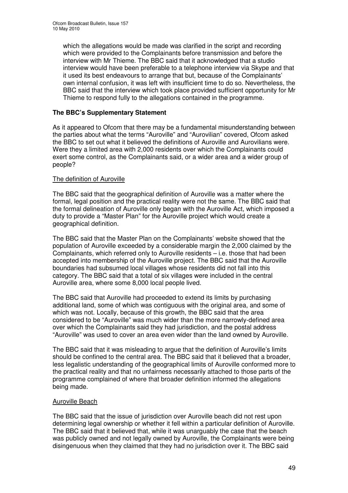which the allegations would be made was clarified in the script and recording which were provided to the Complainants before transmission and before the interview with Mr Thieme. The BBC said that it acknowledged that a studio interview would have been preferable to a telephone interview via Skype and that it used its best endeavours to arrange that but, because of the Complainants' own internal confusion, it was left with insufficient time to do so. Nevertheless, the BBC said that the interview which took place provided sufficient opportunity for Mr Thieme to respond fully to the allegations contained in the programme.

## **The BBC's Supplementary Statement**

As it appeared to Ofcom that there may be a fundamental misunderstanding between the parties about what the terms "Auroville" and "Aurovilian" covered, Ofcom asked the BBC to set out what it believed the definitions of Auroville and Aurovilians were. Were they a limited area with 2,000 residents over which the Complainants could exert some control, as the Complainants said, or a wider area and a wider group of people?

### The definition of Auroville

The BBC said that the geographical definition of Auroville was a matter where the formal, legal position and the practical reality were not the same. The BBC said that the formal delineation of Auroville only began with the Auroville Act, which imposed a duty to provide a "Master Plan" for the Auroville project which would create a geographical definition.

The BBC said that the Master Plan on the Complainants' website showed that the population of Auroville exceeded by a considerable margin the 2,000 claimed by the Complainants, which referred only to Auroville residents – i.e. those that had been accepted into membership of the Auroville project. The BBC said that the Auroville boundaries had subsumed local villages whose residents did not fall into this category. The BBC said that a total of six villages were included in the central Auroville area, where some 8,000 local people lived.

The BBC said that Auroville had proceeded to extend its limits by purchasing additional land, some of which was contiguous with the original area, and some of which was not. Locally, because of this growth, the BBC said that the area considered to be "Auroville" was much wider than the more narrowly-defined area over which the Complainants said they had jurisdiction, and the postal address "Auroville" was used to cover an area even wider than the land owned by Auroville.

The BBC said that it was misleading to argue that the definition of Auroville's limits should be confined to the central area. The BBC said that it believed that a broader, less legalistic understanding of the geographical limits of Auroville conformed more to the practical reality and that no unfairness necessarily attached to those parts of the programme complained of where that broader definition informed the allegations being made.

### Auroville Beach

The BBC said that the issue of jurisdiction over Auroville beach did not rest upon determining legal ownership or whether it fell within a particular definition of Auroville. The BBC said that it believed that, while it was unarguably the case that the beach was publicly owned and not legally owned by Auroville, the Complainants were being disingenuous when they claimed that they had no jurisdiction over it. The BBC said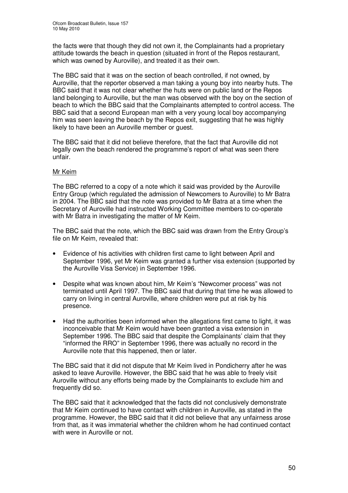the facts were that though they did not own it, the Complainants had a proprietary attitude towards the beach in question (situated in front of the Repos restaurant, which was owned by Auroville), and treated it as their own.

The BBC said that it was on the section of beach controlled, if not owned, by Auroville, that the reporter observed a man taking a young boy into nearby huts. The BBC said that it was not clear whether the huts were on public land or the Repos land belonging to Auroville, but the man was observed with the boy on the section of beach to which the BBC said that the Complainants attempted to control access. The BBC said that a second European man with a very young local boy accompanying him was seen leaving the beach by the Repos exit, suggesting that he was highly likely to have been an Auroville member or guest.

The BBC said that it did not believe therefore, that the fact that Auroville did not legally own the beach rendered the programme's report of what was seen there unfair.

### Mr Keim

The BBC referred to a copy of a note which it said was provided by the Auroville Entry Group (which regulated the admission of Newcomers to Auroville) to Mr Batra in 2004. The BBC said that the note was provided to Mr Batra at a time when the Secretary of Auroville had instructed Working Committee members to co-operate with Mr Batra in investigating the matter of Mr Keim.

The BBC said that the note, which the BBC said was drawn from the Entry Group's file on Mr Keim, revealed that:

- Evidence of his activities with children first came to light between April and September 1996, yet Mr Keim was granted a further visa extension (supported by the Auroville Visa Service) in September 1996.
- Despite what was known about him, Mr Keim's "Newcomer process" was not terminated until April 1997. The BBC said that during that time he was allowed to carry on living in central Auroville, where children were put at risk by his presence.
- Had the authorities been informed when the allegations first came to light, it was inconceivable that Mr Keim would have been granted a visa extension in September 1996. The BBC said that despite the Complainants' claim that they "informed the RRO" in September 1996, there was actually no record in the Auroville note that this happened, then or later.

The BBC said that it did not dispute that Mr Keim lived in Pondicherry after he was asked to leave Auroville. However, the BBC said that he was able to freely visit Auroville without any efforts being made by the Complainants to exclude him and frequently did so.

The BBC said that it acknowledged that the facts did not conclusively demonstrate that Mr Keim continued to have contact with children in Auroville, as stated in the programme. However, the BBC said that it did not believe that any unfairness arose from that, as it was immaterial whether the children whom he had continued contact with were in Auroville or not.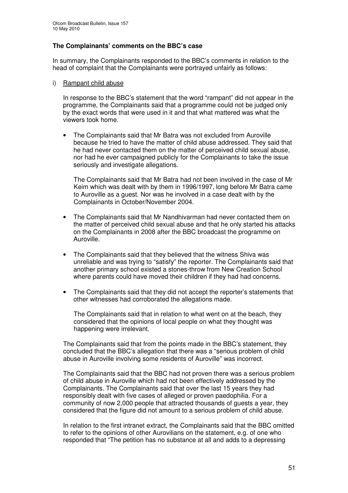## **The Complainants' comments on the BBC's case**

In summary, the Complainants responded to the BBC's comments in relation to the head of complaint that the Complainants were portrayed unfairly as follows:

#### i) Rampant child abuse

In response to the BBC's statement that the word "rampant" did not appear in the programme, the Complainants said that a programme could not be judged only by the exact words that were used in it and that what mattered was what the viewers took home.

• The Complainants said that Mr Batra was not excluded from Auroville because he tried to have the matter of child abuse addressed. They said that he had never contacted them on the matter of perceived child sexual abuse, nor had he ever campaigned publicly for the Complainants to take the issue seriously and investigate allegations.

The Complainants said that Mr Batra had not been involved in the case of Mr Keim which was dealt with by them in 1996/1997, long before Mr Batra came to Auroville as a guest. Nor was he involved in a case dealt with by the Complainants in October/November 2004.

- The Complainants said that Mr Nandhivarman had never contacted them on the matter of perceived child sexual abuse and that he only started his attacks on the Complainants in 2008 after the BBC broadcast the programme on Auroville.
- The Complainants said that they believed that the witness Shiva was unreliable and was trying to "satisfy" the reporter. The Complainants said that another primary school existed a stones-throw from New Creation School where parents could have moved their children if they had had concerns.
- The Complainants said that they did not accept the reporter's statements that other witnesses had corroborated the allegations made.

The Complainants said that in relation to what went on at the beach, they considered that the opinions of local people on what they thought was happening were irrelevant.

The Complainants said that from the points made in the BBC's statement, they concluded that the BBC's allegation that there was a "serious problem of child abuse in Auroville involving some residents of Auroville" was incorrect.

The Complainants said that the BBC had not proven there was a serious problem of child abuse in Auroville which had not been effectively addressed by the Complainants. The Complainants said that over the last 15 years they had responsibly dealt with five cases of alleged or proven paedophilia. For a community of now 2,000 people that attracted thousands of guests a year, they considered that the figure did not amount to a serious problem of child abuse.

In relation to the first intranet extract, the Complainants said that the BBC omitted to refer to the opinions of other Aurovilians on the statement, e.g. of one who responded that "The petition has no substance at all and adds to a depressing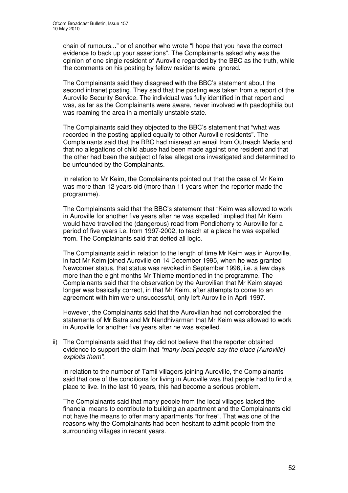chain of rumours..." or of another who wrote "I hope that you have the correct evidence to back up your assertions". The Complainants asked why was the opinion of one single resident of Auroville regarded by the BBC as the truth, while the comments on his posting by fellow residents were ignored.

The Complainants said they disagreed with the BBC's statement about the second intranet posting. They said that the posting was taken from a report of the Auroville Security Service. The individual was fully identified in that report and was, as far as the Complainants were aware, never involved with paedophilia but was roaming the area in a mentally unstable state.

The Complainants said they objected to the BBC's statement that "what was recorded in the posting applied equally to other Auroville residents". The Complainants said that the BBC had misread an email from Outreach Media and that no allegations of child abuse had been made against one resident and that the other had been the subject of false allegations investigated and determined to be unfounded by the Complainants.

In relation to Mr Keim, the Complainants pointed out that the case of Mr Keim was more than 12 years old (more than 11 years when the reporter made the programme).

The Complainants said that the BBC's statement that "Keim was allowed to work in Auroville for another five years after he was expelled" implied that Mr Keim would have travelled the (dangerous) road from Pondicherry to Auroville for a period of five years i.e. from 1997-2002, to teach at a place he was expelled from. The Complainants said that defied all logic.

The Complainants said in relation to the length of time Mr Keim was in Auroville, in fact Mr Keim joined Auroville on 14 December 1995, when he was granted Newcomer status, that status was revoked in September 1996, i.e. a few days more than the eight months Mr Thieme mentioned in the programme. The Complainants said that the observation by the Aurovilian that Mr Keim stayed longer was basically correct, in that Mr Keim, after attempts to come to an agreement with him were unsuccessful, only left Auroville in April 1997.

However, the Complainants said that the Aurovilian had not corroborated the statements of Mr Batra and Mr Nandhivarman that Mr Keim was allowed to work in Auroville for another five years after he was expelled.

ii) The Complainants said that they did not believe that the reporter obtained evidence to support the claim that *"many local people say the place [Auroville] exploits them"*.

In relation to the number of Tamil villagers joining Auroville, the Complainants said that one of the conditions for living in Auroville was that people had to find a place to live. In the last 10 years, this had become a serious problem.

The Complainants said that many people from the local villages lacked the financial means to contribute to building an apartment and the Complainants did not have the means to offer many apartments "for free". That was one of the reasons why the Complainants had been hesitant to admit people from the surrounding villages in recent years.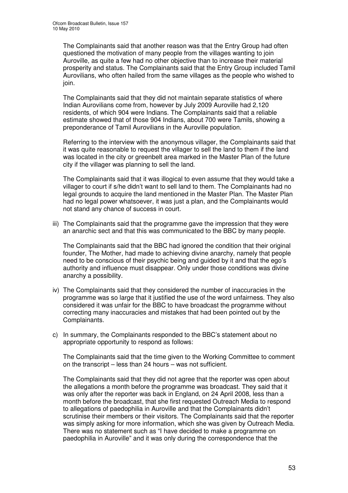The Complainants said that another reason was that the Entry Group had often questioned the motivation of many people from the villages wanting to join Auroville, as quite a few had no other objective than to increase their material prosperity and status. The Complainants said that the Entry Group included Tamil Aurovilians, who often hailed from the same villages as the people who wished to join.

The Complainants said that they did not maintain separate statistics of where Indian Aurovilians come from, however by July 2009 Auroville had 2,120 residents, of which 904 were Indians. The Complainants said that a reliable estimate showed that of those 904 Indians, about 700 were Tamils, showing a preponderance of Tamil Aurovilians in the Auroville population.

Referring to the interview with the anonymous villager, the Complainants said that it was quite reasonable to request the villager to sell the land to them if the land was located in the city or greenbelt area marked in the Master Plan of the future city if the villager was planning to sell the land.

The Complainants said that it was illogical to even assume that they would take a villager to court if s/he didn't want to sell land to them. The Complainants had no legal grounds to acquire the land mentioned in the Master Plan. The Master Plan had no legal power whatsoever, it was just a plan, and the Complainants would not stand any chance of success in court.

iii) The Complainants said that the programme gave the impression that they were an anarchic sect and that this was communicated to the BBC by many people.

The Complainants said that the BBC had ignored the condition that their original founder, The Mother, had made to achieving divine anarchy, namely that people need to be conscious of their psychic being and guided by it and that the ego's authority and influence must disappear. Only under those conditions was divine anarchy a possibility.

- iv) The Complainants said that they considered the number of inaccuracies in the programme was so large that it justified the use of the word unfairness. They also considered it was unfair for the BBC to have broadcast the programme without correcting many inaccuracies and mistakes that had been pointed out by the Complainants.
- c) In summary, the Complainants responded to the BBC's statement about no appropriate opportunity to respond as follows:

The Complainants said that the time given to the Working Committee to comment on the transcript – less than 24 hours – was not sufficient.

The Complainants said that they did not agree that the reporter was open about the allegations a month before the programme was broadcast. They said that it was only after the reporter was back in England, on 24 April 2008, less than a month before the broadcast, that she first requested Outreach Media to respond to allegations of paedophilia in Auroville and that the Complainants didn't scrutinise their members or their visitors. The Complainants said that the reporter was simply asking for more information, which she was given by Outreach Media. There was no statement such as "I have decided to make a programme on paedophilia in Auroville" and it was only during the correspondence that the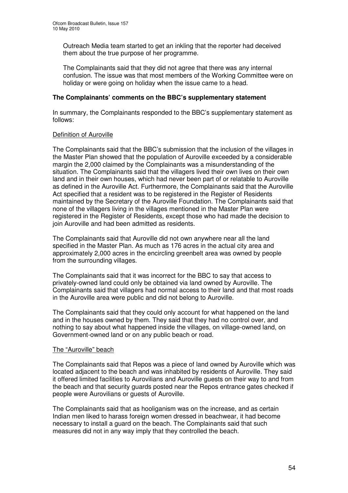Outreach Media team started to get an inkling that the reporter had deceived them about the true purpose of her programme.

The Complainants said that they did not agree that there was any internal confusion. The issue was that most members of the Working Committee were on holiday or were going on holiday when the issue came to a head.

## **The Complainants' comments on the BBC's supplementary statement**

In summary, the Complainants responded to the BBC's supplementary statement as follows:

### Definition of Auroville

The Complainants said that the BBC's submission that the inclusion of the villages in the Master Plan showed that the population of Auroville exceeded by a considerable margin the 2,000 claimed by the Complainants was a misunderstanding of the situation. The Complainants said that the villagers lived their own lives on their own land and in their own houses, which had never been part of or relatable to Auroville as defined in the Auroville Act. Furthermore, the Complainants said that the Auroville Act specified that a resident was to be registered in the Register of Residents maintained by the Secretary of the Auroville Foundation. The Complainants said that none of the villagers living in the villages mentioned in the Master Plan were registered in the Register of Residents, except those who had made the decision to join Auroville and had been admitted as residents.

The Complainants said that Auroville did not own anywhere near all the land specified in the Master Plan. As much as 176 acres in the actual city area and approximately 2,000 acres in the encircling greenbelt area was owned by people from the surrounding villages.

The Complainants said that it was incorrect for the BBC to say that access to privately-owned land could only be obtained via land owned by Auroville. The Complainants said that villagers had normal access to their land and that most roads in the Auroville area were public and did not belong to Auroville.

The Complainants said that they could only account for what happened on the land and in the houses owned by them. They said that they had no control over, and nothing to say about what happened inside the villages, on village-owned land, on Government-owned land or on any public beach or road.

### The "Auroville" beach

The Complainants said that Repos was a piece of land owned by Auroville which was located adjacent to the beach and was inhabited by residents of Auroville. They said it offered limited facilities to Aurovilians and Auroville guests on their way to and from the beach and that security guards posted near the Repos entrance gates checked if people were Aurovilians or guests of Auroville.

The Complainants said that as hooliganism was on the increase, and as certain Indian men liked to harass foreign women dressed in beachwear, it had become necessary to install a guard on the beach. The Complainants said that such measures did not in any way imply that they controlled the beach.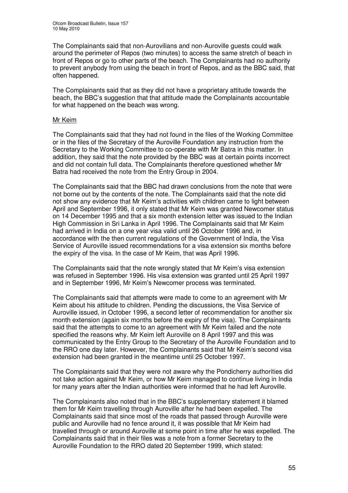The Complainants said that non-Aurovilians and non-Auroville guests could walk around the perimeter of Repos (two minutes) to access the same stretch of beach in front of Repos or go to other parts of the beach. The Complainants had no authority to prevent anybody from using the beach in front of Repos, and as the BBC said, that often happened.

The Complainants said that as they did not have a proprietary attitude towards the beach, the BBC's suggestion that that attitude made the Complainants accountable for what happened on the beach was wrong.

#### Mr Keim

The Complainants said that they had not found in the files of the Working Committee or in the files of the Secretary of the Auroville Foundation any instruction from the Secretary to the Working Committee to co-operate with Mr Batra in this matter. In addition, they said that the note provided by the BBC was at certain points incorrect and did not contain full data. The Complainants therefore questioned whether Mr Batra had received the note from the Entry Group in 2004.

The Complainants said that the BBC had drawn conclusions from the note that were not borne out by the contents of the note. The Complainants said that the note did not show any evidence that Mr Keim's activities with children came to light between April and September 1996, it only stated that Mr Keim was granted Newcomer status on 14 December 1995 and that a six month extension letter was issued to the Indian High Commission in Sri Lanka in April 1996. The Complainants said that Mr Keim had arrived in India on a one year visa valid until 26 October 1996 and, in accordance with the then current regulations of the Government of India, the Visa Service of Auroville issued recommendations for a visa extension six months before the expiry of the visa. In the case of Mr Keim, that was April 1996.

The Complainants said that the note wrongly stated that Mr Keim's visa extension was refused in September 1996. His visa extension was granted until 25 April 1997 and in September 1996, Mr Keim's Newcomer process was terminated.

The Complainants said that attempts were made to come to an agreement with Mr Keim about his attitude to children. Pending the discussions, the Visa Service of Auroville issued, in October 1996, a second letter of recommendation for another six month extension (again six months before the expiry of the visa). The Complainants said that the attempts to come to an agreement with Mr Keim failed and the note specified the reasons why. Mr Keim left Auroville on 8 April 1997 and this was communicated by the Entry Group to the Secretary of the Auroville Foundation and to the RRO one day later. However, the Complainants said that Mr Keim's second visa extension had been granted in the meantime until 25 October 1997.

The Complainants said that they were not aware why the Pondicherry authorities did not take action against Mr Keim, or how Mr Keim managed to continue living in India for many years after the Indian authorities were informed that he had left Auroville.

The Complainants also noted that in the BBC's supplementary statement it blamed them for Mr Keim travelling through Auroville after he had been expelled. The Complainants said that since most of the roads that passed through Auroville were public and Auroville had no fence around it, it was possible that Mr Keim had travelled through or around Auroville at some point in time after he was expelled. The Complainants said that in their files was a note from a former Secretary to the Auroville Foundation to the RRO dated 20 September 1999, which stated: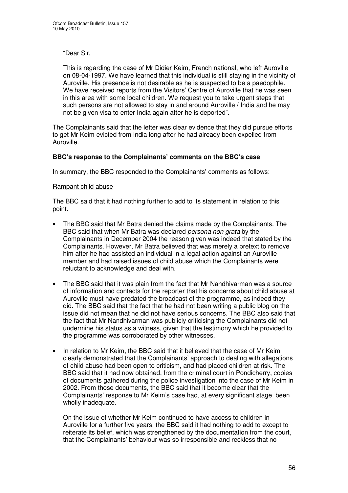"Dear Sir,

This is regarding the case of Mr Didier Keim, French national, who left Auroville on 08-04-1997. We have learned that this individual is still staying in the vicinity of Auroville. His presence is not desirable as he is suspected to be a paedophile. We have received reports from the Visitors' Centre of Auroville that he was seen in this area with some local children. We request you to take urgent steps that such persons are not allowed to stay in and around Auroville / India and he may not be given visa to enter India again after he is deported".

The Complainants said that the letter was clear evidence that they did pursue efforts to get Mr Keim evicted from India long after he had already been expelled from Auroville.

### **BBC's response to the Complainants' comments on the BBC's case**

In summary, the BBC responded to the Complainants' comments as follows:

### Rampant child abuse

The BBC said that it had nothing further to add to its statement in relation to this point.

- The BBC said that Mr Batra denied the claims made by the Complainants. The BBC said that when Mr Batra was declared *persona non grata* by the Complainants in December 2004 the reason given was indeed that stated by the Complainants. However, Mr Batra believed that was merely a pretext to remove him after he had assisted an individual in a legal action against an Auroville member and had raised issues of child abuse which the Complainants were reluctant to acknowledge and deal with.
- The BBC said that it was plain from the fact that Mr Nandhivarman was a source of information and contacts for the reporter that his concerns about child abuse at Auroville must have predated the broadcast of the programme, as indeed they did. The BBC said that the fact that he had not been writing a public blog on the issue did not mean that he did not have serious concerns. The BBC also said that the fact that Mr Nandhivarman was publicly criticising the Complainants did not undermine his status as a witness, given that the testimony which he provided to the programme was corroborated by other witnesses.
- In relation to Mr Keim, the BBC said that it believed that the case of Mr Keim clearly demonstrated that the Complainants' approach to dealing with allegations of child abuse had been open to criticism, and had placed children at risk. The BBC said that it had now obtained, from the criminal court in Pondicherry, copies of documents gathered during the police investigation into the case of Mr Keim in 2002. From those documents, the BBC said that it become clear that the Complainants' response to Mr Keim's case had, at every significant stage, been wholly inadequate.

On the issue of whether Mr Keim continued to have access to children in Auroville for a further five years, the BBC said it had nothing to add to except to reiterate its belief, which was strengthened by the documentation from the court, that the Complainants' behaviour was so irresponsible and reckless that no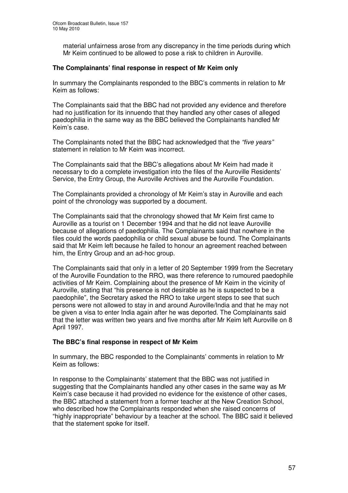material unfairness arose from any discrepancy in the time periods during which Mr Keim continued to be allowed to pose a risk to children in Auroville.

### **The Complainants' final response in respect of Mr Keim only**

In summary the Complainants responded to the BBC's comments in relation to Mr Keim as follows:

The Complainants said that the BBC had not provided any evidence and therefore had no justification for its innuendo that they handled any other cases of alleged paedophilia in the same way as the BBC believed the Complainants handled Mr Keim's case.

The Complainants noted that the BBC had acknowledged that the *"five years"* statement in relation to Mr Keim was incorrect.

The Complainants said that the BBC's allegations about Mr Keim had made it necessary to do a complete investigation into the files of the Auroville Residents' Service, the Entry Group, the Auroville Archives and the Auroville Foundation.

The Complainants provided a chronology of Mr Keim's stay in Auroville and each point of the chronology was supported by a document.

The Complainants said that the chronology showed that Mr Keim first came to Auroville as a tourist on 1 December 1994 and that he did not leave Auroville because of allegations of paedophilia. The Complainants said that nowhere in the files could the words paedophilia or child sexual abuse be found. The Complainants said that Mr Keim left because he failed to honour an agreement reached between him, the Entry Group and an ad-hoc group.

The Complainants said that only in a letter of 20 September 1999 from the Secretary of the Auroville Foundation to the RRO, was there reference to rumoured paedophile activities of Mr Keim. Complaining about the presence of Mr Keim in the vicinity of Auroville, stating that "his presence is not desirable as he is suspected to be a paedophile", the Secretary asked the RRO to take urgent steps to see that such persons were not allowed to stay in and around Auroville/India and that he may not be given a visa to enter India again after he was deported. The Complainants said that the letter was written two years and five months after Mr Keim left Auroville on 8 April 1997.

### **The BBC's final response in respect of Mr Keim**

In summary, the BBC responded to the Complainants' comments in relation to Mr Keim as follows:

In response to the Complainants' statement that the BBC was not justified in suggesting that the Complainants handled any other cases in the same way as Mr Keim's case because it had provided no evidence for the existence of other cases, the BBC attached a statement from a former teacher at the New Creation School, who described how the Complainants responded when she raised concerns of "highly inappropriate" behaviour by a teacher at the school. The BBC said it believed that the statement spoke for itself.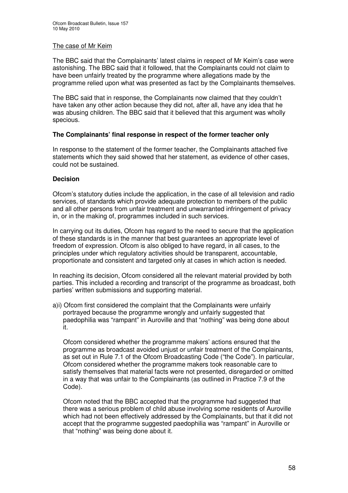#### The case of Mr Keim

The BBC said that the Complainants' latest claims in respect of Mr Keim's case were astonishing. The BBC said that it followed, that the Complainants could not claim to have been unfairly treated by the programme where allegations made by the programme relied upon what was presented as fact by the Complainants themselves.

The BBC said that in response, the Complainants now claimed that they couldn't have taken any other action because they did not, after all, have any idea that he was abusing children. The BBC said that it believed that this argument was wholly specious.

### **The Complainants' final response in respect of the former teacher only**

In response to the statement of the former teacher, the Complainants attached five statements which they said showed that her statement, as evidence of other cases, could not be sustained.

### **Decision**

Ofcom's statutory duties include the application, in the case of all television and radio services, of standards which provide adequate protection to members of the public and all other persons from unfair treatment and unwarranted infringement of privacy in, or in the making of, programmes included in such services.

In carrying out its duties, Ofcom has regard to the need to secure that the application of these standards is in the manner that best guarantees an appropriate level of freedom of expression. Ofcom is also obliged to have regard, in all cases, to the principles under which regulatory activities should be transparent, accountable, proportionate and consistent and targeted only at cases in which action is needed.

In reaching its decision, Ofcom considered all the relevant material provided by both parties. This included a recording and transcript of the programme as broadcast, both parties' written submissions and supporting material.

a)i) Ofcom first considered the complaint that the Complainants were unfairly portrayed because the programme wrongly and unfairly suggested that paedophilia was "rampant" in Auroville and that "nothing" was being done about it.

Ofcom considered whether the programme makers' actions ensured that the programme as broadcast avoided unjust or unfair treatment of the Complainants, as set out in Rule 7.1 of the Ofcom Broadcasting Code ("the Code"). In particular, Ofcom considered whether the programme makers took reasonable care to satisfy themselves that material facts were not presented, disregarded or omitted in a way that was unfair to the Complainants (as outlined in Practice 7.9 of the Code).

Ofcom noted that the BBC accepted that the programme had suggested that there was a serious problem of child abuse involving some residents of Auroville which had not been effectively addressed by the Complainants, but that it did not accept that the programme suggested paedophilia was "rampant" in Auroville or that "nothing" was being done about it.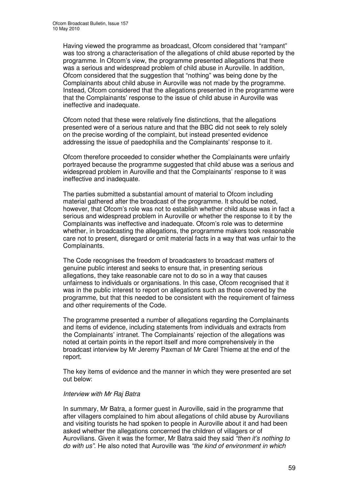Having viewed the programme as broadcast, Ofcom considered that "rampant" was too strong a characterisation of the allegations of child abuse reported by the programme. In Ofcom's view, the programme presented allegations that there was a serious and widespread problem of child abuse in Auroville. In addition, Ofcom considered that the suggestion that "nothing" was being done by the Complainants about child abuse in Auroville was not made by the programme. Instead, Ofcom considered that the allegations presented in the programme were that the Complainants' response to the issue of child abuse in Auroville was ineffective and inadequate.

Ofcom noted that these were relatively fine distinctions, that the allegations presented were of a serious nature and that the BBC did not seek to rely solely on the precise wording of the complaint, but instead presented evidence addressing the issue of paedophilia and the Complainants' response to it.

Ofcom therefore proceeded to consider whether the Complainants were unfairly portrayed because the programme suggested that child abuse was a serious and widespread problem in Auroville and that the Complainants' response to it was ineffective and inadequate.

The parties submitted a substantial amount of material to Ofcom including material gathered after the broadcast of the programme. It should be noted, however, that Ofcom's role was not to establish whether child abuse was in fact a serious and widespread problem in Auroville or whether the response to it by the Complainants was ineffective and inadequate. Ofcom's role was to determine whether, in broadcasting the allegations, the programme makers took reasonable care not to present, disregard or omit material facts in a way that was unfair to the Complainants.

The Code recognises the freedom of broadcasters to broadcast matters of genuine public interest and seeks to ensure that, in presenting serious allegations, they take reasonable care not to do so in a way that causes unfairness to individuals or organisations. In this case, Ofcom recognised that it was in the public interest to report on allegations such as those covered by the programme, but that this needed to be consistent with the requirement of fairness and other requirements of the Code.

The programme presented a number of allegations regarding the Complainants and items of evidence, including statements from individuals and extracts from the Complainants' intranet. The Complainants' rejection of the allegations was noted at certain points in the report itself and more comprehensively in the broadcast interview by Mr Jeremy Paxman of Mr Carel Thieme at the end of the report.

The key items of evidence and the manner in which they were presented are set out below:

### *Interview with Mr Raj Batra*

In summary, Mr Batra, a former guest in Auroville, said in the programme that after villagers complained to him about allegations of child abuse by Aurovilians and visiting tourists he had spoken to people in Auroville about it and had been asked whether the allegations concerned the children of villagers or of Aurovilians. Given it was the former, Mr Batra said they said *"then it's nothing to do with us"*. He also noted that Auroville was *"the kind of environment in which*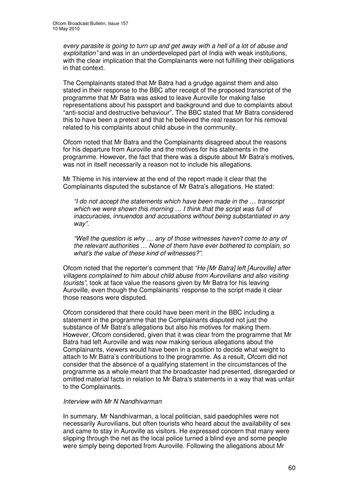*every parasite is going to turn up and get away with a hell of a lot of abuse and exploitation"* and was in an underdeveloped part of India with weak institutions, with the clear implication that the Complainants were not fulfilling their obligations in that context.

The Complainants stated that Mr Batra had a grudge against them and also stated in their response to the BBC after receipt of the proposed transcript of the programme that Mr Batra was asked to leave Auroville for making false representations about his passport and background and due to complaints about "anti-social and destructive behaviour". The BBC stated that Mr Batra considered this to have been a pretext and that he believed the real reason for his removal related to his complaints about child abuse in the community.

Ofcom noted that Mr Batra and the Complainants disagreed about the reasons for his departure from Auroville and the motives for his statements in the programme. However, the fact that there was a dispute about Mr Batra's motives, was not in itself necessarily a reason not to include his allegations.

Mr Thieme in his interview at the end of the report made it clear that the Complainants disputed the substance of Mr Batra's allegations. He stated:

*"I do not accept the statements which have been made in the … transcript which we were shown this morning … I think that the script was full of inaccuracies, innuendos and accusations without being substantiated in any way".*

*"Well the question is why … any of those witnesses haven't come to any of the relevant authorities … None of them have ever bothered to complain, so what's the value of these kind of witnesses?".*

Ofcom noted that the reporter's comment that *"He [Mr Batra] left [Auroville] after villagers complained to him about child abuse from Aurovilians and also visiting tourists"*, took at face value the reasons given by Mr Batra for his leaving Auroville, even though the Complainants' response to the script made it clear those reasons were disputed.

Ofcom considered that there could have been merit in the BBC including a statement in the programme that the Complainants disputed not just the substance of Mr Batra's allegations but also his motives for making them. However, Ofcom considered, given that it was clear from the programme that Mr Batra had left Auroville and was now making serious allegations about the Complainants, viewers would have been in a position to decide what weight to attach to Mr Batra's contributions to the programme. As a result, Ofcom did not consider that the absence of a qualifying statement in the circumstances of the programme as a whole meant that the broadcaster had presented, disregarded or omitted material facts in relation to Mr Batra's statements in a way that was unfair to the Complainants.

### *Interview with Mr N Nandhivarman*

In summary, Mr Nandhivarman, a local politician, said paedophiles were not necessarily Aurovilians, but often tourists who heard about the availability of sex and came to stay in Auroville as visitors. He expressed concern that many were slipping through the net as the local police turned a blind eye and some people were simply being deported from Auroville. Following the allegations about Mr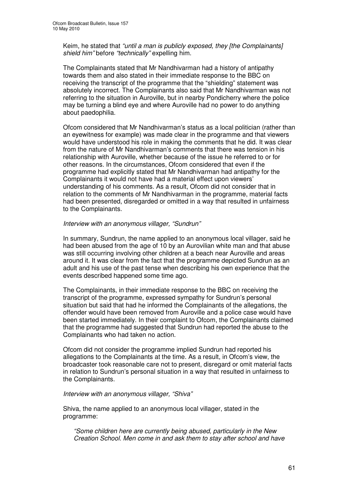Keim, he stated that *"until a man is publicly exposed, they [the Complainants] shield him"* before *"technically"* expelling him.

The Complainants stated that Mr Nandhivarman had a history of antipathy towards them and also stated in their immediate response to the BBC on receiving the transcript of the programme that the "shielding" statement was absolutely incorrect. The Complainants also said that Mr Nandhivarman was not referring to the situation in Auroville, but in nearby Pondicherry where the police may be turning a blind eye and where Auroville had no power to do anything about paedophilia.

Ofcom considered that Mr Nandhivarman's status as a local politician (rather than an eyewitness for example) was made clear in the programme and that viewers would have understood his role in making the comments that he did. It was clear from the nature of Mr Nandhivarman's comments that there was tension in his relationship with Auroville, whether because of the issue he referred to or for other reasons. In the circumstances, Ofcom considered that even if the programme had explicitly stated that Mr Nandhivarman had antipathy for the Complainants it would not have had a material effect upon viewers' understanding of his comments. As a result, Ofcom did not consider that in relation to the comments of Mr Nandhivarman in the programme, material facts had been presented, disregarded or omitted in a way that resulted in unfairness to the Complainants.

#### *Interview with an anonymous villager, "Sundrun"*

In summary, Sundrun, the name applied to an anonymous local villager, said he had been abused from the age of 10 by an Aurovilian white man and that abuse was still occurring involving other children at a beach near Auroville and areas around it. It was clear from the fact that the programme depicted Sundrun as an adult and his use of the past tense when describing his own experience that the events described happened some time ago.

The Complainants, in their immediate response to the BBC on receiving the transcript of the programme, expressed sympathy for Sundrun's personal situation but said that had he informed the Complainants of the allegations, the offender would have been removed from Auroville and a police case would have been started immediately. In their complaint to Ofcom, the Complainants claimed that the programme had suggested that Sundrun had reported the abuse to the Complainants who had taken no action.

Ofcom did not consider the programme implied Sundrun had reported his allegations to the Complainants at the time. As a result, in Ofcom's view, the broadcaster took reasonable care not to present, disregard or omit material facts in relation to Sundrun's personal situation in a way that resulted in unfairness to the Complainants.

#### *Interview with an anonymous villager, "Shiva"*

Shiva, the name applied to an anonymous local villager, stated in the programme:

*"Some children here are currently being abused, particularly in the New Creation School. Men come in and ask them to stay after school and have*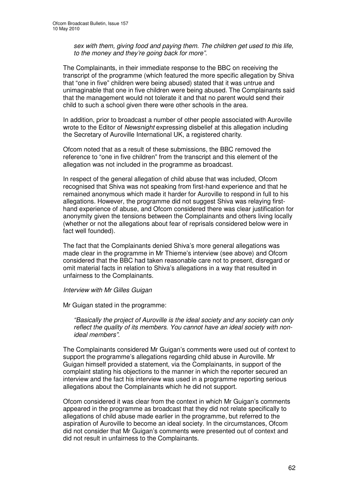*sex with them, giving food and paying them. The children get used to this life, to the money and they're going back for more".*

The Complainants, in their immediate response to the BBC on receiving the transcript of the programme (which featured the more specific allegation by Shiva that "one in five" children were being abused) stated that it was untrue and unimaginable that one in five children were being abused. The Complainants said that the management would not tolerate it and that no parent would send their child to such a school given there were other schools in the area.

In addition, prior to broadcast a number of other people associated with Auroville wrote to the Editor of *Newsnight* expressing disbelief at this allegation including the Secretary of Auroville International UK, a registered charity.

Ofcom noted that as a result of these submissions, the BBC removed the reference to "one in five children" from the transcript and this element of the allegation was not included in the programme as broadcast.

In respect of the general allegation of child abuse that was included, Ofcom recognised that Shiva was not speaking from first-hand experience and that he remained anonymous which made it harder for Auroville to respond in full to his allegations. However, the programme did not suggest Shiva was relaying firsthand experience of abuse, and Ofcom considered there was clear justification for anonymity given the tensions between the Complainants and others living locally (whether or not the allegations about fear of reprisals considered below were in fact well founded).

The fact that the Complainants denied Shiva's more general allegations was made clear in the programme in Mr Thieme's interview (see above) and Ofcom considered that the BBC had taken reasonable care not to present, disregard or omit material facts in relation to Shiva's allegations in a way that resulted in unfairness to the Complainants.

#### *Interview with Mr Gilles Guigan*

Mr Guigan stated in the programme:

*"Basically the project of Auroville is the ideal society and any society can only reflect the quality of its members. You cannot have an ideal society with nonideal members".*

The Complainants considered Mr Guigan's comments were used out of context to support the programme's allegations regarding child abuse in Auroville. Mr Guigan himself provided a statement, via the Complainants, in support of the complaint stating his objections to the manner in which the reporter secured an interview and the fact his interview was used in a programme reporting serious allegations about the Complainants which he did not support.

Ofcom considered it was clear from the context in which Mr Guigan's comments appeared in the programme as broadcast that they did not relate specifically to allegations of child abuse made earlier in the programme, but referred to the aspiration of Auroville to become an ideal society. In the circumstances, Ofcom did not consider that Mr Guigan's comments were presented out of context and did not result in unfairness to the Complainants.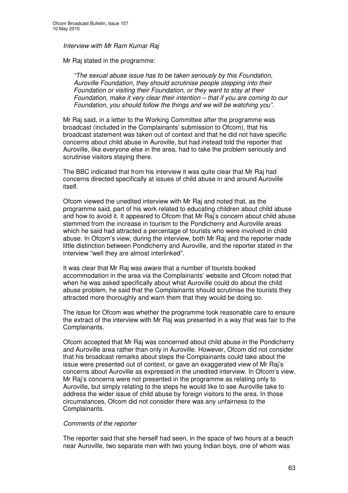*Interview with Mr Ram Kumar Raj*

Mr Raj stated in the programme:

*"The sexual abuse issue has to be taken seriously by this Foundation, Auroville Foundation, they should scrutinise people stepping into their Foundation or visiting their Foundation, or they want to stay at their Foundation, make it very clear their intention – that if you are coming to our Foundation, you should follow the things and we will be watching you".*

Mr Raj said, in a letter to the Working Committee after the programme was broadcast (included in the Complainants' submission to Ofcom), that his broadcast statement was taken out of context and that he did not have specific concerns about child abuse in Auroville, but had instead told the reporter that Auroville, like everyone else in the area, had to take the problem seriously and scrutinise visitors staying there.

The BBC indicated that from his interview it was quite clear that Mr Raj had concerns directed specifically at issues of child abuse in and around Auroville itself.

Ofcom viewed the unedited interview with Mr Raj and noted that, as the programme said, part of his work related to educating children about child abuse and how to avoid it. It appeared to Ofcom that Mr Raj's concern about child abuse stemmed from the increase in tourism to the Pondicherry and Auroville areas which he said had attracted a percentage of tourists who were involved in child abuse. In Ofcom's view, during the interview, both Mr Raj and the reporter made little distinction between Pondicherry and Auroville, and the reporter stated in the interview "well they are almost interlinked".

It was clear that Mr Raj was aware that a number of tourists booked accommodation in the area via the Complainants' website and Ofcom noted that when he was asked specifically about what Auroville could do about the child abuse problem, he said that the Complainants should scrutinise the tourists they attracted more thoroughly and warn them that they would be doing so.

The issue for Ofcom was whether the programme took reasonable care to ensure the extract of the interview with Mr Raj was presented in a way that was fair to the Complainants.

Ofcom accepted that Mr Raj was concerned about child abuse in the Pondicherry and Auroville area rather than only in Auroville. However, Ofcom did not consider that his broadcast remarks about steps the Complainants could take about the issue were presented out of context, or gave an exaggerated view of Mr Raj's concerns about Auroville as expressed in the unedited interview. In Ofcom's view, Mr Raj's concerns were not presented in the programme as relating only to Auroville, but simply relating to the steps he would like to see Auroville take to address the wider issue of child abuse by foreign visitors to the area. In those circumstances, Ofcom did not consider there was any unfairness to the Complainants.

#### *Comments of the reporter*

The reporter said that she herself had seen, in the space of two hours at a beach near Auroville, two separate men with two young Indian boys, one of whom was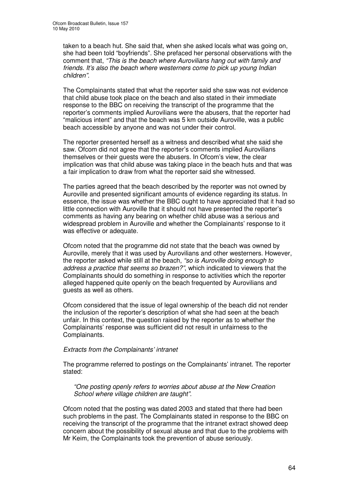taken to a beach hut. She said that, when she asked locals what was going on, she had been told "boyfriends". She prefaced her personal observations with the comment that, *"This is the beach where Aurovilians hang out with family and friends. It's also the beach where westerners come to pick up young Indian children".*

The Complainants stated that what the reporter said she saw was not evidence that child abuse took place on the beach and also stated in their immediate response to the BBC on receiving the transcript of the programme that the reporter's comments implied Aurovilians were the abusers, that the reporter had "malicious intent" and that the beach was 5 km outside Auroville, was a public beach accessible by anyone and was not under their control.

The reporter presented herself as a witness and described what she said she saw. Ofcom did not agree that the reporter's comments implied Aurovilians themselves or their guests were the abusers. In Ofcom's view, the clear implication was that child abuse was taking place in the beach huts and that was a fair implication to draw from what the reporter said she witnessed.

The parties agreed that the beach described by the reporter was not owned by Auroville and presented significant amounts of evidence regarding its status. In essence, the issue was whether the BBC ought to have appreciated that it had so little connection with Auroville that it should not have presented the reporter's comments as having any bearing on whether child abuse was a serious and widespread problem in Auroville and whether the Complainants' response to it was effective or adequate.

Ofcom noted that the programme did not state that the beach was owned by Auroville, merely that it was used by Aurovilians and other westerners. However, the reporter asked while still at the beach, *"so is Auroville doing enough to address a practice that seems so brazen?"*, which indicated to viewers that the Complainants should do something in response to activities which the reporter alleged happened quite openly on the beach frequented by Aurovilians and guests as well as others.

Ofcom considered that the issue of legal ownership of the beach did not render the inclusion of the reporter's description of what she had seen at the beach unfair. In this context, the question raised by the reporter as to whether the Complainants' response was sufficient did not result in unfairness to the Complainants.

### *Extracts from the Complainants' intranet*

The programme referred to postings on the Complainants' intranet. The reporter stated:

*"One posting openly refers to worries about abuse at the New Creation School where village children are taught".*

Ofcom noted that the posting was dated 2003 and stated that there had been such problems in the past. The Complainants stated in response to the BBC on receiving the transcript of the programme that the intranet extract showed deep concern about the possibility of sexual abuse and that due to the problems with Mr Keim, the Complainants took the prevention of abuse seriously.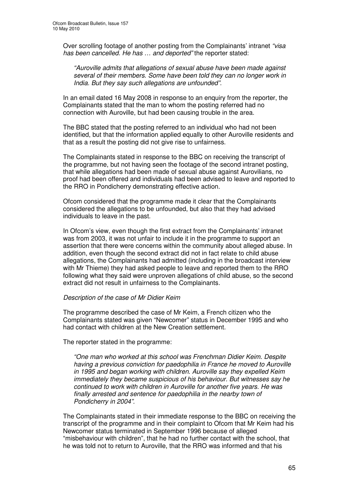Over scrolling footage of another posting from the Complainants' intranet *"visa has been cancelled. He has … and deported"* the reporter stated:

*"Auroville admits that allegations of sexual abuse have been made against several of their members. Some have been told they can no longer work in India. But they say such allegations are unfounded".*

In an email dated 16 May 2008 in response to an enquiry from the reporter, the Complainants stated that the man to whom the posting referred had no connection with Auroville, but had been causing trouble in the area.

The BBC stated that the posting referred to an individual who had not been identified, but that the information applied equally to other Auroville residents and that as a result the posting did not give rise to unfairness.

The Complainants stated in response to the BBC on receiving the transcript of the programme, but not having seen the footage of the second intranet posting, that while allegations had been made of sexual abuse against Aurovilians, no proof had been offered and individuals had been advised to leave and reported to the RRO in Pondicherry demonstrating effective action.

Ofcom considered that the programme made it clear that the Complainants considered the allegations to be unfounded, but also that they had advised individuals to leave in the past.

In Ofcom's view, even though the first extract from the Complainants' intranet was from 2003, it was not unfair to include it in the programme to support an assertion that there were concerns within the community about alleged abuse. In addition, even though the second extract did not in fact relate to child abuse allegations, the Complainants had admitted (including in the broadcast interview with Mr Thieme) they had asked people to leave and reported them to the RRO following what they said were unproven allegations of child abuse, so the second extract did not result in unfairness to the Complainants.

#### *Description of the case of Mr Didier Keim*

The programme described the case of Mr Keim, a French citizen who the Complainants stated was given "Newcomer" status in December 1995 and who had contact with children at the New Creation settlement.

The reporter stated in the programme:

*"One man who worked at this school was Frenchman Didier Keim. Despite having a previous conviction for paedophilia in France he moved to Auroville in 1995 and began working with children. Auroville say they expelled Keim immediately they became suspicious of his behaviour. But witnesses say he continued to work with children in Auroville for another five years. He was finally arrested and sentence for paedophilia in the nearby town of Pondicherry in 2004".*

The Complainants stated in their immediate response to the BBC on receiving the transcript of the programme and in their complaint to Ofcom that Mr Keim had his Newcomer status terminated in September 1996 because of alleged "misbehaviour with children", that he had no further contact with the school, that he was told not to return to Auroville, that the RRO was informed and that his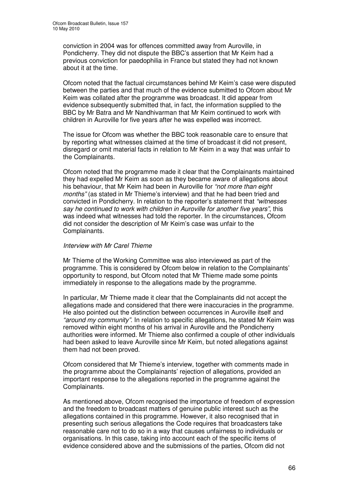conviction in 2004 was for offences committed away from Auroville, in Pondicherry. They did not dispute the BBC's assertion that Mr Keim had a previous conviction for paedophilia in France but stated they had not known about it at the time.

Ofcom noted that the factual circumstances behind Mr Keim's case were disputed between the parties and that much of the evidence submitted to Ofcom about Mr Keim was collated after the programme was broadcast. It did appear from evidence subsequently submitted that, in fact, the information supplied to the BBC by Mr Batra and Mr Nandhivarman that Mr Keim continued to work with children in Auroville for five years after he was expelled was incorrect.

The issue for Ofcom was whether the BBC took reasonable care to ensure that by reporting what witnesses claimed at the time of broadcast it did not present, disregard or omit material facts in relation to Mr Keim in a way that was unfair to the Complainants.

Ofcom noted that the programme made it clear that the Complainants maintained they had expelled Mr Keim as soon as they became aware of allegations about his behaviour, that Mr Keim had been in Auroville for *"not more than eight months"* (as stated in Mr Thieme's interview) and that he had been tried and convicted in Pondicherry. In relation to the reporter's statement that *"witnesses say he continued to work with children in Auroville for another five years"*, this was indeed what witnesses had told the reporter. In the circumstances, Ofcom did not consider the description of Mr Keim's case was unfair to the Complainants.

#### *Interview with Mr Carel Thieme*

Mr Thieme of the Working Committee was also interviewed as part of the programme. This is considered by Ofcom below in relation to the Complainants' opportunity to respond, but Ofcom noted that Mr Thieme made some points immediately in response to the allegations made by the programme.

In particular, Mr Thieme made it clear that the Complainants did not accept the allegations made and considered that there were inaccuracies in the programme. He also pointed out the distinction between occurrences in Auroville itself and *"around my community"*. In relation to specific allegations, he stated Mr Keim was removed within eight months of his arrival in Auroville and the Pondicherry authorities were informed. Mr Thieme also confirmed a couple of other individuals had been asked to leave Auroville since Mr Keim, but noted allegations against them had not been proved.

Ofcom considered that Mr Thieme's interview, together with comments made in the programme about the Complainants' rejection of allegations, provided an important response to the allegations reported in the programme against the Complainants.

As mentioned above, Ofcom recognised the importance of freedom of expression and the freedom to broadcast matters of genuine public interest such as the allegations contained in this programme. However, it also recognised that in presenting such serious allegations the Code requires that broadcasters take reasonable care not to do so in a way that causes unfairness to individuals or organisations. In this case, taking into account each of the specific items of evidence considered above and the submissions of the parties, Ofcom did not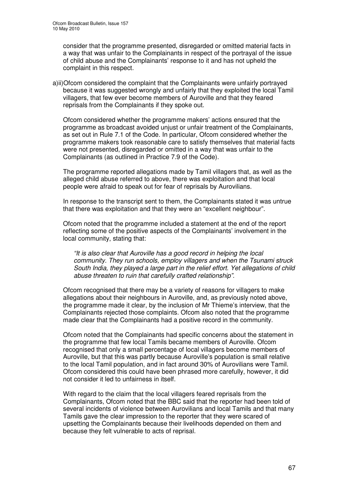consider that the programme presented, disregarded or omitted material facts in a way that was unfair to the Complainants in respect of the portrayal of the issue of child abuse and the Complainants' response to it and has not upheld the complaint in this respect.

a)ii)Ofcom considered the complaint that the Complainants were unfairly portrayed because it was suggested wrongly and unfairly that they exploited the local Tamil villagers, that few ever become members of Auroville and that they feared reprisals from the Complainants if they spoke out.

Ofcom considered whether the programme makers' actions ensured that the programme as broadcast avoided unjust or unfair treatment of the Complainants, as set out in Rule 7.1 of the Code. In particular, Ofcom considered whether the programme makers took reasonable care to satisfy themselves that material facts were not presented, disregarded or omitted in a way that was unfair to the Complainants (as outlined in Practice 7.9 of the Code).

The programme reported allegations made by Tamil villagers that, as well as the alleged child abuse referred to above, there was exploitation and that local people were afraid to speak out for fear of reprisals by Aurovilians.

In response to the transcript sent to them, the Complainants stated it was untrue that there was exploitation and that they were an "excellent neighbour".

Ofcom noted that the programme included a statement at the end of the report reflecting some of the positive aspects of the Complainants' involvement in the local community, stating that:

*"It is also clear that Auroville has a good record in helping the local community. They run schools, employ villagers and when the Tsunami struck South India, they played a large part in the relief effort. Yet allegations of child abuse threaten to ruin that carefully crafted relationship".*

Ofcom recognised that there may be a variety of reasons for villagers to make allegations about their neighbours in Auroville, and, as previously noted above, the programme made it clear, by the inclusion of Mr Thieme's interview, that the Complainants rejected those complaints. Ofcom also noted that the programme made clear that the Complainants had a positive record in the community.

Ofcom noted that the Complainants had specific concerns about the statement in the programme that few local Tamils became members of Auroville. Ofcom recognised that only a small percentage of local villagers become members of Auroville, but that this was partly because Auroville's population is small relative to the local Tamil population, and in fact around 30% of Aurovilians were Tamil. Ofcom considered this could have been phrased more carefully, however, it did not consider it led to unfairness in itself.

With regard to the claim that the local villagers feared reprisals from the Complainants, Ofcom noted that the BBC said that the reporter had been told of several incidents of violence between Aurovilians and local Tamils and that many Tamils gave the clear impression to the reporter that they were scared of upsetting the Complainants because their livelihoods depended on them and because they felt vulnerable to acts of reprisal.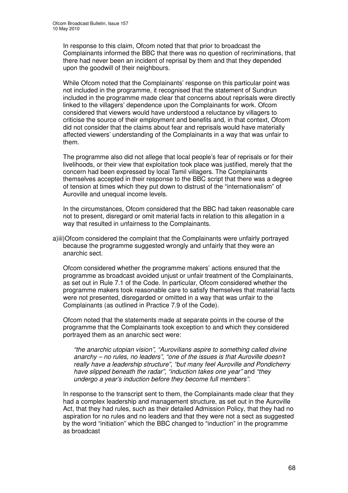In response to this claim, Ofcom noted that that prior to broadcast the Complainants informed the BBC that there was no question of recriminations, that there had never been an incident of reprisal by them and that they depended upon the goodwill of their neighbours.

While Ofcom noted that the Complainants' response on this particular point was not included in the programme, it recognised that the statement of Sundrun included in the programme made clear that concerns about reprisals were directly linked to the villagers' dependence upon the Complainants for work. Ofcom considered that viewers would have understood a reluctance by villagers to criticise the source of their employment and benefits and, in that context, Ofcom did not consider that the claims about fear and reprisals would have materially affected viewers' understanding of the Complainants in a way that was unfair to them.

The programme also did not allege that local people's fear of reprisals or for their livelihoods, or their view that exploitation took place was justified, merely that the concern had been expressed by local Tamil villagers. The Complainants themselves accepted in their response to the BBC script that there was a degree of tension at times which they put down to distrust of the "internationalism" of Auroville and unequal income levels.

In the circumstances, Ofcom considered that the BBC had taken reasonable care not to present, disregard or omit material facts in relation to this allegation in a way that resulted in unfairness to the Complainants.

a)iii)Ofcom considered the complaint that the Complainants were unfairly portrayed because the programme suggested wrongly and unfairly that they were an anarchic sect.

Ofcom considered whether the programme makers' actions ensured that the programme as broadcast avoided unjust or unfair treatment of the Complainants, as set out in Rule 7.1 of the Code. In particular, Ofcom considered whether the programme makers took reasonable care to satisfy themselves that material facts were not presented, disregarded or omitted in a way that was unfair to the Complainants (as outlined in Practice 7.9 of the Code).

Ofcom noted that the statements made at separate points in the course of the programme that the Complainants took exception to and which they considered portrayed them as an anarchic sect were:

*"the anarchic utopian vision"*, *"Aurovilians aspire to something called divine anarchy – no rules, no leaders"*, *"one of the issues is that Auroville doesn't really have a leadership structure"*, *"but many feel Auroville and Pondicherry have slipped beneath the radar"*, *"induction takes one year"* and *"they undergo a year's induction before they become full members"*.

In response to the transcript sent to them, the Complainants made clear that they had a complex leadership and management structure, as set out in the Auroville Act, that they had rules, such as their detailed Admission Policy, that they had no aspiration for no rules and no leaders and that they were not a sect as suggested by the word "initiation" which the BBC changed to "induction" in the programme as broadcast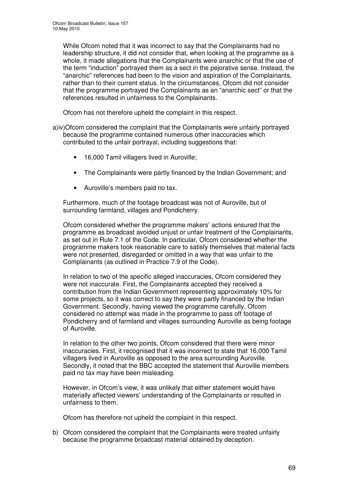While Ofcom noted that it was incorrect to say that the Complainants had no leadership structure, it did not consider that, when looking at the programme as a whole, it made allegations that the Complainants were anarchic or that the use of the term "induction" portrayed them as a sect in the pejorative sense. Instead, the "anarchic" references had been to the vision and aspiration of the Complainants, rather than to their current status. In the circumstances, Ofcom did not consider that the programme portrayed the Complainants as an "anarchic sect" or that the references resulted in unfairness to the Complainants.

Ofcom has not therefore upheld the complaint in this respect.

- a)iv)Ofcom considered the complaint that the Complainants were unfairly portrayed because the programme contained numerous other inaccuracies which contributed to the unfair portrayal, including suggestions that:
	- 16,000 Tamil villagers lived in Auroville;
	- The Complainants were partly financed by the Indian Government; and
	- Auroville's members paid no tax.

Furthermore, much of the footage broadcast was not of Auroville, but of surrounding farmland, villages and Pondicherry.

Ofcom considered whether the programme makers' actions ensured that the programme as broadcast avoided unjust or unfair treatment of the Complainants, as set out in Rule 7.1 of the Code. In particular, Ofcom considered whether the programme makers took reasonable care to satisfy themselves that material facts were not presented, disregarded or omitted in a way that was unfair to the Complainants (as outlined in Practice 7.9 of the Code).

In relation to two of the specific alleged inaccuracies, Ofcom considered they were not inaccurate. First, the Complainants accepted they received a contribution from the Indian Government representing approximately 10% for some projects, so it was correct to say they were partly financed by the Indian Government. Secondly, having viewed the programme carefully, Ofcom considered no attempt was made in the programme to pass off footage of Pondicherry and of farmland and villages surrounding Auroville as being footage of Auroville.

In relation to the other two points, Ofcom considered that there were minor inaccuracies. First, it recognised that it was incorrect to state that 16,000 Tamil villagers lived in Auroville as opposed to the area surrounding Auroville. Secondly, it noted that the BBC accepted the statement that Auroville members paid no tax may have been misleading.

However, in Ofcom's view, it was unlikely that either statement would have materially affected viewers' understanding of the Complainants or resulted in unfairness to them.

Ofcom has therefore not upheld the complaint in this respect.

b) Ofcom considered the complaint that the Complainants were treated unfairly because the programme broadcast material obtained by deception.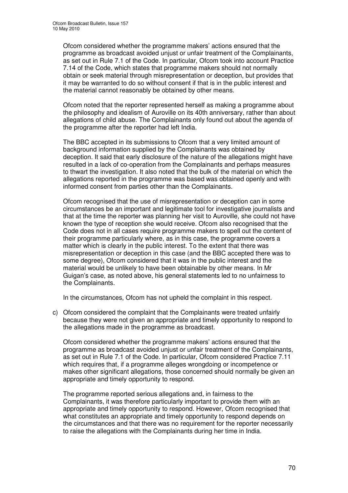Ofcom considered whether the programme makers' actions ensured that the programme as broadcast avoided unjust or unfair treatment of the Complainants, as set out in Rule 7.1 of the Code. In particular, Ofcom took into account Practice 7.14 of the Code, which states that programme makers should not normally obtain or seek material through misrepresentation or deception, but provides that it may be warranted to do so without consent if that is in the public interest and the material cannot reasonably be obtained by other means.

Ofcom noted that the reporter represented herself as making a programme about the philosophy and idealism of Auroville on its 40th anniversary, rather than about allegations of child abuse. The Complainants only found out about the agenda of the programme after the reporter had left India.

The BBC accepted in its submissions to Ofcom that a very limited amount of background information supplied by the Complainants was obtained by deception. It said that early disclosure of the nature of the allegations might have resulted in a lack of co-operation from the Complainants and perhaps measures to thwart the investigation. It also noted that the bulk of the material on which the allegations reported in the programme was based was obtained openly and with informed consent from parties other than the Complainants.

Ofcom recognised that the use of misrepresentation or deception can in some circumstances be an important and legitimate tool for investigative journalists and that at the time the reporter was planning her visit to Auroville, she could not have known the type of reception she would receive. Ofcom also recognised that the Code does not in all cases require programme makers to spell out the content of their programme particularly where, as in this case, the programme covers a matter which is clearly in the public interest. To the extent that there was misrepresentation or deception in this case (and the BBC accepted there was to some degree), Ofcom considered that it was in the public interest and the material would be unlikely to have been obtainable by other means. In Mr Guigan's case, as noted above, his general statements led to no unfairness to the Complainants.

In the circumstances, Ofcom has not upheld the complaint in this respect.

c) Ofcom considered the complaint that the Complainants were treated unfairly because they were not given an appropriate and timely opportunity to respond to the allegations made in the programme as broadcast.

Ofcom considered whether the programme makers' actions ensured that the programme as broadcast avoided unjust or unfair treatment of the Complainants, as set out in Rule 7.1 of the Code. In particular, Ofcom considered Practice 7.11 which requires that, if a programme alleges wrongdoing or incompetence or makes other significant allegations, those concerned should normally be given an appropriate and timely opportunity to respond.

The programme reported serious allegations and, in fairness to the Complainants, it was therefore particularly important to provide them with an appropriate and timely opportunity to respond. However, Ofcom recognised that what constitutes an appropriate and timely opportunity to respond depends on the circumstances and that there was no requirement for the reporter necessarily to raise the allegations with the Complainants during her time in India.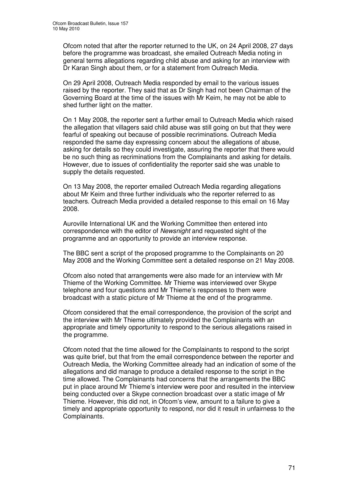Ofcom noted that after the reporter returned to the UK, on 24 April 2008, 27 days before the programme was broadcast, she emailed Outreach Media noting in general terms allegations regarding child abuse and asking for an interview with Dr Karan Singh about them, or for a statement from Outreach Media.

On 29 April 2008, Outreach Media responded by email to the various issues raised by the reporter. They said that as Dr Singh had not been Chairman of the Governing Board at the time of the issues with Mr Keim, he may not be able to shed further light on the matter.

On 1 May 2008, the reporter sent a further email to Outreach Media which raised the allegation that villagers said child abuse was still going on but that they were fearful of speaking out because of possible recriminations. Outreach Media responded the same day expressing concern about the allegations of abuse, asking for details so they could investigate, assuring the reporter that there would be no such thing as recriminations from the Complainants and asking for details. However, due to issues of confidentiality the reporter said she was unable to supply the details requested.

On 13 May 2008, the reporter emailed Outreach Media regarding allegations about Mr Keim and three further individuals who the reporter referred to as teachers. Outreach Media provided a detailed response to this email on 16 May 2008.

Auroville International UK and the Working Committee then entered into correspondence with the editor of *Newsnight* and requested sight of the programme and an opportunity to provide an interview response.

The BBC sent a script of the proposed programme to the Complainants on 20 May 2008 and the Working Committee sent a detailed response on 21 May 2008.

Ofcom also noted that arrangements were also made for an interview with Mr Thieme of the Working Committee. Mr Thieme was interviewed over Skype telephone and four questions and Mr Thieme's responses to them were broadcast with a static picture of Mr Thieme at the end of the programme.

Ofcom considered that the email correspondence, the provision of the script and the interview with Mr Thieme ultimately provided the Complainants with an appropriate and timely opportunity to respond to the serious allegations raised in the programme.

Ofcom noted that the time allowed for the Complainants to respond to the script was quite brief, but that from the email correspondence between the reporter and Outreach Media, the Working Committee already had an indication of some of the allegations and did manage to produce a detailed response to the script in the time allowed. The Complainants had concerns that the arrangements the BBC put in place around Mr Thieme's interview were poor and resulted in the interview being conducted over a Skype connection broadcast over a static image of Mr Thieme. However, this did not, in Ofcom's view, amount to a failure to give a timely and appropriate opportunity to respond, nor did it result in unfairness to the Complainants.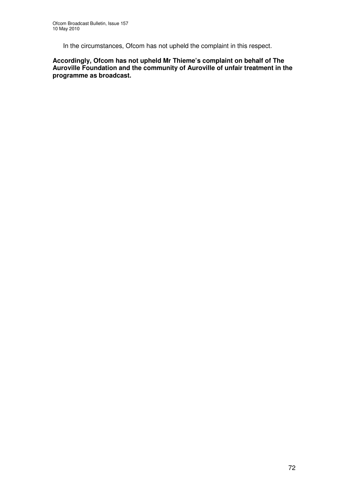In the circumstances, Ofcom has not upheld the complaint in this respect.

**Accordingly, Ofcom has not upheld Mr Thieme's complaint on behalf of The Auroville Foundation and the community of Auroville of unfair treatment in the programme as broadcast.**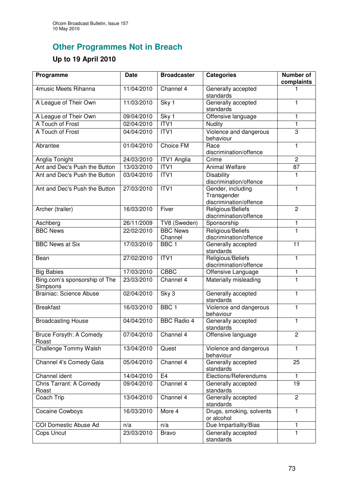## **Other Programmes Not in Breach**

## **Up to 19 April 2010**

| Programme                                 | <b>Date</b> | <b>Broadcaster</b>         | <b>Categories</b>                                          | Number of<br>complaints |
|-------------------------------------------|-------------|----------------------------|------------------------------------------------------------|-------------------------|
| 4music Meets Rihanna                      | 11/04/2010  | Channel 4                  | Generally accepted<br>standards                            |                         |
| A League of Their Own                     | 11/03/2010  | Sky 1                      | Generally accepted<br>standards                            | 1                       |
| A League of Their Own                     | 09/04/2010  | Sky 1                      | Offensive language                                         | $\mathbf{1}$            |
| A Touch of Frost                          | 02/04/2010  | ITVI                       | Nudity                                                     | $\mathbf{1}$            |
| A Touch of Frost                          | 04/04/2010  | ITVI                       | Violence and dangerous<br>behaviour                        | $\overline{3}$          |
| Abrantee                                  | 01/04/2010  | <b>Choice FM</b>           | Race<br>discrimination/offence                             | $\mathbf{1}$            |
| Anglia Tonight                            | 24/03/2010  | <b>ITV1 Anglia</b>         | Crime                                                      | $\overline{c}$          |
| Ant and Dec's Push the Button             | 13/03/2010  | ITVI                       | <b>Animal Welfare</b>                                      | $\overline{87}$         |
| Ant and Dec's Push the Button             | 03/04/2010  | ITVI                       | <b>Disability</b><br>discrimination/offence                | 1                       |
| Ant and Dec's Push the Button             | 27/03/2010  | ITV1                       | Gender, including<br>Transgender<br>discrimination/offence | 1                       |
| Archer (trailer)                          | 16/03/2010  | Fiver                      | Religious/Beliefs<br>discrimination/offence                | $\overline{2}$          |
| Aschberg                                  | 26/11/2009  | TV8 (Sweden)               | Sponsorship                                                | 1                       |
| <b>BBC News</b>                           | 22/02/2010  | <b>BBC News</b><br>Channel | Religious/Beliefs<br>discrimination/offence                | $\mathbf{1}$            |
| <b>BBC News at Six</b>                    | 17/03/2010  | BBC <sub>1</sub>           | Generally accepted<br>standards                            | $\overline{11}$         |
| Bean                                      | 27/02/2010  | ITV1                       | Religious/Beliefs<br>discrimination/offence                | $\mathbf{1}$            |
| <b>Big Babies</b>                         | 17/03/2010  | <b>CBBC</b>                | Offensive Language                                         | 1                       |
| Bing.com's sponsorship of The<br>Simpsons | 23/03/2010  | Channel 4                  | Materially misleading                                      | $\mathbf{1}$            |
| <b>Brainiac: Science Abuse</b>            | 02/04/2010  | Sky 3                      | Generally accepted<br>standards                            | $\mathbf{1}$            |
| <b>Breakfast</b>                          | 16/03/2010  | BBC <sub>1</sub>           | Violence and dangerous<br>behaviour                        | $\overline{1}$          |
| <b>Broadcasting House</b>                 | 04/04/2010  | <b>BBC Radio 4</b>         | Generally accepted<br>standards                            | $\mathbf{1}$            |
| Bruce Forsyth: A Comedy<br>Roast          | 07/04/2010  | Channel 4                  | Offensive language                                         | 2                       |
| Challenge Tommy Walsh                     | 13/04/2010  | Quest                      | Violence and dangerous<br>behaviour                        | 1                       |
| Channel 4's Comedy Gala                   | 05/04/2010  | Channel 4                  | Generally accepted<br>standards                            | 25                      |
| Channel ident                             | 14/04/2010  | E4                         | Elections/Referendums                                      | $\mathbf{1}$            |
| Chris Tarrant: A Comedy<br>Roast          | 09/04/2010  | Channel 4                  | Generally accepted<br>standards                            | 19                      |
| Coach Trip                                | 13/04/2010  | Channel 4                  | Generally accepted<br>standards                            | $\overline{c}$          |
| <b>Cocaine Cowboys</b>                    | 16/03/2010  | More 4                     | Drugs, smoking, solvents<br>or alcohol                     | $\mathbf{1}$            |
| COI Domestic Abuse Ad                     | n/a         | n/a                        | Due Impartiality/Bias                                      | 1                       |
| Cops Uncut                                | 23/03/2010  | <b>Bravo</b>               | Generally accepted<br>standards                            | $\mathbf{1}$            |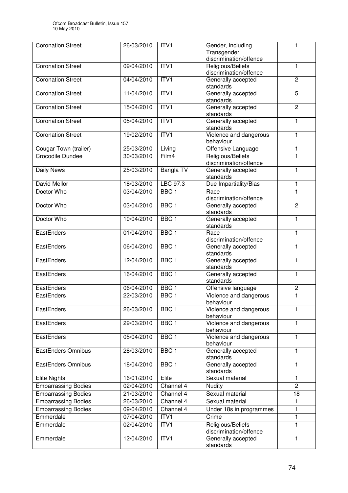| <b>Coronation Street</b>   | 26/03/2010 | ITV <sub>1</sub> | Gender, including<br>Transgender<br>discrimination/offence |                  |
|----------------------------|------------|------------------|------------------------------------------------------------|------------------|
| <b>Coronation Street</b>   | 09/04/2010 | ITV <sub>1</sub> | Religious/Beliefs<br>discrimination/offence                | $\mathbf{1}$     |
| <b>Coronation Street</b>   | 04/04/2010 | ITV1             | Generally accepted<br>standards                            | $\overline{2}$   |
| <b>Coronation Street</b>   | 11/04/2010 | ITVI             | Generally accepted<br>standards                            | $\overline{5}$   |
| <b>Coronation Street</b>   | 15/04/2010 | ITVI             | Generally accepted<br>standards                            | $\overline{2}$   |
| <b>Coronation Street</b>   | 05/04/2010 | ITVI             | Generally accepted<br>standards                            | $\mathbf{1}$     |
| <b>Coronation Street</b>   | 19/02/2010 | ITVI             | Violence and dangerous<br>behaviour                        | $\mathbf{1}$     |
| Cougar Town (trailer)      | 25/03/2010 | Living           | Offensive Language                                         | 1                |
| Crocodile Dundee           | 30/03/2010 | Film4            | Religious/Beliefs<br>discrimination/offence                | 1                |
| Daily News                 | 25/03/2010 | <b>Bangla TV</b> | Generally accepted<br>standards                            | 1                |
| David Mellor               | 18/03/2010 | LBC 97.3         | Due Impartiality/Bias                                      | 1                |
| Doctor Who                 | 03/04/2010 | BBC <sub>1</sub> | Race<br>discrimination/offence                             | 1                |
| Doctor Who                 | 03/04/2010 | BBC <sub>1</sub> | Generally accepted<br>standards                            | $\overline{2}$   |
| Doctor Who                 | 10/04/2010 | BBC <sub>1</sub> | Generally accepted<br>standards                            | $\mathbf{1}$     |
| EastEnders                 | 01/04/2010 | BBC <sub>1</sub> | Race<br>discrimination/offence                             | 1                |
| EastEnders                 | 06/04/2010 | BBC <sub>1</sub> | Generally accepted<br>standards                            | 1                |
| EastEnders                 | 12/04/2010 | BBC <sub>1</sub> | Generally accepted<br>standards                            | $\mathbf{1}$     |
| EastEnders                 | 16/04/2010 | BBC <sub>1</sub> | Generally accepted<br>standards                            | $\mathbf{1}$     |
| EastEnders                 | 06/04/2010 | BBC <sub>1</sub> | Offensive language                                         | $\boldsymbol{2}$ |
| EastEnders                 | 22/03/2010 | BBC <sub>1</sub> | Violence and dangerous<br>behaviour                        | $\mathbf{1}$     |
| EastEnders                 | 26/03/2010 | BBC <sub>1</sub> | Violence and dangerous<br>behaviour                        | 1                |
| EastEnders                 | 29/03/2010 | BBC <sub>1</sub> | Violence and dangerous<br>behaviour                        | 1                |
| EastEnders                 | 05/04/2010 | BBC <sub>1</sub> | Violence and dangerous<br>behaviour                        | 1                |
| EastEnders Omnibus         | 28/03/2010 | BBC <sub>1</sub> | Generally accepted<br>standards                            | 1                |
| EastEnders Omnibus         | 18/04/2010 | BBC <sub>1</sub> | Generally accepted<br>standards                            | 1                |
| <b>Elite Nights</b>        | 16/01/2010 | Elite            | Sexual material                                            | 1                |
| <b>Embarrassing Bodies</b> | 02/04/2010 | Channel 4        | <b>Nudity</b>                                              | $\overline{c}$   |
| <b>Embarrassing Bodies</b> | 21/03/2010 | Channel 4        | Sexual material                                            | 18               |
| <b>Embarrassing Bodies</b> | 26/03/2010 | Channel 4        | Sexual material                                            | 1                |
| <b>Embarrassing Bodies</b> | 09/04/2010 | Channel 4        | Under 18s in programmes                                    | $\mathbf{1}$     |
| Emmerdale                  | 07/04/2010 | ITV1             | Crime                                                      | 1                |
| Emmerdale                  | 02/04/2010 | ITV1             | Religious/Beliefs<br>discrimination/offence                | 1                |
| Emmerdale                  | 12/04/2010 | ITV <sub>1</sub> | Generally accepted<br>standards                            | 1                |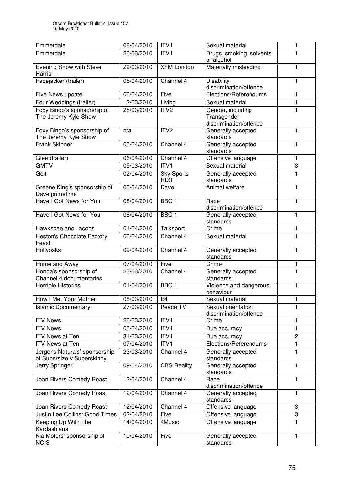| Emmerdale                                                   | 08/04/2010 | ITV1                                 | Sexual material                                            | 1                         |
|-------------------------------------------------------------|------------|--------------------------------------|------------------------------------------------------------|---------------------------|
| Emmerdale                                                   | 26/03/2010 | ITV1                                 | Drugs, smoking, solvents<br>or alcohol                     | 1                         |
| Evening Show with Steve<br><b>Harris</b>                    | 29/03/2010 | <b>XFM London</b>                    | Materially misleading                                      | 1                         |
| Facejacker (trailer)                                        | 05/04/2010 | Channel 4                            | <b>Disability</b><br>discrimination/offence                | 1                         |
| Five News update                                            | 06/04/2010 | Five                                 | Elections/Referendums                                      | 1                         |
| Four Weddings (trailer)                                     | 12/03/2010 | Living                               | Sexual material                                            | 1                         |
| Foxy Bingo's sponsorship of<br>The Jeremy Kyle Show         | 25/03/2010 | ITV <sub>2</sub>                     | Gender, including<br>Transgender<br>discrimination/offence | 1                         |
| Foxy Bingo's sponsorship of<br>The Jeremy Kyle Show         | n/a        | ITV <sub>2</sub>                     | Generally accepted<br>standards                            | 1                         |
| <b>Frank Skinner</b>                                        | 05/04/2010 | Channel 4                            | Generally accepted<br>standards                            | 1                         |
| Glee (trailer)                                              | 06/04/2010 | Channel 4                            | Offensive language                                         | 1                         |
| <b>GMTV</b>                                                 | 05/03/2010 | ITV1                                 | Sexual material                                            | $\ensuremath{\mathsf{3}}$ |
| Golf                                                        | 02/04/2010 | <b>Sky Sports</b><br>HD <sub>3</sub> | Generally accepted<br>standards                            | $\mathbf{1}$              |
| Greene King's sponsorship of<br>Dave primetime              | 05/04/2010 | Dave                                 | Animal welfare                                             | $\mathbf{1}$              |
| Have I Got News for You                                     | 08/04/2010 | BBC <sub>1</sub>                     | Race<br>discrimination/offence                             | 1                         |
| Have I Got News for You                                     | 08/04/2010 | BBC <sub>1</sub>                     | Generally accepted<br>standards                            | 1                         |
| Hawksbee and Jacobs                                         | 01/04/2010 | Talksport                            | Crime                                                      | 1                         |
| <b>Heston's Chocolate Factory</b><br>Feast                  | 06/04/2010 | Channel 4                            | Sexual material                                            | $\mathbf{1}$              |
| Hollyoaks                                                   | 09/04/2010 | Channel 4                            | Generally accepted<br>standards                            | 1                         |
| Home and Away                                               | 07/04/2010 | Five                                 | Crime                                                      | 1                         |
| Honda's sponsorship of<br>Channel 4 documentaries           | 23/03/2010 | Channel 4                            | Generally accepted<br>standards                            | $\mathbf{1}$              |
| <b>Horrible Histories</b>                                   | 01/04/2010 | BBC <sub>1</sub>                     | Violence and dangerous<br>behaviour                        | 1                         |
| How I Met Your Mother                                       | 08/03/2010 | E4                                   | Sexual material                                            | 1                         |
| <b>Islamic Documentary</b>                                  | 27/03/2010 | Peace TV                             | Sexual orientation<br>discrimination/offence               | 1                         |
| <b>ITV News</b>                                             | 26/03/2010 | ITVI                                 | Crime                                                      | 1                         |
| <b>ITV News</b>                                             | 05/04/2010 | ITV1                                 | Due accuracy                                               | 1                         |
| <b>ITV News at Ten</b>                                      | 31/03/2010 | ITV1                                 | Due accuracy                                               | $\overline{c}$            |
| <b>ITV News at Ten</b>                                      | 07/04/2010 | ITV1                                 | Elections/Referendums                                      | 1                         |
| Jergens Naturals' sponsorship<br>of Supersize v Superskinny | 23/03/2010 | Channel 4                            | Generally accepted<br>standards                            | 1                         |
| Jerry Springer                                              | 09/04/2010 | <b>CBS Reality</b>                   | Generally accepted<br>standards                            | 1                         |
| Joan Rivers Comedy Roast                                    | 12/04/2010 | Channel 4                            | Race<br>discrimination/offence                             | 1                         |
| Joan Rivers Comedy Roast                                    | 12/04/2010 | Channel 4                            | Generally accepted<br>standards                            | 1                         |
| Joan Rivers Comedy Roast                                    | 12/04/2010 | Channel 4                            | Offensive language                                         | 3                         |
| Justin Lee Collins: Good Times                              | 02/04/2010 | Five                                 | Offensive language                                         | 3                         |
| Keeping Up With The<br>Kardashians                          | 14/04/2010 | 4Music                               | Offensive language                                         | 1                         |
| Kia Motors' sponsorship of<br><b>NCIS</b>                   | 10/04/2010 | Five                                 | Generally accepted<br>standards                            | 1                         |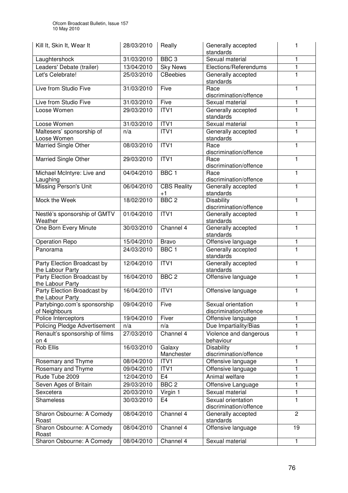| Kill It, Skin It, Wear It                       | 28/03/2010 | Really                     | Generally accepted<br>standards              | 1              |
|-------------------------------------------------|------------|----------------------------|----------------------------------------------|----------------|
| Laughtershock                                   | 31/03/2010 | BBC <sub>3</sub>           | Sexual material                              | 1              |
| Leaders' Debate (trailer)                       | 13/04/2010 | <b>Sky News</b>            | Elections/Referendums                        | 1              |
| Let's Celebrate!                                | 25/03/2010 | <b>CBeebies</b>            | Generally accepted<br>standards              | 1              |
| Live from Studio Five                           | 31/03/2010 | Five                       | Race<br>discrimination/offence               | 1              |
| Live from Studio Five                           | 31/03/2010 | Five                       | Sexual material                              | 1              |
| Loose Women                                     | 29/03/2010 | ITVI                       | Generally accepted<br>standards              | 1              |
| Loose Women                                     | 31/03/2010 | ITV1                       | Sexual material                              | 1              |
| Maltesers' sponsorship of<br>Loose Women        | n/a        | ITVI                       | Generally accepted<br>standards              | 1              |
| Married Single Other                            | 08/03/2010 | ITV1                       | Race<br>discrimination/offence               | 1              |
| <b>Married Single Other</b>                     | 29/03/2010 | ITVI                       | Race<br>discrimination/offence               | 1              |
| Michael McIntyre: Live and<br>Laughing          | 04/04/2010 | BBC <sub>1</sub>           | Race<br>discrimination/offence               | 1              |
| <b>Missing Person's Unit</b>                    | 06/04/2010 | <b>CBS Reality</b><br>$+1$ | Generally accepted<br>standards              | 1              |
| Mock the Week                                   | 18/02/2010 | BBC <sub>2</sub>           | <b>Disability</b><br>discrimination/offence  | 1              |
| Nestlé's sponsorship of GMTV<br>Weather         | 01/04/2010 | ITV1                       | Generally accepted<br>standards              | 1              |
| One Born Every Minute                           | 30/03/2010 | Channel 4                  | Generally accepted<br>standards              | 1              |
| <b>Operation Repo</b>                           | 15/04/2010 | <b>Bravo</b>               | Offensive language                           | 1              |
| Panorama                                        | 24/03/2010 | BBC <sub>1</sub>           | Generally accepted<br>standards              | 1              |
| Party Election Broadcast by<br>the Labour Party | 12/04/2010 | ITVI                       | Generally accepted<br>standards              | 1              |
| Party Election Broadcast by<br>the Labour Party | 16/04/2010 | BBC <sub>2</sub>           | Offensive language                           | 1              |
| Party Election Broadcast by<br>the Labour Party | 16/04/2010 | ITV1                       | Offensive language                           | 1              |
| Partybingo.com's sponsorship<br>of Neighbours   | 09/04/2010 | Five                       | Sexual orientation<br>discrimination/offence |                |
| Police Interceptors                             | 19/04/2010 | Fiver                      | Offensive language                           | 1              |
| <b>Policing Pledge Advertisement</b>            | n/a        | n/a                        | Due Impartiality/Bias                        | 1              |
| Renault's sponsorship of films<br>on $4$        | 27/03/2010 | Channel 4                  | Violence and dangerous<br>behaviour          | 1              |
| <b>Rob Ellis</b>                                | 16/03/2010 | Galaxy<br>Manchester       | <b>Disability</b><br>discrimination/offence  | 1              |
| Rosemary and Thyme                              | 08/04/2010 | ITV1                       | Offensive language                           | 1              |
| Rosemary and Thyme                              | 09/04/2010 | ITV1                       | Offensive language                           | 1              |
| Rude Tube 2009                                  | 12/04/2010 | E <sub>4</sub>             | Animal welfare                               | 1              |
| Seven Ages of Britain                           | 29/03/2010 | BBC <sub>2</sub>           | Offensive Language                           | 1              |
| Sexcetera                                       | 20/03/2010 | Virgin 1                   | Sexual material                              | 1              |
| <b>Shameless</b>                                | 30/03/2010 | E <sub>4</sub>             | Sexual orientation<br>discrimination/offence | 1              |
| Sharon Osbourne: A Comedy<br>Roast              | 08/04/2010 | Channel 4                  | Generally accepted<br>standards              | $\overline{c}$ |
| Sharon Osbourne: A Comedy<br>Roast              | 08/04/2010 | Channel 4                  | Offensive language                           | 19             |
| Sharon Osbourne: A Comedy                       | 08/04/2010 | Channel 4                  | Sexual material                              | 1              |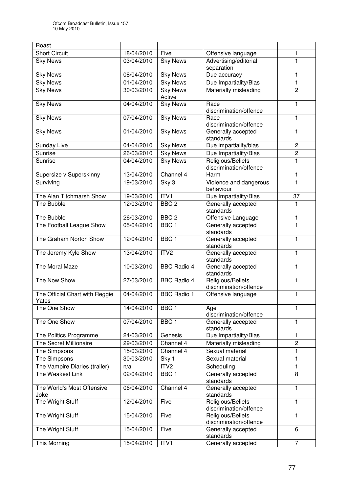| Roast                                   |            |                           |                                             |                |
|-----------------------------------------|------------|---------------------------|---------------------------------------------|----------------|
| <b>Short Circuit</b>                    | 18/04/2010 | Five                      | Offensive language                          | 1              |
| <b>Sky News</b>                         | 03/04/2010 | <b>Sky News</b>           | Advertising/editorial                       | 1              |
|                                         |            |                           | separation                                  |                |
| <b>Sky News</b>                         | 08/04/2010 | <b>Sky News</b>           | Due accuracy                                | 1              |
| <b>Sky News</b>                         | 01/04/2010 | <b>Sky News</b>           | Due Impartiality/Bias                       | 1              |
| <b>Sky News</b>                         | 30/03/2010 | <b>Sky News</b><br>Active | Materially misleading                       | $\overline{c}$ |
| <b>Sky News</b>                         | 04/04/2010 | <b>Sky News</b>           | Race<br>discrimination/offence              | 1              |
| <b>Sky News</b>                         | 07/04/2010 | <b>Sky News</b>           | Race<br>discrimination/offence              | 1              |
| <b>Sky News</b>                         | 01/04/2010 | <b>Sky News</b>           | Generally accepted<br>standards             | $\mathbf{1}$   |
| Sunday Live                             | 04/04/2010 | <b>Sky News</b>           | Due impartiality/bias                       | $\overline{2}$ |
| Sunrise                                 | 26/03/2010 | <b>Sky News</b>           | Due Impartiality/Bias                       | $\overline{c}$ |
| Sunrise                                 | 04/04/2010 | <b>Sky News</b>           | Religious/Beliefs<br>discrimination/offence | $\mathbf{1}$   |
| Supersize v Superskinny                 | 13/04/2010 | Channel 4                 | Harm                                        | $\mathbf{1}$   |
| Surviving                               | 19/03/2010 | Sky 3                     | Violence and dangerous<br>behaviour         | $\mathbf{1}$   |
| The Alan Titchmarsh Show                | 19/03/2010 | ITV1                      | Due Impartiality/Bias                       | 37             |
| The Bubble                              | 12/03/2010 | BBC <sub>2</sub>          | Generally accepted<br>standards             | 1              |
| The Bubble                              | 26/03/2010 | BBC <sub>2</sub>          | Offensive Language                          | 1              |
| The Football League Show                | 05/04/2010 | BBC <sub>1</sub>          | Generally accepted<br>standards             | $\overline{1}$ |
| The Graham Norton Show                  | 12/04/2010 | BBC <sub>1</sub>          | Generally accepted<br>standards             | 1              |
| The Jeremy Kyle Show                    | 13/04/2010 | ITV <sub>2</sub>          | Generally accepted<br>standards             | 1              |
| The Moral Maze                          | 10/03/2010 | <b>BBC Radio 4</b>        | Generally accepted<br>standards             | 1              |
| The Now Show                            | 27/03/2010 | <b>BBC Radio 4</b>        | Religious/Beliefs<br>discrimination/offence | 1              |
| The Official Chart with Reggie<br>Yates | 04/04/2010 | <b>BBC Radio 1</b>        | Offensive language                          | $\mathbf{1}$   |
| The One Show                            | 14/04/2010 | BBC <sub>1</sub>          | Age<br>discrimination/offence               | 1              |
| The One Show                            | 07/04/2010 | BBC <sub>1</sub>          | Generally accepted<br>standards             | 1              |
| The Politics Programme                  | 24/03/2010 | Genesis                   | Due Impartiality/Bias                       | 1              |
| The Secret Millionaire                  | 29/03/2010 | Channel 4                 | Materially misleading                       | $\overline{2}$ |
| The Simpsons                            | 15/03/2010 | Channel 4                 | Sexual material                             | 1              |
| The Simpsons                            | 30/03/2010 | Sky 1                     | Sexual material                             | 1              |
| The Vampire Diaries (trailer)           | n/a        | ITV2                      | Scheduling                                  | 1              |
| The Weakest Link                        | 02/04/2010 | BBC <sub>1</sub>          | Generally accepted<br>standards             | 8              |
| The World's Most Offensive<br>Joke      | 06/04/2010 | Channel 4                 | Generally accepted<br>standards             | 1              |
| The Wright Stuff                        | 12/04/2010 | Five                      | Religious/Beliefs<br>discrimination/offence | 1              |
| The Wright Stuff                        | 15/04/2010 | Five                      | Religious/Beliefs<br>discrimination/offence | $\mathbf{1}$   |
| The Wright Stuff                        | 15/04/2010 | Five                      | Generally accepted<br>standards             | 6              |
| This Morning                            | 15/04/2010 | ITV1                      | Generally accepted                          | $\overline{7}$ |